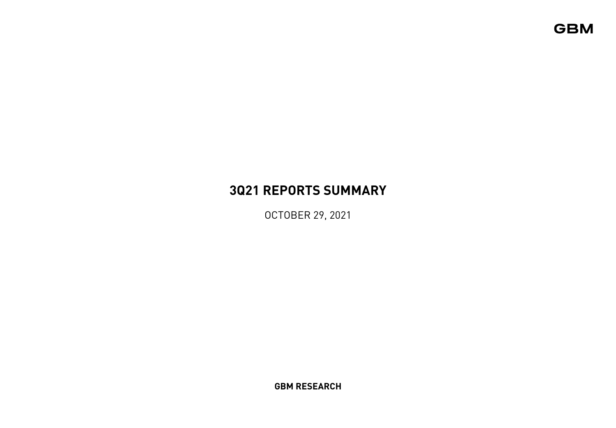# **3Q21 REPORTS SUMMARY**

OCTOBER 29, 2021

**GBM RESEARCH**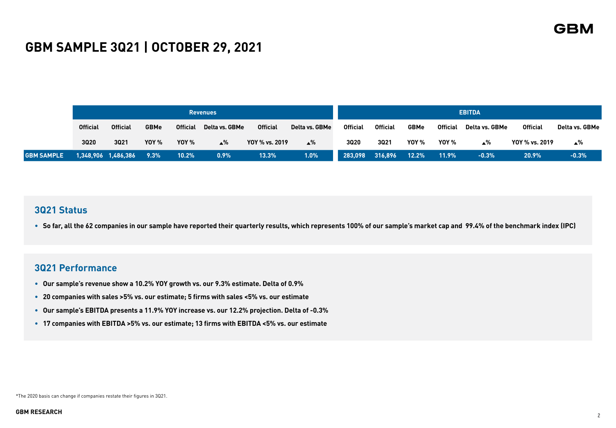# **GBM SAMPLE 3Q21 | OCTOBER 29, 2021**

|                   |                 |                     |              |                 | <b>Revenues</b>    |                 |                |                 |                 |              |                 | <b>EBITDA</b>  |                 |                |
|-------------------|-----------------|---------------------|--------------|-----------------|--------------------|-----------------|----------------|-----------------|-----------------|--------------|-----------------|----------------|-----------------|----------------|
|                   | <b>Official</b> | <b>Official</b>     | <b>GBMe</b>  | <b>Official</b> | Delta vs. GBMe     | <b>Official</b> | Delta vs. GBMe | <b>Official</b> | <b>Official</b> | <b>GBMe</b>  | <b>Official</b> | Delta vs. GBMe | <b>Official</b> | Delta vs. GBMe |
|                   | <b>3020</b>     | 3021                | <b>YOY %</b> | <b>YOY %</b>    | $\blacktriangle$ % | YOY % vs. 2019  | $\triangle $ % | 3020            | 3021            | <b>YOY %</b> | YOY %           | ∡%             | YOY % vs. 2019  | ∡%             |
| <b>GBM SAMPLE</b> |                 | 1,348,906 1,486,386 | 9.3%         | $10.2\%$        | $0.9\%$            | 13.3%           | 1.0%           |                 | 283,098 316,896 | $-12.2\%$    | 11.9%           | $-0.3%$        | 20.9%           | $-0.3%$        |

## **3Q21 Status**

• **So far, all the 62 companies in our sample have reported their quarterly results, which represents 100% of our sample's market cap and 99.4% of the benchmark index (IPC)**

## **3Q21 Performance**

- **Our sample's revenue show a 10.2% YOY growth vs. our 9.3% estimate. Delta of 0.9%**
- **20 companies with sales >5% vs. our estimate; 5 firms with sales <5% vs. our estimate**
- **Our sample's EBITDA presents a 11.9% YOY increase vs. our 12.2% projection. Delta of -0.3%**
- **17 companies with EBITDA >5% vs. our estimate; 13 firms with EBITDA <5% vs. our estimate**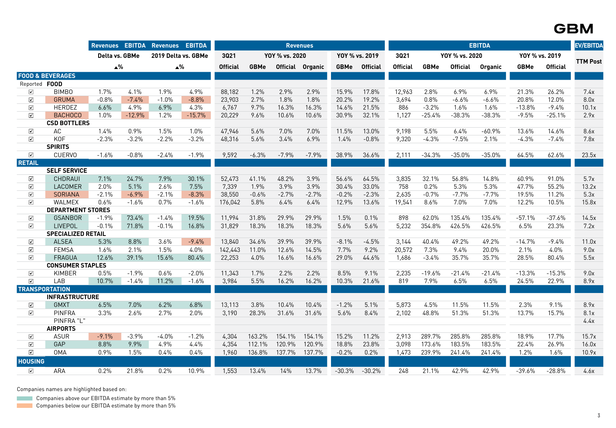|                      |                             |                |          | Revenues EBITDA Revenues | <b>EBITDA</b> |                 |             |                | <b>Revenues</b>  |             |                 |                 |             |                 | <b>EBITDA</b> |                |                 | <b>EV/EBITDA</b> |
|----------------------|-----------------------------|----------------|----------|--------------------------|---------------|-----------------|-------------|----------------|------------------|-------------|-----------------|-----------------|-------------|-----------------|---------------|----------------|-----------------|------------------|
|                      |                             | Delta vs. GBMe |          | 2019 Delta vs. GBMe      |               | 3021            |             | YOY % vs. 2020 |                  |             | YOY % vs. 2019  | 3021            |             | YOY % vs. 2020  |               | YOY % vs. 2019 |                 |                  |
|                      |                             | $\triangle $ % |          | $\triangle $ %           |               | <b>Official</b> | <b>GBMe</b> |                | Official Organic | <b>GBMe</b> | <b>Official</b> | <b>Official</b> | <b>GBMe</b> | <b>Official</b> | Organic       | <b>GBMe</b>    | <b>Official</b> | <b>TTM Post</b>  |
|                      | <b>FOOD &amp; BEVERAGES</b> |                |          |                          |               |                 |             |                |                  |             |                 |                 |             |                 |               |                |                 |                  |
| Reported FOOD        |                             |                |          |                          |               |                 |             |                |                  |             |                 |                 |             |                 |               |                |                 |                  |
| $\blacktriangledown$ | BIMB0                       | 1.7%           | 4.1%     | 1.9%                     | 4.9%          | 88,182          | 1.2%        | 2.9%           | 2.9%             | 15.9%       | 17.8%           | 12,963          | 2.8%        | 6.9%            | 6.9%          | 21.3%          | 26.2%           | 7.4x             |
| $\blacktriangledown$ | <b>GRUMA</b>                | $-0.8%$        | $-7.4%$  | $-1.0%$                  | $-8.8%$       | 23,903          | 2.7%        | 1.8%           | 1.8%             | 20.2%       | 19.2%           | 3,694           | 0.8%        | $-6.6%$         | $-6.6%$       | 20.8%          | 12.0%           | 8.0x             |
| $\blacktriangledown$ | <b>HERDEZ</b>               | 6.6%           | 4.9%     | 6.9%                     | 4.3%          | 6,767           | 9.7%        | 16.3%          | 16.3%            | 14.6%       | 21.5%           | 886             | $-3.2%$     | 1.6%            | 1.6%          | $-13.8%$       | $-9.4%$         | 10.1x            |
| $\blacktriangledown$ | <b>BACHOCO</b>              | 1.0%           | $-12.9%$ | 1.2%                     | $-15.7%$      | 20,229          | 9.6%        | 10.6%          | 10.6%            | 30.9%       | 32.1%           | 1,127           | $-25.4%$    | $-38.3%$        | $-38.3%$      | $-9.5%$        | $-25.1%$        | 2.9x             |
|                      | <b>CSD BOTTLERS</b>         |                |          |                          |               |                 |             |                |                  |             |                 |                 |             |                 |               |                |                 |                  |
| $\blacktriangledown$ | AC                          | 1.4%           | 0.9%     | 1.5%                     | 1.0%          | 47,946          | 5.6%        | 7.0%           | 7.0%             | 11.5%       | 13.0%           | 9,198           | 5.5%        | 6.4%            | $-60.9%$      | 13.6%          | 14.6%           | 8.6x             |
| $\blacktriangledown$ | <b>KOF</b>                  | $-2.3%$        | $-3.2%$  | $-2.2%$                  | $-3.2%$       | 48,316          | 5.6%        | 3.4%           | 6.9%             | 1.4%        | $-0.8%$         | 9,320           | $-4.3%$     | $-7.5%$         | 2.1%          | $-4.3%$        | $-7.4\%$        | 7.8x             |
|                      | <b>SPIRITS</b>              |                |          |                          |               |                 |             |                |                  |             |                 |                 |             |                 |               |                |                 |                  |
| $\sqrt{ }$           | <b>CUERVO</b>               | $-1.6%$        | $-0.8%$  | $-2.4%$                  | $-1.9%$       | 9,592           | $-6.3%$     | $-7.9%$        | $-7.9%$          | 38.9%       | 36.6%           | 2,111           | $-34.3%$    | $-35.0%$        | $-35.0%$      | 64.5%          | 62.6%           | 23.5x            |
| <b>RETAIL</b>        |                             |                |          |                          |               |                 |             |                |                  |             |                 |                 |             |                 |               |                |                 |                  |
|                      | <b>SELF SERVICE</b>         |                |          |                          |               |                 |             |                |                  |             |                 |                 |             |                 |               |                |                 |                  |
| $\boxed{\checkmark}$ | CHDRAUI                     | 7.1%           | 24.7%    | 7.9%                     | 30.1%         | 52,473          | 41.1%       | 48.2%          | 3.9%             | 56.6%       | 64.5%           | 3,835           | 32.1%       | 56.8%           | 14.8%         | 60.9%          | 91.0%           | 5.7x             |
| $\boxed{\checkmark}$ | LACOMER                     | 2.0%           | 5.1%     | 2.6%                     | 7.5%          | 7,339           | 1.9%        | 3.9%           | 3.9%             | 30.4%       | 33.0%           | 758             | 0.2%        | 5.3%            | 5.3%          | 47.7%          | 55.2%           | 13.2x            |
| $\blacktriangledown$ | SORIANA                     | $-2.1%$        | $-6.9%$  | $-2.1%$                  | $-8.3%$       | 38,550          | $-0.6%$     | $-2.7%$        | $-2.7%$          | $-0.2%$     | $-2.3%$         | 2,635           | $-0.7%$     | $-7.7%$         | $-7.7%$       | 19.5%          | 11.2%           | 5.3x             |
| $\boxed{\checkmark}$ | WALMEX                      | 0.6%           | $-1.6%$  | 0.7%                     | $-1.6%$       | 176,042         | 5.8%        | 6.4%           | 6.4%             | 12.9%       | 13.6%           | 19,541          | 8.6%        | 7.0%            | 7.0%          | 12.2%          | 10.5%           | 15.8x            |
|                      | <b>DEPARTMENT STORES</b>    |                |          |                          |               |                 |             |                |                  |             |                 |                 |             |                 |               |                |                 |                  |
| ☑                    | <b>GSANBOR</b>              | $-1.9%$        | 73.4%    | $-1.4%$                  | 19.5%         | 11,994          | 31.8%       | 29.9%          | 29.9%            | 1.5%        | 0.1%            | 898             | 62.0%       | 135.4%          | 135.4%        | $-57.1%$       | $-37.6%$        | 14.5x            |
| $\triangledown$      | <b>LIVEPOL</b>              | $-0.1%$        | 71.8%    | $-0.1%$                  | 16.8%         | 31,829          | 18.3%       | 18.3%          | 18.3%            | 5.6%        | 5.6%            | 5,232           | 354.8%      | 426.5%          | 426.5%        | 6.5%           | 23.3%           | 7.2x             |
|                      | <b>SPECIALIZED RETAIL</b>   |                |          |                          |               |                 |             |                |                  |             |                 |                 |             |                 |               |                |                 |                  |
| ☑                    | <b>ALSEA</b>                | 5.3%           | 8.8%     | 3.6%                     | $-9.4%$       | 13,840          | 34.6%       | 39.9%          | 39.9%            | $-8.1%$     | $-4.5%$         | 3,144           | 40.4%       | 49.2%           | 49.2%         | $-14.7%$       | $-9.4%$         | 11.0x            |
| $\triangledown$      | <b>FEMSA</b>                | 1.6%           | 2.1%     | 1.5%                     | 4.0%          | 142,443         | 11.0%       | 12.6%          | 14.5%            | 7.7%        | 9.2%            | 20,572          | 7.3%        | 9.4%            | 20.0%         | 2.1%           | 4.0%            | 9.0x             |
| $\triangledown$      | <b>FRAGUA</b>               | 12.6%          | 39.1%    | 15.6%                    | 80.4%         | 22,253          | 4.0%        | 16.6%          | 16.6%            | 29.0%       | 44.6%           | 1,686           | $-3.4%$     | 35.7%           | 35.7%         | 28.5%          | 80.4%           | 5.5x             |
|                      | <b>CONSUMER STAPLES</b>     |                |          |                          |               |                 |             |                |                  |             |                 |                 |             |                 |               |                |                 |                  |
| ☑                    | <b>KIMBER</b>               | 0.5%           | $-1.9%$  | 0.6%                     | $-2.0%$       | 11,343          | 1.7%        | 2.2%           | 2.2%             | 8.5%        | 9.1%            | 2,235           | $-19.6%$    | $-21.4%$        | $-21.4%$      | $-13.3%$       | $-15.3%$        | 9.0x             |
| $\boxed{\checkmark}$ | LAB                         | 10.7%          | $-1.4%$  | 11.2%                    | $-1.6%$       | 3,984           | 5.5%        | 16.2%          | 16.2%            | 10.3%       | 21.6%           | 819             | 7.9%        | 6.5%            | 6.5%          | 24.5%          | 22.9%           | 8.9x             |
|                      | <b>TRANSPORTATION</b>       |                |          |                          |               |                 |             |                |                  |             |                 |                 |             |                 |               |                |                 |                  |
|                      | <b>INFRASTRUCTURE</b>       |                |          |                          |               |                 |             |                |                  |             |                 |                 |             |                 |               |                |                 |                  |
| $\blacktriangledown$ | <b>GMXT</b>                 | 6.5%           | 7.0%     | 6.2%                     | 6.8%          | 13,113          | 3.8%        | 10.4%          | 10.4%            | $-1.2%$     | 5.1%            | 5,873           | 4.5%        | 11.5%           | 11.5%         | 2.3%           | 9.1%            | 8.9x             |
| $\boxed{\checkmark}$ | <b>PINFRA</b>               | 3.3%           | 2.6%     | 2.7%                     | 2.0%          | 3,190           | 28.3%       | 31.6%          | 31.6%            | 5.6%        | 8.4%            | 2,102           | 48.8%       | 51.3%           | 51.3%         | 13.7%          | 15.7%           | 8.1x             |
|                      | PINFRA "L"                  |                |          |                          |               |                 |             |                |                  |             |                 |                 |             |                 |               |                |                 | 4.4x             |
|                      | <b>AIRPORTS</b>             |                |          |                          |               |                 |             |                |                  |             |                 |                 |             |                 |               |                |                 |                  |
| ☑                    | <b>ASUR</b>                 | $-9.1%$        | $-3.9%$  | $-4.0%$                  | $-1.2%$       | 4,304           | 163.2%      | 154.1%         | 154.1%           | 15.2%       | 11.2%           | 2,913           | 289.7%      | 285.8%          | 285.8%        | 18.9%          | 17.7%           | 15.7x            |
| $\triangledown$      | GAP                         | 8.8%           | 9.9%     | 4.9%                     | 4.4%          | 4,354           | 112.1%      | 120.9%         | 120.9%           | 18.8%       | 23.8%           | 3,098           | 173.6%      | 183.5%          | 183.5%        | 22.4%          | 26.9%           | 16.0x            |
| $\blacktriangledown$ | <b>OMA</b>                  | 0.9%           | 1.5%     | 0.4%                     | 0.4%          | 1,960           | 136.8%      | 137.7%         | 137.7%           | $-0.2%$     | 0.2%            | 1,473           | 239.9%      | 241.4%          | 241.4%        | 1.2%           | 1.6%            | 10.9x            |
| <b>HOUSING</b>       |                             |                |          |                          |               |                 |             |                |                  |             |                 |                 |             |                 |               |                |                 |                  |
| $\blacktriangledown$ | ARA                         | 0.2%           | 21.8%    | 0.2%                     | 10.9%         | 1,553           | 13.4%       | 14%            | 13.7%            | $-30.3%$    | $-30.2%$        | 248             | 21.1%       | 42.9%           | 42.9%         | $-39.6%$       | $-28.8%$        | 4.6x             |

Companies names are highlighted based on:

**Companies above our EBITDA estimate by more than 5%** 

Companies below our EBITDA estimate by more than 5%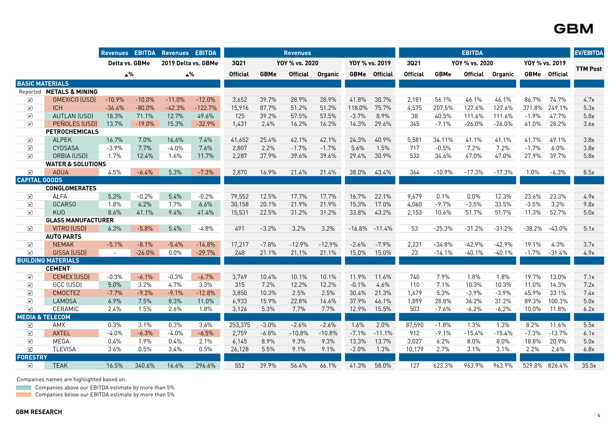|                         |                                  |          | <b>Revenues EBITDA</b> | <b>Revenues EBITDA</b> |           |                 |             | <b>Revenues</b> |          |                |                      |                 |             | <b>EBITDA</b>   |          |          |                      | <b>EV/EBITDA</b> |
|-------------------------|----------------------------------|----------|------------------------|------------------------|-----------|-----------------|-------------|-----------------|----------|----------------|----------------------|-----------------|-------------|-----------------|----------|----------|----------------------|------------------|
|                         |                                  |          | Delta vs. GBMe         | 2019 Delta vs. GBMe    |           | 3021            |             | YOY % vs. 2020  |          | YOY % vs. 2019 |                      | 3021            |             | YOY % vs. 2020  |          |          | YOY % vs. 2019       |                  |
|                         |                                  |          | $\blacktriangle^{\%}$  | $\triangle $ %         |           | <b>Official</b> | <b>GBMe</b> | <b>Official</b> | Organic  |                | <b>GBMe</b> Official | <b>Official</b> | <b>GBMe</b> | <b>Official</b> | Organic  |          | <b>GBMe</b> Official | <b>TTM Post</b>  |
| <b>BASIC MATERIALS</b>  |                                  |          |                        |                        |           |                 |             |                 |          |                |                      |                 |             |                 |          |          |                      |                  |
| Reported                | <b>METALS &amp; MINING</b>       |          |                        |                        |           |                 |             |                 |          |                |                      |                 |             |                 |          |          |                      |                  |
| ☑                       | <b>GMEXICO (USD)</b>             | $-10.9%$ | $-10.0%$               | $-11.0%$               | $-12.0%$  | 3,652           | 39.7%       | 28.9%           | 28.9%    | 41.8%          | 30.7%                | 2,181           | 56.1%       | 46.1%           | 46.1%    | 86.7%    | 74.7%                | 4.7x             |
| $\blacktriangledown$    | <b>ICH</b>                       | $-36.4%$ | $-80.0%$               | $-42.3%$               | $-122.7%$ | 15,916          | 87.7%       | 51.2%           | 51.2%    | 118.0%         | 75.7%                | 4,575           | 207.5%      | 127.6%          | 127.6%   | 371.8%   | 249.1%               | 5.3x             |
| $\boxed{\checkmark}$    | <b>AUTLAN (USD)</b>              | 18.3%    | 71.1%                  | 12.7%                  | 49.6%     | 125             | 39.2%       | 57.5%           | 57.5%    | $-3.7%$        | 8.9%                 | 38              | 40.5%       | 111.6%          | 111.6%   | $-1.9%$  | 47.7%                | 5.8x             |
| $\boxed{\checkmark}$    | PEÑOLES (USD)                    | 13.7%    | $-19.0%$               | 15.3%                  | $-32.9%$  | 1,431           | 2.4%        | 16.2%           | 16.2%    | 14.3%          | 29.6%                | 345             | $-7.1%$     | $-26.0%$        | $-26.0%$ | 61.0%    | 28.2%                | 3.6x             |
|                         | <b>PETROCHEMICALS</b>            |          |                        |                        |           |                 |             |                 |          |                |                      |                 |             |                 |          |          |                      |                  |
| ☑                       | <b>ALPEK</b>                     | 16.7%    | 7.0%                   | 16.6%                  | 7.4%      | 41,652          | 25.4%       | 42.1%           | 42.1%    | 24.3%          | 40.9%                | 5,581           | 34.11%      | 41.1%           | 41.1%    | 41.7%    | 49.1%                | 3.8x             |
| $\boxed{\checkmark}$    | <b>CYDSASA</b>                   | $-3.9%$  | 7.7%                   | $-4.0%$                | 7.6%      | 2,807           | 2.2%        | $-1.7%$         | $-1.7%$  | 5.6%           | 1.5%                 | 717             | $-0.5%$     | 7.2%            | 7.2%     | $-1.7%$  | 6.0%                 | 3.8x             |
| $\triangledown$         | ORBIA (USD)                      | 1.7%     | 12.4%                  | 1.6%                   | 11.7%     | 2,287           | 37.9%       | 39.6%           | 39.6%    | 29.4%          | 30.9%                | 532             | 34.6%       | 47.0%           | 47.0%    | 27.9%    | 39.7%                | 5.8x             |
|                         | <b>WATER &amp; SOLUTIONS</b>     |          |                        |                        |           |                 |             |                 |          |                |                      |                 |             |                 |          |          |                      |                  |
| $\boxed{\checkmark}$    | <b>AGUA</b>                      | 4.5%     | $-6.4%$                | 5.3%                   | $-7.3%$   | 2,870           | 16.9%       | 21.4%           | 21.4%    | 38.0%          | 43.4%                | 364             | $-10.9%$    | $-17.3%$        | $-17.3%$ | 1.0%     | $-6.3%$              | 8.5x             |
| <b>CAPITAL GOODS</b>    |                                  |          |                        |                        |           |                 |             |                 |          |                |                      |                 |             |                 |          |          |                      |                  |
|                         | <b>CONGLOMERATES</b>             |          |                        |                        |           |                 |             |                 |          |                |                      |                 |             |                 |          |          |                      |                  |
| ☑                       | <b>ALFA</b>                      | 5.3%     | $-0.2%$                | 5.4%                   | $-0.2%$   | 79,552          | 12.5%       | 17.7%           | 17.7%    | 16.7%          | 22.1%                | 9,679           | 0.1%        | 0.0%            | 12.3%    | 23.6%    | 23.3%                | 4.9x             |
| $\sqrt{ }$              | <b>GCARSO</b>                    | 1.8%     | 6.2%                   | 1.7%                   | 6.6%      | 30,158          | 20.1%       | 21.9%           | 21.9%    | 15.3%          | 17.0%                | 4,060           | $-9.7%$     | $-3.5%$         | 33.5%    | $-3.5%$  | 3.2%                 | 9.8x             |
| $\triangledown$         | <b>KUO</b>                       | 8.6%     | 41.1%                  | 9.4%                   | 41.4%     | 15,531          | 22.5%       | 31.2%           | 31.2%    | 33.8%          | 43.2%                | 2,153           | 10.6%       | 51.7%           | 51.7%    | 11.3%    | 52.7%                | 5.0x             |
| $\triangledown$         | <b>GLASS MANUFACTURER</b>        | 6.3%     |                        | 5.4%                   | $-4.8%$   | 491             | $-3.2%$     | 3.2%            | 3.2%     |                | $-11.4%$             | 53              | $-25.3%$    | $-31.2%$        | $-31.2%$ | $-38.2%$ | $-43.0%$             | 5.1x             |
|                         | VITRO (USD)<br><b>AUTO PARTS</b> |          | $-5.8%$                |                        |           |                 |             |                 |          | $-16.8%$       |                      |                 |             |                 |          |          |                      |                  |
| ☑                       | <b>NEMAK</b>                     | $-5.1%$  | $-8.1%$                | $-5.4%$                | $-14.8%$  | 17,217          | $-7.8%$     | $-12.9%$        | $-12.9%$ | $-2.6%$        | $-7.9%$              | 2,231           | $-34.8%$    | $-42.9%$        | $-42.9%$ | 19.1%    | 4.3%                 | 3.7x             |
| $\triangledown$         | GISSA (USD)                      | $\sim$   | $-26.0%$               | 0.0%                   | $-29.7%$  | 248             | 21.1%       | 21.1%           | 21.1%    | 15.0%          | 15.0%                | 23              | $-14.1%$    | $-40.1%$        | $-40.1%$ | $-1.7%$  | $-31.4%$             | 4.9x             |
|                         | <b>BUILDING MATERIALS</b>        |          |                        |                        |           |                 |             |                 |          |                |                      |                 |             |                 |          |          |                      |                  |
|                         | <b>CEMENT</b>                    |          |                        |                        |           |                 |             |                 |          |                |                      |                 |             |                 |          |          |                      |                  |
| ☑                       | <b>CEMEX (USD)</b>               | $-0.3%$  | $-6.1%$                | $-0.3%$                | $-6.7%$   | 3,769           | 10.4%       | 10.1%           | 10.1%    | 11.9%          | 11.6%                | 740             | 7.9%        | 1.8%            | 1.8%     | 19.7%    | 13.0%                | 7.1x             |
| ☑                       | GCC (USD)                        | 5.0%     | 3.2%                   | 4.7%                   | 3.3%      | 315             | 7.2%        | 12.2%           | 12.2%    | $-0.1%$        | 4.6%                 | 110             | 7.1%        | 10.3%           | 10.3%    | 11.0%    | 14.3%                | 7.2x             |
| $\boxed{\checkmark}$    | <b>CMOCTEZ</b>                   | $-7.7%$  | $-9.2%$                | $-9.1%$                | $-12.8%$  | 3,850           | 10.3%       | 2.5%            | 2.5%     | 30.4%          | 21.3%                | 1,679           | 5.3%        | $-3.9%$         | $-3.9%$  | 45.9%    | 33.1%                | 7.4x             |
| $\boxed{\checkmark}$    | <b>LAMOSA</b>                    | 6.9%     | 7.5%                   | 8.3%                   | 11.0%     | 6,933           | 15.9%       | 22.8%           | 16.6%    | 37.9%          | 46.1%                | 1,899           | 28.8%       | 36.2%           | 31.2%    | 89.3%    | 100.3%               | 5.0x             |
| $\triangledown$         | CERAMIC                          | 2.4%     | 1.5%                   | 2.6%                   | 1.8%      | 3,126           | 5.3%        | 7.7%            | 7.7%     | 12.9%          | 15.5%                | 503             | $-7.6%$     | $-6.2%$         | $-6.2%$  | 10.0%    | 11.8%                | 6.2x             |
|                         | <b>MEDIA &amp; TELECOM</b>       |          |                        |                        |           |                 |             |                 |          |                |                      |                 |             |                 |          |          |                      |                  |
| $\blacktriangledown$    | AMX                              | 0.3%     | 3.1%                   | 0.3%                   | 3.4%      | 253,375         | $-3.0%$     | $-2.6%$         | $-2.6%$  | 1.6%           | 2.0%                 | 87,590          | $-1.8%$     | 1.3%            | 1.3%     | 8.2%     | 11.6%                | 5.5x             |
| $\boxed{\checkmark}$    | <b>AXTEL</b>                     | $-4.0%$  | $-6.3%$                | $-4.0%$                | $-6.5%$   | 2,759           | $-6.8%$     | $-10.8%$        | $-10.8%$ | $-7.1%$        | $-11.1%$             | 912             | $-9.1%$     | $-15.4%$        | $-15.4%$ | $-7.3%$  | $-13.7%$             | 6.1x             |
| $\boxed{\checkmark}$    | <b>MEGA</b>                      | 0.4%     | 1.9%                   | 0.4%                   | 2.1%      | 6,145           | 8.9%        | 9.3%            | 9.3%     | 13.3%          | 13.7%                | 3,027           | 6.2%        | 8.0%            | 8.0%     | 18.8%    | 20.9%                | 5.0x             |
| $\boxed{\checkmark}$    | <b>TLEVISA</b>                   | 3.6%     | 0.5%                   | 3.4%                   | 0.5%      | 26,128          | 5.5%        | 9.1%            | 9.1%     | $-2.0%$        | 1.3%                 | 10,179          | 2.7%        | 3.1%            | 3.1%     | 2.2%     | 2.6%                 | 6.8x             |
| <b>FORESTRY</b>         |                                  |          |                        |                        |           |                 |             |                 |          |                |                      |                 |             |                 |          |          |                      |                  |
| $\overline{\mathbf{v}}$ | <b>TEAK</b>                      | 16.5%    | 340.6%                 | 16.6%                  | 296.6%    | 552             | 39.9%       | 56.4%           | 66.1%    | 41.3%          | 58.0%                | 127             | 623.3%      | 963.9%          | 963.9%   |          | 529.8% 826.4%        | 35.5x            |

Companies names are highlighted based on:

**Companies above our EBITDA estimate by more than 5%** 

**Companies below our EBITDA estimate by more than 5%**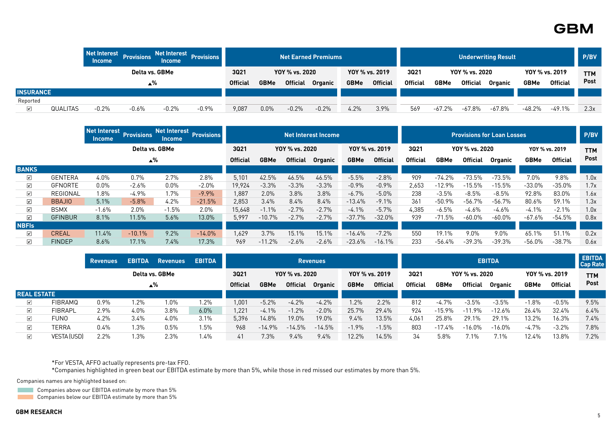|                  |                 | Net Interest<br><b>Income</b> | <b>Provisions</b> | <b>Net Interest</b><br><b>Income</b> | <b>Provisions</b> |                 |             |                 | <b>Net Earned Premiums</b> |             |                 | <b>Underwriting Result</b> |             |                |                |             |                 |            |  |
|------------------|-----------------|-------------------------------|-------------------|--------------------------------------|-------------------|-----------------|-------------|-----------------|----------------------------|-------------|-----------------|----------------------------|-------------|----------------|----------------|-------------|-----------------|------------|--|
|                  |                 |                               | Delta vs. GBMe    |                                      |                   | 3021            |             | YOY % vs. 2020  |                            |             | YOY % vs. 2019  | 3021                       |             | YOY % vs. 2020 |                |             | YOY % vs. 2019  | <b>TTM</b> |  |
|                  |                 |                               | •%∡               |                                      |                   | <b>Official</b> | <b>GBMe</b> | <b>Official</b> | <b>Organic</b>             | <b>GBMe</b> | <b>Official</b> | <b>Official</b>            | <b>GBMe</b> | Official       | <b>Organic</b> | <b>GBMe</b> | <b>Official</b> | Post       |  |
| <b>INSURANCE</b> |                 |                               |                   |                                      |                   |                 |             |                 |                            |             |                 |                            |             |                |                |             |                 |            |  |
| Reported         |                 |                               |                   |                                      |                   |                 |             |                 |                            |             |                 |                            |             |                |                |             |                 |            |  |
| $\sqrt{ }$       | <b>QUALITAS</b> | $-0.2%$                       | $-0.6%$           | $-0.2%$                              | $-0.9%$           | 9,087           | 0.0%        | $-0.2%$         | $-0.2%$                    | 4.2%        | 3.9%            | 569                        | $-67.2\%$   | $-67.8%$       | $-67.8%$       | $-48.2%$    | $-49.1%$        | 2.3x       |  |

|                         |                | <b>Net Interest</b><br><b>Income</b> | <b>Provisions</b>  | <b>Income</b> | Net Interest Provisions |                 |             |                 | <b>Net Interest Income</b> |             |                 |                 |             |                 | <b>Provisions for Loan Losses</b> |             |                 | P/BV       |
|-------------------------|----------------|--------------------------------------|--------------------|---------------|-------------------------|-----------------|-------------|-----------------|----------------------------|-------------|-----------------|-----------------|-------------|-----------------|-----------------------------------|-------------|-----------------|------------|
|                         |                |                                      | Delta vs. GBMe     |               |                         | 3021            |             | YOY % vs. 2020  |                            |             | YOY % vs. 2019  | 3021            |             | YOY % vs. 2020  |                                   |             | YOY % vs. 2019  | <b>TTM</b> |
|                         |                |                                      | $\blacktriangle\%$ |               |                         | <b>Official</b> | <b>GBMe</b> | <b>Official</b> | <b>Organic</b>             | <b>GBMe</b> | <b>Official</b> | <b>Official</b> | <b>GBMe</b> | <b>Official</b> | <b>Organic</b>                    | <b>GBMe</b> | <b>Official</b> | Post       |
| <b>BANKS</b>            |                |                                      |                    |               |                         |                 |             |                 |                            |             |                 |                 |             |                 |                                   |             |                 |            |
| ☑                       | <b>GENTERA</b> | $4.0\%$                              | 0.7%               | 2.7%          | 2.8%                    | 5,101           | 42.5%       | 46.5%           | 46.5%                      | $-5.5%$     | $-2.8%$         | 909             | -74.2%      | $-73.5%$        | $-73.5%$                          | 7.0%        | 9.8%            | 1.0x       |
| $\blacktriangledown$    | <b>GFNORTE</b> | $0.0\%$                              | $-2.6%$            | $0.0\%$       | $-2.0%$                 | 19,924          | $-3.3%$     | $-3.3%$         | $-3.3%$                    | $-0.9%$     | $-0.9%$         | 2,653           | $-12.9%$    | $-15.5%$        | $-15.5%$                          | $-33.0%$    | $-35.0%$        | 1.7x       |
| $\blacktriangleright$   | REGIONAL       | 1.8%                                 | $-4.9\%$           | 1.7%          | $-9.9%$                 | 1,887           | 2.0%        | 3.8%            | 3.8%                       | $-6.7%$     | $-5.0%$         | 238             | $-3.5%$     | $-8.5%$         | $-8.5%$                           | 92.8%       | 83.0%           | 1.6x       |
| $\blacktriangledown$    | <b>BBAJIO</b>  | 5.1%                                 | $-5.8%$            | 4.2%          | $-21.5%$                | 2,853           | 3.4%        | 8.4%            | 8.4%                       | $-13.4%$    | $-9.1%$         | 361             | $-50.9%$    | $-56.7%$        | $-56.7\%$                         | 80.6%       | 59.1%           | 1.3x       |
| $\overline{\mathbf{v}}$ | <b>BSMX</b>    | $-1.6%$                              | 2.0%               | $-1.5%$       | $2.0\%$                 | 15,648          | $-1.1%$     | $-2.7%$         | $-2.7%$                    | $-4.1%$     | $-5.7\%$        | 4,385           | $-6.5%$     | $-4.6%$         | $-4.6%$                           | $-4.1\%$    | $-2.1%$         | 1.0x       |
| $\blacktriangledown$    | <b>GFINBUR</b> | 8.1%                                 | 11.5%              | 5.6%          | 13.0%                   | 5,997           | $-10.7%$    | $-2.7%$         | $-2.7%$                    | $-37.7\%$   | $-32.0\%$       | 939             | $-71.5%$    | $-60.0%$        | $-60.0\%$                         | $-67.6%$    | $-54.5%$        | 0.8x       |
| <b>NBFIs</b>            |                |                                      |                    |               |                         |                 |             |                 |                            |             |                 |                 |             |                 |                                   |             |                 |            |
| ☑                       | <b>CREAL</b>   | 11.4%                                | $-10.1%$           | 9.2%          | $-14.0%$                | 1,629           | 3.7%        | 15.1%           | 15.1%                      | $-16.4\%$   | $-7.2%$         | 550             | 19.1%       | 9.0%            | 9.0%                              | 65.1%       | 51.1%           | 0.2x       |
| ☑                       | <b>FINDEP</b>  | $8.6\%$                              | 17.1%              | 7.4%          | 17.3%                   | 969             | $-11.2%$    | $-2.6%$         | $-2.6%$                    | $-23.6\%$   | $-16.1\%$       | 233             | -56.4%      | $-39.3%$        | $-39.3%$                          | $-56.0%$    | $-38.7%$        | 0.6x       |

|                       |                | <b>Revenues</b> | <b>EBITDA</b> | <b>Revenues</b> | <b>EBITDA</b> |                 |             |                 | <b>Revenues</b> |             |                 |                 |             |                 | <b>EBITDA</b> |             |                 | <b>EBITDA</b><br><b>Cap Rate</b> |
|-----------------------|----------------|-----------------|---------------|-----------------|---------------|-----------------|-------------|-----------------|-----------------|-------------|-----------------|-----------------|-------------|-----------------|---------------|-------------|-----------------|----------------------------------|
|                       |                |                 |               | Delta vs. GBMe  |               | 3021            |             | YOY % vs. 2020  |                 |             | YOY % vs. 2019  | 3021            |             | YOY % vs. 2020  |               |             | YOY % vs. 2019  | <b>TTM</b>                       |
|                       |                |                 |               | ∡%              |               | <b>Official</b> | <b>GBMe</b> | <b>Official</b> | <b>Organic</b>  | <b>GBMe</b> | <b>Official</b> | <b>Official</b> | <b>GBMe</b> | <b>Official</b> | Organic       | <b>GBMe</b> | <b>Official</b> | Post                             |
| <b>REAL ESTATE</b>    |                |                 |               |                 |               |                 |             |                 |                 |             |                 |                 |             |                 |               |             |                 |                                  |
| $\blacktriangleright$ | <b>FIBRAMQ</b> | 0.9%            | 1.2%          | .0%             | 1.2%          | ,001            | $-5.2%$     | $-4.2%$         | $-4.2%$         | $.2\%$      | 2.2%            | 812             | $-4.7%$     | $-3.5%$         | $-3.5%$       | $-1.8%$     | $-0.5%$         | 9.5%                             |
| $\checkmark$          | <b>FIBRAPL</b> | $2.9\%$         | 4.0%          | 3.8%            | 6.0%          | .221            | $-4.1%$     | $1.2\%$         | $-2.0%$         | 25.7%       | 29.4%           | 924             | $-15.9%$    | $-11.9%$        | $-12.6%$      | 26.4%       | 32.4%           | 6.4%                             |
| ☑                     | FUNO           | 4.2%            | 3.4%          | 4.0%            | 3.1%          | 5,396           | 14.8%       | 19.0%           | 19.0%           | 9.4%        | 13.5%           | 4,061           | 25.8%       | 29.1%           | 29.1%         | 13.2%       | 16.3%           | $7.4\%$                          |
| $\triangledown$       | TERRA          | 0.4%            | 1.3%          | 0.5%            | 1.5%          | 968             | $-14.9\%$   | $-14.5%$        | $-14.5%$        | $-1.9%$     | $-1.5%$         | 803             | $-17.4%$    | $-16.0%$        | $-16.0%$      | $-4.7%$     | $-3.2%$         | 7.8%                             |
| ☑                     | VESTA (USD)    | 2.2%            | 1.3%          | 2.3%            | $.4\%$        | 41              | 7.3%        | 9.4%            | 9.4%            | 12.2%       | 14.5%           | 34              | 5.8%        | 7.1%            | 7.1%          | 12.4%       | 13.8%           | 7.2%                             |

\*For VESTA, AFFO actually represents pre-tax FFO.

\*Companies highlighted in green beat our EBITDA estimate by more than 5%, while those in red missed our estimates by more than 5%.

Companies names are highlighted based on:

**Companies above our EBITDA estimate by more than 5%** 

**Companies below our EBITDA estimate by more than 5%**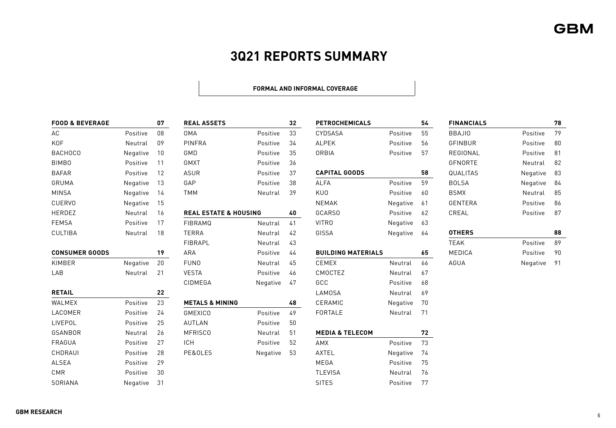## **3Q21 REPORTS SUMMARY**

#### **FORMAL AND INFORMAL COVERAGE**

| <b>FOOD &amp; BEVERAGE</b> |          | 07 | <b>REAL ASSETS</b>               |          | 32 | <b>PETROCHEMICALS</b>      |          | 54 | <b>FINANCIALS</b> |          | 78   |
|----------------------------|----------|----|----------------------------------|----------|----|----------------------------|----------|----|-------------------|----------|------|
| AC                         | Positive | 08 | <b>OMA</b>                       | Positive | 33 | CYDSASA                    | Positive | 55 | <b>BBAJIO</b>     | Positive | 79   |
| KOF                        | Neutral  | 09 | <b>PINFRA</b>                    | Positive | 34 | <b>ALPEK</b>               | Positive | 56 | GFINBUR           | Positive | 80   |
| <b>BACHOCO</b>             | Negative | 10 | GMD                              | Positive | 35 | <b>ORBIA</b>               | Positive | 57 | REGIONAL          | Positive | 81   |
| <b>BIMBO</b>               | Positive | 11 | GMXT                             | Positive | 36 |                            |          |    | GFNORTE           | Neutral  | -82  |
| <b>BAFAR</b>               | Positive | 12 | <b>ASUR</b>                      | Positive | 37 | <b>CAPITAL GOODS</b>       |          | 58 | <b>QUALITAS</b>   | Negative | 83   |
| GRUMA                      | Negative | 13 | GAP                              | Positive | 38 | <b>ALFA</b>                | Positive | 59 | <b>BOLSA</b>      | Negative | - 84 |
| <b>MINSA</b>               | Negative | 14 | <b>TMM</b>                       | Neutral  | 39 | KU0                        | Positive | 60 | <b>BSMX</b>       | Neutral  | 85   |
| <b>CUERVO</b>              | Negative | 15 |                                  |          |    | <b>NEMAK</b>               | Negative | 61 | GENTERA           | Positive | 86   |
| HERDEZ                     | Neutral  | 16 | <b>REAL ESTATE &amp; HOUSING</b> |          | 40 | <b>GCARSO</b>              | Positive | 62 | CREAL             | Positive | 87   |
| <b>FEMSA</b>               | Positive | 17 | <b>FIBRAMQ</b>                   | Neutral  | 41 | <b>VITRO</b>               | Negative | 63 |                   |          |      |
| CULTIBA                    | Neutral  | 18 | <b>TERRA</b>                     | Neutral  | 42 | GISSA                      | Negative | 64 | <b>OTHERS</b>     |          | 88   |
|                            |          |    | <b>FIBRAPL</b>                   | Neutral  | 43 |                            |          |    | <b>TEAK</b>       | Positive | 89   |
| <b>CONSUMER GOODS</b>      |          | 19 | ARA                              | Positive | 44 | <b>BUILDING MATERIALS</b>  |          | 65 | MEDICA            | Positive | 90   |
| KIMBER                     | Negative | 20 | <b>FUNO</b>                      | Neutral  | 45 | CEMEX                      | Neutral  | 66 | AGUA              | Negative | 91   |
| LAB                        | Neutral  | 21 | <b>VESTA</b>                     | Positive | 46 | CMOCTEZ                    | Neutral  | 67 |                   |          |      |
|                            |          |    | CIDMEGA                          | Negative | 47 | GCC                        | Positive | 68 |                   |          |      |
| <b>RETAIL</b>              |          | 22 |                                  |          |    | <b>LAMOSA</b>              | Neutral  | 69 |                   |          |      |
| WALMEX                     | Positive | 23 | <b>METALS &amp; MINING</b>       |          | 48 | CERAMIC                    | Negative | 70 |                   |          |      |
| LACOMER                    | Positive | 24 | <b>GMEXICO</b>                   | Positive | 49 | FORTALE                    | Neutral  | 71 |                   |          |      |
| LIVEPOL                    | Positive | 25 | <b>AUTLAN</b>                    | Positive | 50 |                            |          |    |                   |          |      |
| GSANBOR                    | Neutral  | 26 | <b>MFRISCO</b>                   | Neutral  | 51 | <b>MEDIA &amp; TELECOM</b> |          | 72 |                   |          |      |
| FRAGUA                     | Positive | 27 | ICH                              | Positive | 52 | AMX                        | Positive | 73 |                   |          |      |
| CHDRAUI                    | Positive | 28 | PE&OLES                          | Negative | 53 | AXTEL                      | Negative | 74 |                   |          |      |
| ALSEA                      | Positive | 29 |                                  |          |    | MEGA                       | Positive | 75 |                   |          |      |
| CMR                        | Positive | 30 |                                  |          |    | <b>TLEVISA</b>             | Neutral  | 76 |                   |          |      |
| SORIANA                    | Negative | 31 |                                  |          |    | <b>SITES</b>               | Positive | 77 |                   |          |      |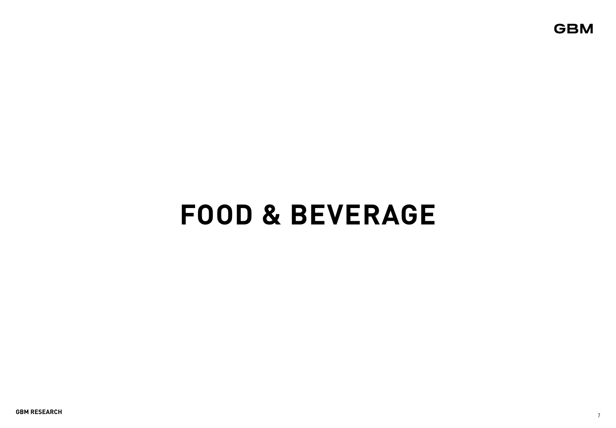# **FOOD & BEVERAGE**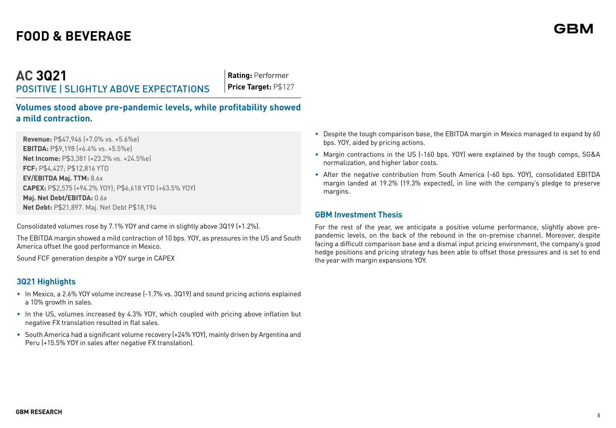**AC 3Q21** POSITIVE | SLIGHTLY ABOVE EXPECTATIONS

**Rating:** Performer **Price Target:** P\$127

**Volumes stood above pre-pandemic levels, while profitability showed a mild contraction.** 

**Revenue:** P\$47,946 (+7.0% vs. +5.6%e) **EBITDA:** P\$9,198 (+6.4% vs. +5.5%e) **Net Income:** P\$3,381 (+23.2% vs. +24.5%e) **FCF:** P\$4,427; P\$12,816 YTD **EV/EBITDA Maj. TTM:** 8.6x **CAPEX:** P\$2,575 (+94.2% YOY); P\$6,618 YTD (+63.5% YOY) **Maj. Net Debt/EBITDA:** 0.6x **Net Debt:** P\$21,897. Maj. Net Debt P\$18,194

Consolidated volumes rose by 7.1% YOY and came in slightly above 3Q19 (+1.2%).

The EBITDA margin showed a mild contraction of 10 bps. YOY, as pressures in the US and South America offset the good performance in Mexico.

Sound FCF generation despite a YOY surge in CAPEX

## **3Q21 Highlights**

- In Mexico, a 2.6% YOY volume increase (-1.7% vs. 3Q19) and sound pricing actions explained a 10% growth in sales.
- In the US, volumes increased by 4.3% YOY, which coupled with pricing above inflation but negative FX translation resulted in flat sales.
- South America had a significant volume recovery (+24% YOY), mainly driven by Argentina and Peru (+15.5% YOY in sales after negative FX translation).
- Despite the tough comparison base, the EBITDA margin in Mexico managed to expand by 60 bps. YOY, aided by pricing actions.
- Margin contractions in the US (-160 bps. YOY) were explained by the tough comps, SG&A normalization, and higher labor costs.
- After the negative contribution from South America (-60 bps. YOY), consolidated EBITDA margin landed at 19.2% (19.3% expected), in line with the company's pledge to preserve margins.

#### **GBM Investment Thesis**

For the rest of the year, we anticipate a positive volume performance, slightly above prepandemic levels, on the back of the rebound in the on-premise channel. Moreover, despite facing a difficult comparison base and a dismal input pricing environment, the company's good hedge positions and pricing strategy has been able to offset those pressures and is set to end the year with margin expansions YOY.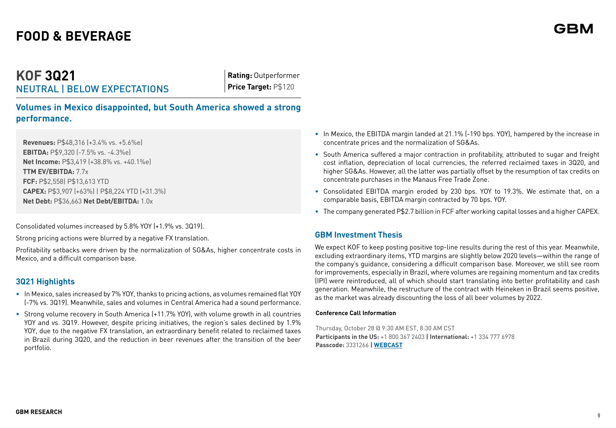## **KOF 3Q21** NEUTRAL | BELOW EXPECTATIONS

**Rating:** Outperformer **Price Target:** P\$120

**Volumes in Mexico disappointed, but South America showed a strong performance.**

**Revenues:** P\$48,316 (+3.4% vs. +5.6%e) **EBITDA:** P\$9,320 (-7.5% vs. -4.3%e) **Net Income:** P\$3,419 (+38.8% vs. +40.1%e) **TTM EV/EBITDA:** 7.7x **FCF:** P\$2,558| P\$13,613 YTD **CAPEX:** P\$3,907 (+63%) | P\$8,224 YTD (+31.3%) **Net Debt:** P\$36,663 **Net Debt/EBITDA:** 1.0x

Consolidated volumes increased by 5.8% YOY (+1.9% vs. 3Q19).

Strong pricing actions were blurred by a negative FX translation.

Profitability setbacks were driven by the normalization of SG&As, higher concentrate costs in Mexico, and a difficult comparison base.

## **3Q21 Highlights**

- In Mexico, sales increased by 7% YOY, thanks to pricing actions, as volumes remained flat YOY (-7% vs. 3Q19). Meanwhile, sales and volumes in Central America had a sound performance.
- Strong volume recovery in South America (+11.7% YOY), with volume growth in all countries YOY and vs. 3Q19. However, despite pricing initiatives, the region's sales declined by 1.9% YOY, due to the negative FX translation, an extraordinary benefit related to reclaimed taxes in Brazil during 3Q20, and the reduction in beer revenues after the transition of the beer portfolio.
- In Mexico, the EBITDA margin landed at 21.1% (-190 bps. YOY), hampered by the increase in concentrate prices and the normalization of SG&As.
- South America suffered a major contraction in profitability, attributed to sugar and freight cost inflation, depreciation of local currencies, the referred reclaimed taxes in 3Q20, and higher SG&As. However, all the latter was partially offset by the resumption of tax credits on concentrate purchases in the Manaus Free Trade Zone.
- Consolidated EBITDA margin eroded by 230 bps. YOY to 19.3%. We estimate that, on a comparable basis, EBITDA margin contracted by 70 bps. YOY.
- The company generated P\$2.7 billion in FCF after working capital losses and a higher CAPEX.

## **GBM Investment Thesis**

We expect KOF to keep posting positive top-line results during the rest of this year. Meanwhile, excluding extraordinary items, YTD margins are slightly below 2020 levels—within the range of the company's guidance, considering a difficult comparison base. Moreover, we still see room for improvements, especially in Brazil, where volumes are regaining momentum and tax credits (IPI) were reintroduced, all of which should start translating into better profitability and cash generation. Meanwhile, the restructure of the contract with Heineken in Brazil seems positive, as the market was already discounting the loss of all beer volumes by 2022.

#### **Conference Call Information**

Thursday, October 28 @ 9:30 AM EST, 8:30 AM CST **Participants in the US:** +1 800 367 2403 **| International:** +1 334 777 6978 **Passcode:** 3331266 **| [WEBCAST](https://webcastlite.mziq.com/cover.html?webcastId=7795169c-b4cb-42fc-a1e4-ab56204d9416)**

GRI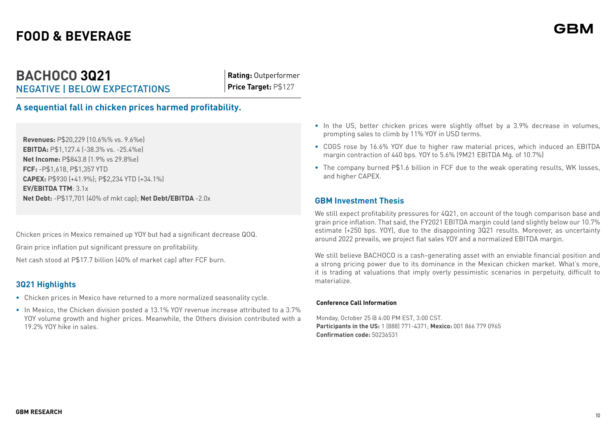## **BACHOCO 3Q21** NEGATIVE | BELOW EXPECTATIONS

**Rating:** Outperformer **Price Target:** P\$127

**A sequential fall in chicken prices harmed profitability.** 

**Revenues:** P\$20,229 (10.6%% vs. 9.6%e) **EBITDA:** P\$1,127.4 (-38.3% vs. -25.4%e) **Net Income:** P\$843.8 (1.9% vs 29.8%e) **FCF:** -P\$1,618, P\$1,357 YTD **CAPEX:** P\$930 (+41.9%); P\$2,234 YTD (+34.1%) **EV/EBITDA TTM**: 3.1x **Net Debt:** -P\$17,701 (40% of mkt cap); **Net Debt/EBITDA** -2.0x

Chicken prices in Mexico remained up YOY but had a significant decrease QOQ.

Grain price inflation put significant pressure on profitability.

Net cash stood at P\$17.7 billion (40% of market cap) after FCF burn.

## **3Q21 Highlights**

- **•** Chicken prices in Mexico have returned to a more normalized seasonality cycle.
- **•** In Mexico, the Chicken division posted a 13.1% YOY revenue increase attributed to a 3.7% YOY volume growth and higher prices. Meanwhile, the Others division contributed with a 19.2% YOY hike in sales.
- **•** In the US, better chicken prices were slightly offset by a 3.9% decrease in volumes, prompting sales to climb by 11% YOY in USD terms.
- **•** COGS rose by 16.6% YOY due to higher raw material prices, which induced an EBITDA margin contraction of 440 bps. YOY to 5.6% (9M21 EBITDA Mg. of 10.7%)
- **•** The company burned P\$1.6 billion in FCF due to the weak operating results, WK losses, and higher CAPEX.

## **GBM Investment Thesis**

We still expect profitability pressures for 4Q21, on account of the tough comparison base and grain price inflation. That said, the FY2021 EBITDA margin could land slightly below our 10.7% estimate (+250 bps. YOY), due to the disappointing 3Q21 results. Moreover, as uncertainty around 2022 prevails, we project flat sales YOY and a normalized EBITDA margin.

We still believe BACHOCO is a cash-generating asset with an enviable financial position and a strong pricing power due to its dominance in the Mexican chicken market. What's more, it is trading at valuations that imply overly pessimistic scenarios in perpetuity, difficult to materialize.

#### **Conference Call Information**

Monday, October 25 @ 4:00 PM EST, 3:00 CST. **Participants in the US:** 1 (888) 771-4371; **Mexico:** 001 866 779 0965 **Confirmation code:** 50236531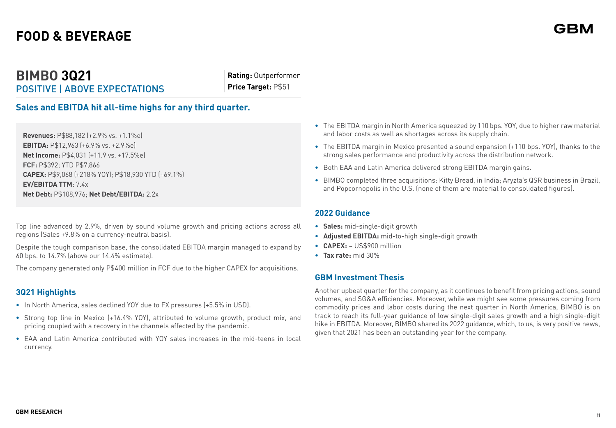## **BIMBO 3Q21** POSITIVE | ABOVE EXPECTATIONS

**Rating:** Outperformer **Price Target:** P\$51

## **Sales and EBITDA hit all-time highs for any third quarter.**

**Revenues:** P\$88,182 (+2.9% vs. +1.1%e) **EBITDA:** P\$12,963 (+6.9% vs. +2.9%e) **Net Income:** P\$4,031 (+11.9 vs. +17.5%e) **FCF:** P\$392; YTD P\$7,866 **CAPEX:** P\$9,068 (+218% YOY); P\$18,930 YTD (+69.1%) **EV/EBITDA TTM**: 7.4x **Net Debt:** P\$108,976; **Net Debt/EBITDA:** 2.2x

Top line advanced by 2.9%, driven by sound volume growth and pricing actions across all regions (Sales +9.8% on a currency-neutral basis).

Despite the tough comparison base, the consolidated EBITDA margin managed to expand by 60 bps. to 14.7% (above our 14.4% estimate).

The company generated only P\$400 million in FCF due to the higher CAPEX for acquisitions.

## **3Q21 Highlights**

- **•** In North America, sales declined YOY due to FX pressures (+5.5% in USD).
- **•** Strong top line in Mexico (+16.4% YOY), attributed to volume growth, product mix, and pricing coupled with a recovery in the channels affected by the pandemic.
- **•** EAA and Latin America contributed with YOY sales increases in the mid-teens in local currency.
- **•** The EBITDA margin in North America squeezed by 110 bps. YOY, due to higher raw material and labor costs as well as shortages across its supply chain.
- **•** The EBITDA margin in Mexico presented a sound expansion (+110 bps. YOY), thanks to the strong sales performance and productivity across the distribution network.
- **•** Both EAA and Latin America delivered strong EBITDA margin gains.
- **•** BIMBO completed three acquisitions: Kitty Bread, in India; Aryzta's QSR business in Brazil, and Popcornopolis in the U.S. (none of them are material to consolidated figures).

#### **2022 Guidance**

- **• Sales:** mid-single-digit growth
- **• Adjusted EBITDA:** mid-to-high single-digit growth
- **• CAPEX:** ~ US\$900 million
- **• Tax rate:** mid 30%

### **GBM Investment Thesis**

Another upbeat quarter for the company, as it continues to benefit from pricing actions, sound volumes, and SG&A efficiencies. Moreover, while we might see some pressures coming from commodity prices and labor costs during the next quarter in North America, BIMBO is on track to reach its full-year guidance of low single-digit sales growth and a high single-digit hike in EBITDA. Moreover, BIMBO shared its 2022 guidance, which, to us, is very positive news, given that 2021 has been an outstanding year for the company.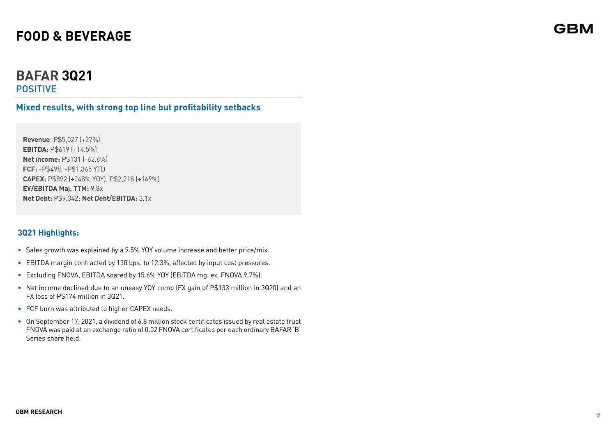## **BAFAR 3Q21** POSITIVE

**Mixed results, with strong top line but profitability setbacks**

**Revenue**: P\$5,027 (+27%) **EBITDA:** P\$619 (+14.5%) **Net income:** P\$131 (-62.6%) **FCF:** -P\$498, -P\$1,365 YTD **CAPEX:** P\$892 (+248% YOY); P\$2,218 (+169%) **EV/EBITDA Maj. TTM:** 9.8x **Net Debt:** P\$9,342; **Net Debt/EBITDA:** 3.1x

## **3Q21 Highlights:**

- Sales growth was explained by a 9.5% YOY volume increase and better price/mix.
- EBITDA margin contracted by 130 bps. to 12.3%, affected by input cost pressures.
- Excluding FNOVA, EBITDA soared by 15.6% YOY (EBITDA mg. ex. FNOVA 9.7%).
- Net income declined due to an uneasy YOY comp (FX gain of P\$133 million in 3Q20) and an FX loss of P\$174 million in 3Q21.
- FCF burn was attributed to higher CAPEX needs.
- On September 17, 2021, a dividend of 6.8 million stock certificates issued by real estate trust FNOVA was paid at an exchange ratio of 0.02 FNOVA certificates per each ordinary BAFAR 'B' Series share held.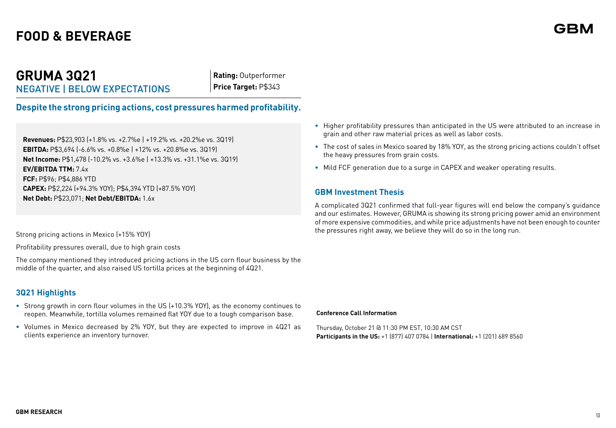## **GRUMA 3Q21** NEGATIVE | BELOW EXPECTATIONS

**Rating:** Outperformer **Price Target:** P\$343

**Despite the strong pricing actions, cost pressures harmed profitability.** 

**Revenues:** P\$23,903 (+1.8% vs. +2.7%e | +19.2% vs. +20.2%e vs. 3Q19) **EBITDA:** P\$3,694 (-6.6% vs. +0.8%e | +12% vs. +20.8%e vs. 3Q19) **Net Income:** P\$1,478 (-10.2% vs. +3.6%e | +13.3% vs. +31.1%e vs. 3Q19) **EV/EBITDA TTM:** 7.4x **FCF:** P\$96; P\$4,886 YTD **CAPEX:** P\$2,224 (+94.3% YOY); P\$4,394 YTD (+87.5% YOY) **Net Debt:** P\$23,071; **Net Debt/EBITDA:** 1.6x

Strong pricing actions in Mexico (+15% YOY)

Profitability pressures overall, due to high grain costs

The company mentioned they introduced pricing actions in the US corn flour business by the middle of the quarter, and also raised US tortilla prices at the beginning of 4Q21.

## **3Q21 Highlights**

- **•** Strong growth in corn flour volumes in the US (+10.3% YOY), as the economy continues to reopen. Meanwhile, tortilla volumes remained flat YOY due to a tough comparison base.
- **•** Volumes in Mexico decreased by 2% YOY, but they are expected to improve in 4Q21 as clients experience an inventory turnover.
- **•** Higher profitability pressures than anticipated in the US were attributed to an increase in grain and other raw material prices as well as labor costs.
- **•** The cost of sales in Mexico soared by 18% YOY, as the strong pricing actions couldn't offset the heavy pressures from grain costs.
- **•** Mild FCF generation due to a surge in CAPEX and weaker operating results.

## **GBM Investment Thesis**

A complicated 3Q21 confirmed that full-year figures will end below the company's guidance and our estimates. However, GRUMA is showing its strong pricing power amid an environment of more expensive commodities, and while price adjustments have not been enough to counter the pressures right away, we believe they will do so in the long run.

#### **Conference Call Information**

Thursday, October 21 @ 11:30 PM EST, 10:30 AM CST **Participants in the US:** +1 (877) 407 0784 | **International:** +1 (201) 689 8560 GRI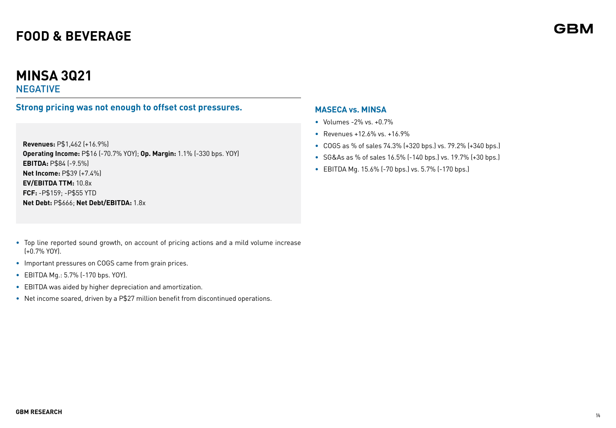# **MINSA 3Q21**

## NEGATIVE

## **Strong pricing was not enough to offset cost pressures.**

**Revenues:** P\$1,462 (+16.9%) **Operating Income:** P\$16 (-70.7% YOY); **Op. Margin:** 1.1% (-330 bps. YOY) **EBITDA:** P\$84 (-9.5%) **Net Income:** P\$39 (+7.4%) **EV/EBITDA TTM:** 10.8x **FCF:** -P\$159; -P\$55 YTD **Net Debt:** P\$666; **Net Debt/EBITDA:** 1.8x

- Top line reported sound growth, on account of pricing actions and a mild volume increase (+0.7% YOY).
- Important pressures on COGS came from grain prices.
- EBITDA Mg.: 5.7% (-170 bps. YOY).
- EBITDA was aided by higher depreciation and amortization.
- Net income soared, driven by a P\$27 million benefit from discontinued operations.

## **MASECA vs. MINSA**

- Volumes -2% vs. +0.7%
- Revenues +12.6% vs. +16.9%
- COGS as % of sales 74.3% (+320 bps.) vs. 79.2% (+340 bps.)
- SG&As as % of sales 16.5% (-140 bps.) vs. 19.7% (+30 bps.)
- EBITDA Mg. 15.6% (-70 bps.) vs. 5.7% (-170 bps.)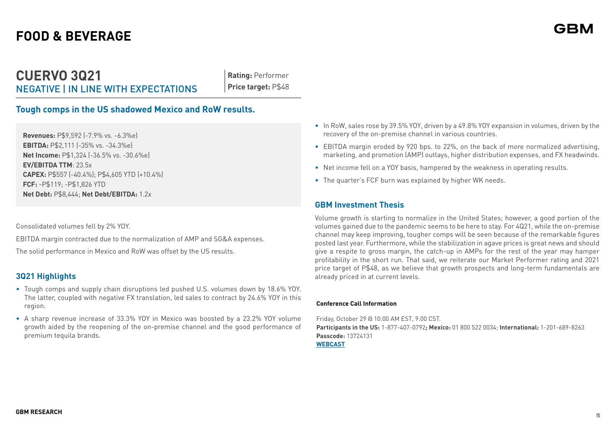## **CUERVO 3Q21** NEGATIVE | IN LINE WITH EXPECTATIONS

**Rating:** Performer **Price target:** P\$48

## **Tough comps in the US shadowed Mexico and RoW results.**

**Revenues:** P\$9,592 (-7.9% vs. -6.3%e) **EBITDA:** P\$2,111 (-35% vs. -34.3%e) **Net Income:** P\$1,324 (-36.5% vs. -30.6%e) **EV/EBITDA TTM**: 23.5x **CAPEX:** P\$557 (-40.4%); P\$4,605 YTD (+10.4%) **FCF:** -P\$119; -P\$1,826 YTD **Net Debt:** P\$8,444; **Net Debt/EBITDA:** 1.2x

Consolidated volumes fell by 2% YOY.

EBITDA margin contracted due to the normalization of AMP and SG&A expenses.

The solid performance in Mexico and RoW was offset by the US results.

## **3Q21 Highlights**

- Tough comps and supply chain disruptions led pushed U.S. volumes down by 18.6% YOY. The latter, coupled with negative FX translation, led sales to contract by 24.6% YOY in this region.
- A sharp revenue increase of 33.3% YOY in Mexico was boosted by a 23.2% YOY volume growth aided by the reopening of the on-premise channel and the good performance of premium tequila brands.
- In RoW, sales rose by 39.5% YOY, driven by a 49.8% YOY expansion in volumes, driven by the recovery of the on-premise channel in various countries.
- EBITDA margin eroded by 920 bps. to 22%, on the back of more normalized advertising, marketing, and promotion (AMP) outlays, higher distribution expenses, and FX headwinds.
- Net income fell on a YOY basis, hampered by the weakness in operating results.
- The quarter's FCF burn was explained by higher WK needs.

#### **GBM Investment Thesis**

Volume growth is starting to normalize in the United States; however, a good portion of the volumes gained due to the pandemic seems to be here to stay. For 4Q21, while the on-premise channel may keep improving, tougher comps will be seen because of the remarkable figures posted last year. Furthermore, while the stabilization in agave prices is great news and should give a respite to gross margin, the catch-up in AMPs for the rest of the year may hamper profitability in the short run. That said, we reiterate our Market Performer rating and 2021 price target of P\$48, as we believe that growth prospects and long-term fundamentals are already priced in at current levels.

#### **Conference Call Information**

Friday, October 29 @ 10:00 AM EST, 9:00 CST. **Participants in the US:** 1-877-407-0792**; Mexico:** 01 800 522 0034; **International:** 1-201-689-8263 **Passcode:** 13724131 **[WEBCAST](https://78449.themediaframe.com/dataconf/productusers/becl/mediaframe/46998/indexl.html)**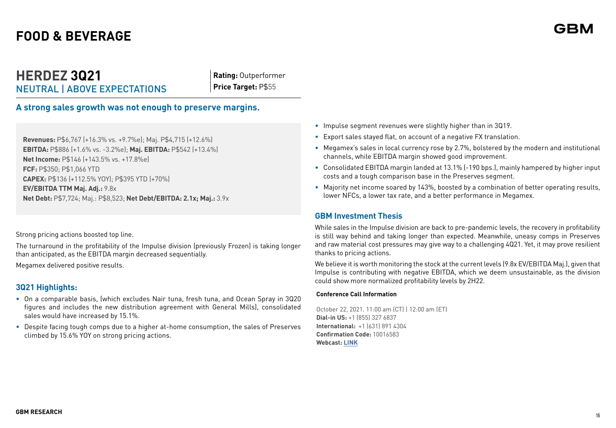## **HERDEZ 3Q21** NEUTRAL | ABOVE EXPECTATIONS

**Rating:** Outperformer **Price Target:** P\$55

**A strong sales growth was not enough to preserve margins.** 

**Revenues:** P\$6,767 (+16.3% vs. +9.7%e); Maj. P\$4,715 (+12.6%) **EBITDA:** P\$886 (+1.6% vs. -3.2%e); **Maj. EBITDA:** P\$542 (+13.4%) **Net Income:** P\$146 (+143.5% vs. +17.8%e) **FCF:** P\$350; P\$1,066 YTD **CAPEX:** P\$136 (+112.5% YOY); P\$395 YTD (+70%) **EV/EBITDA TTM Maj. Adj.:** 9.8x **Net Debt:** P\$7,724; Maj.: P\$8,523; **Net Debt/EBITDA: 2.1x; Maj.:** 3.9x

Strong pricing actions boosted top line.

The turnaround in the profitability of the Impulse division (previously Frozen) is taking longer than anticipated, as the EBITDA margin decreased sequentially.

Megamex delivered positive results.

## **3Q21 Highlights:**

- On a comparable basis, (which excludes Nair tuna, fresh tuna, and Ocean Spray in 3Q20 figures and includes the new distribution agreement with General Mills), consolidated sales would have increased by 15.1%.
- Despite facing tough comps due to a higher at-home consumption, the sales of Preserves climbed by 15.6% YOY on strong pricing actions.
- Impulse segment revenues were slightly higher than in 3Q19.
- Export sales stayed flat, on account of a negative FX translation.
- Megamex's sales in local currency rose by 2.7%, bolstered by the modern and institutional channels, while EBITDA margin showed good improvement.
- Consolidated EBITDA margin landed at 13.1% (-190 bps.), mainly hampered by higher input costs and a tough comparison base in the Preserves segment.
- Majority net income soared by 143%, boosted by a combination of better operating results, lower NFCs, a lower tax rate, and a better performance in Megamex.

## **GBM Investment Thesis**

While sales in the Impulse division are back to pre-pandemic levels, the recovery in profitability is still way behind and taking longer than expected. Meanwhile, uneasy comps in Preserves and raw material cost pressures may give way to a challenging 4Q21. Yet, it may prove resilient thanks to pricing actions.

We believe it is worth monitoring the stock at the current levels (9.8x EV/EBITDA Maj.), given that Impulse is contributing with negative EBITDA, which we deem unsustainable, as the division could show more normalized profitability levels by 2H22.

#### **Conference Call Information**

October 22, 2021. 11:00 am (CT) | 12:00 am (ET) **Dial-in US:** +1 (855) 327 6837 **International:** +1 (631) 891 4304 **Confirmation Code:** 10016583 **Webcast: [LINK](https://viavid.webcasts.com/starthere.jsp?ei=1499957&tp_key=80db689ce8)**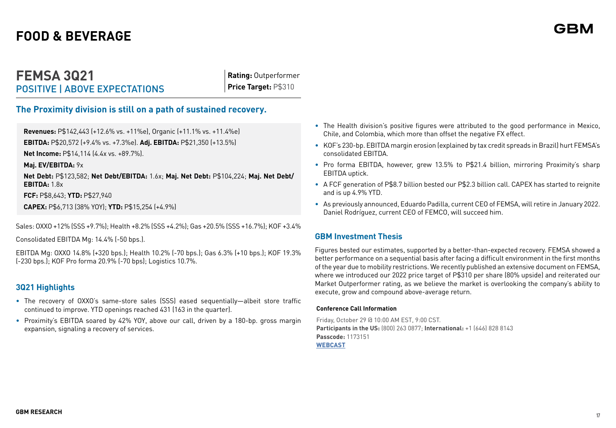## **FEMSA 3Q21** POSITIVE | ABOVE EXPECTATIONS

**Rating:** Outperformer **Price Target:** P\$310

## **The Proximity division is still on a path of sustained recovery.**

**Revenues:** P\$142,443 (+12.6% vs. +11%e), Organic (+11.1% vs. +11.4%e)

**EBITDA:** P\$20,572 (+9.4% vs. +7.3%e). **Adj. EBITDA:** P\$21,350 (+13.5%)

**Net Income:** P\$14,114 (4.4x vs. +89.7%).

**Maj. EV/EBITDA:** 9x

**Net Debt:** P\$123,582; **Net Debt/EBITDA:** 1.6x; **Maj. Net Debt:** P\$104,224; **Maj. Net Debt/ EBITDA:** 1.8x

**FCF:** P\$8,643; **YTD:** P\$27,940

**CAPEX:** P\$6,713 (38% YOY); **YTD:** P\$15,254 (+4.9%)

Sales: OXXO +12% (SSS +9.7%); Health +8.2% (SSS +4.2%); Gas +20.5% (SSS +16.7%); KOF +3.4%

Consolidated EBITDA Mg: 14.4% (-50 bps.).

EBITDA Mg: OXXO 14.8% (+320 bps.); Health 10.2% (-70 bps.); Gas 6.3% (+10 bps.); KOF 19.3% (-230 bps.); KOF Pro forma 20.9% (-70 bps); Logistics 10.7%.

## **3Q21 Highlights**

- The recovery of OXXO's same-store sales (SSS) eased sequentially—albeit store traffic continued to improve. YTD openings reached 431 (163 in the quarter).
- Proximity's EBITDA soared by 42% YOY, above our call, driven by a 180-bp. gross margin expansion, signaling a recovery of services.
- The Health division's positive figures were attributed to the good performance in Mexico, Chile, and Colombia, which more than offset the negative FX effect.
- KOF's 230-bp. EBITDA margin erosion (explained by tax credit spreads in Brazil) hurt FEMSA's consolidated EBITDA.
- Pro forma EBITDA, however, grew 13.5% to P\$21.4 billion, mirroring Proximity's sharp EBITDA uptick.
- A FCF generation of P\$8.7 billion bested our P\$2.3 billion call. CAPEX has started to reignite and is up 4.9% YTD.
- As previously announced, Eduardo Padilla, current CEO of FEMSA, will retire in January 2022. Daniel Rodríguez, current CEO of FEMCO, will succeed him.

## **GBM Investment Thesis**

Figures bested our estimates, supported by a better-than-expected recovery. FEMSA showed a better performance on a sequential basis after facing a difficult environment in the first months of the year due to mobility restrictions. We recently published an extensive document on FEMSA, where we introduced our 2022 price target of P\$310 per share (80% upside) and reiterated our Market Outperformer rating, as we believe the market is overlooking the company's ability to execute, grow and compound above-average return.

#### **Conference Call Information**

Friday, October 29 @ 10:00 AM EST, 9:00 CST. **Participants in the US:** (800) 263 0877; **International:** +1 (646) 828 8143 **Passcode:** 1173151 **[WEBCAST](https://femsa.gcs-web.com/)**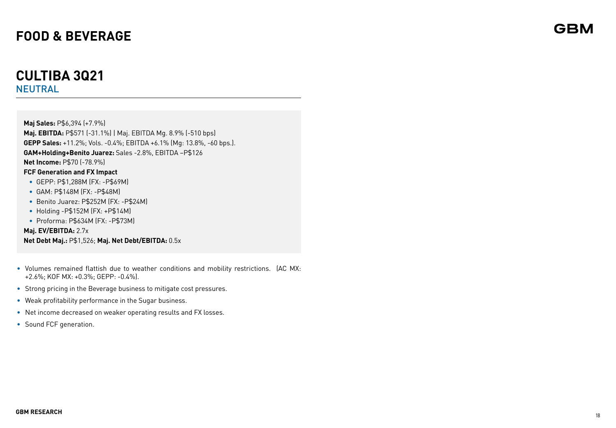## **CULTIBA 3Q21** NEUTRAL

**Maj Sales:** P\$6,394 (+7.9%) **Maj. EBITDA:** P\$571 (-31.1%) | Maj. EBITDA Mg. 8.9% (-510 bps) **GEPP Sales:** +11.2%; Vols. -0.4%; EBITDA +6.1% (Mg: 13.8%, -60 bps.). **GAM+Holding+Benito Juarez:** Sales -2.8%, EBITDA –P\$126 **Net Income:** P\$70 (-78.9%) **FCF Generation and FX Impact •** GEPP: P\$1,288M (FX: -P\$69M) **•** GAM: P\$148M (FX: -P\$48M) **•** Benito Juarez: P\$252M (FX: -P\$24M) **•** Holding -P\$152M (FX: +P\$14M)

**•** Proforma: P\$634M (FX: -P\$73M)

**Maj. EV/EBITDA:** 2.7x **Net Debt Maj.:** P\$1,526; **Maj. Net Debt/EBITDA:** 0.5x

- Volumes remained flattish due to weather conditions and mobility restrictions. (AC MX: +2.6%; KOF MX: +0.3%; GEPP: -0.4%).
- Strong pricing in the Beverage business to mitigate cost pressures.
- Weak profitability performance in the Sugar business.
- Net income decreased on weaker operating results and FX losses.
- Sound FCF generation.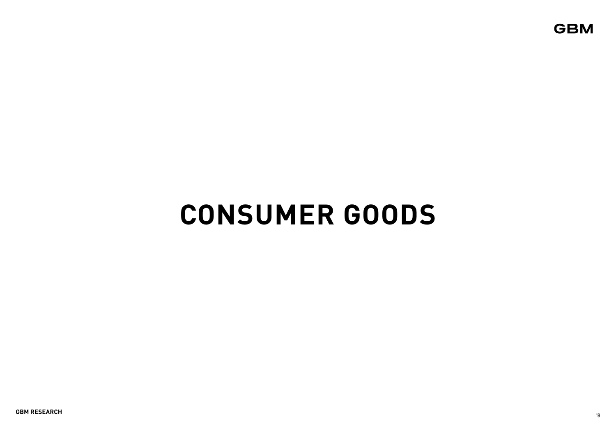# **CONSUMER GOODS**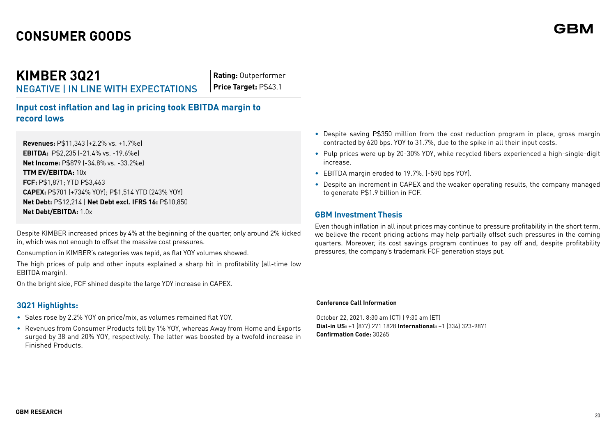## **CONSUMER GOODS**

# **KIMBER 3Q21**

NEGATIVE | IN LINE WITH EXPECTATIONS

**Rating:** Outperformer **Price Target:** P\$43.1

**Input cost inflation and lag in pricing took EBITDA margin to record lows**

**Revenues:** P\$11,343 (+2.2% vs. +1.7%e) **EBITDA:** P\$2,235 (-21.4% vs. -19.6%e) **Net Income:** P\$879 (-34.8% vs. -33.2%e) **TTM EV/EBITDA:** 10x **FCF:** P\$1,871; YTD P\$3,463 **CAPEX:** P\$701 (+734% YOY); P\$1,514 YTD (243% YOY) **Net Debt:** P\$12,214 | **Net Debt excl. IFRS 16:** P\$10,850 **Net Debt/EBITDA:** 1.0x

Despite KIMBER increased prices by 4% at the beginning of the quarter, only around 2% kicked in, which was not enough to offset the massive cost pressures.

Consumption in KIMBER's categories was tepid, as flat YOY volumes showed.

The high prices of pulp and other inputs explained a sharp hit in profitability (all-time low EBITDA margin).

On the bright side, FCF shined despite the large YOY increase in CAPEX.

## **3Q21 Highlights:**

- Sales rose by 2.2% YOY on price/mix, as volumes remained flat YOY.
- Revenues from Consumer Products fell by 1% YOY, whereas Away from Home and Exports surged by 38 and 20% YOY, respectively. The latter was boosted by a twofold increase in Finished Products.
- Despite saving P\$350 million from the cost reduction program in place, gross margin contracted by 620 bps. YOY to 31.7%, due to the spike in all their input costs.
- Pulp prices were up by 20-30% YOY, while recycled fibers experienced a high-single-digit increase.
- EBITDA margin eroded to 19.7%. (-590 bps YOY).
- Despite an increment in CAPEX and the weaker operating results, the company managed to generate P\$1.9 billion in FCF.

### **GBM Investment Thesis**

Even though inflation in all input prices may continue to pressure profitability in the short term, we believe the recent pricing actions may help partially offset such pressures in the coming quarters. Moreover, its cost savings program continues to pay off and, despite profitability pressures, the company's trademark FCF generation stays put.

#### **Conference Call Information**

October 22, 2021. 8:30 am (CT) | 9:30 am (ET) **Dial-in US:** +1 (877) 271 1828 **International:** +1 (334) 323-9871 **Confirmation Code:** 30265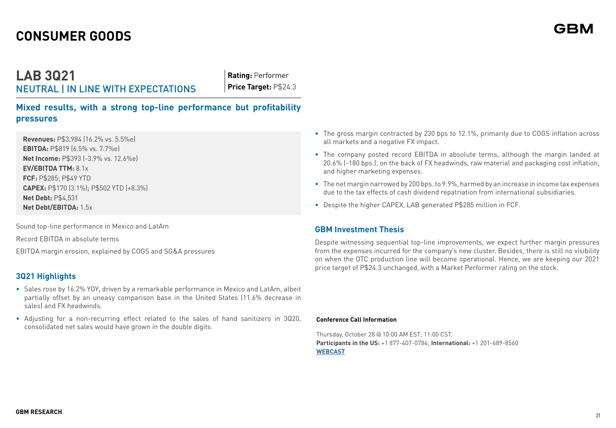# **CONSUMER GOODS**

**LAB 3Q21** NEUTRAL | IN LINE WITH EXPECTATIONS

**Rating:** Performer **Price Target:** P\$24.3

**Mixed results, with a strong top-line performance but profitability pressures**

**Revenues:** P\$3,984 (16.2% vs. 5.5%e) **EBITDA:** P\$819 (6.5% vs. 7.7%e) **Net Income:** P\$393 (-3.9% vs. 12.6%e) **EV/EBITDA TTM:** 8.1x **FCF:** P\$285; P\$49 YTD **CAPEX:** P\$170 (3.1%); P\$502 YTD (+8.3%) **Net Debt:** P\$4,531 **Net Debt/EBITDA:** 1.5x

Sound top-line performance in Mexico and LatAm

Record EBITDA in absolute terms

EBITDA margin erosion, explained by COGS and SG&A pressures

## **3Q21 Highlights**

- Sales rose by 16.2% YOY, driven by a remarkable performance in Mexico and LatAm, albeit partially offset by an uneasy comparison base in the United States (11.6% decrease in sales) and FX headwinds.
- Adjusting for a non-recurring effect related to the sales of hand sanitizers in 3Q20, consolidated net sales would have grown in the double digits.
- The gross margin contracted by 230 bps to 12.1%, primarily due to COGS inflation across all markets and a negative FX impact.
- The company posted record EBITDA in absolute terms, although the margin landed at 20.6% (-180 bps.), on the back of FX headwinds, raw material and packaging cost inflation, and higher marketing expenses.
- The net margin narrowed by 200 bps. to 9.9%, harmed by an increase in income tax expenses due to the tax effects of cash dividend repatriation from international subsidiaries.
- Despite the higher CAPEX, LAB generated P\$285 million in FCF.

## **GBM Investment Thesis**

Despite witnessing sequential top-line improvements, we expect further margin pressures from the expenses incurred for the company's new cluster. Besides, there is still no visibility on when the OTC production line will become operational. Hence, we are keeping our 2021 price target of P\$24.3 unchanged, with a Market Performer rating on the stock.

#### **Conference Call Information**

Thursday, October 28 @ 10:00 AM EST, 11:00 CST. **Participants in the US:** +1 877-407-0784; **International:** +1 201-689-8560 **WEBCAST**

GRI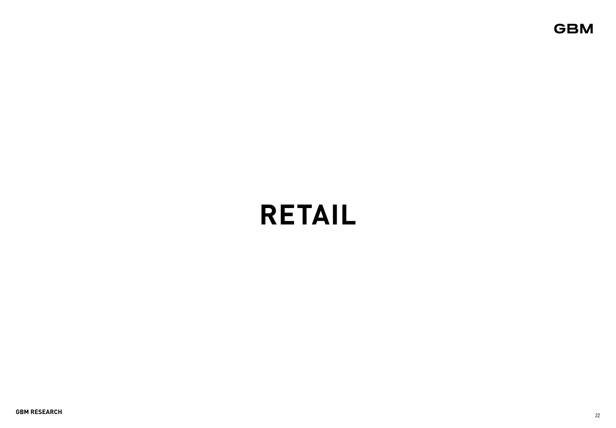# **RETAIL**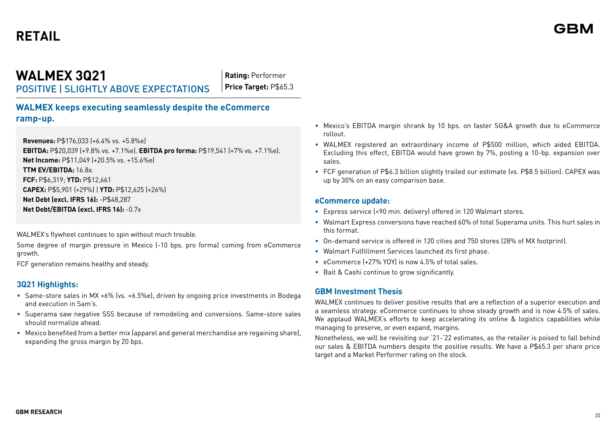## **WALMEX 3Q21** POSITIVE | SLIGHTLY ABOVE EXPECTATIONS

**Rating:** Performer **Price Target:** P\$65.3

**WALMEX keeps executing seamlessly despite the eCommerce ramp-up.**

**Revenues:** P\$176,033 (+6.4% vs. +5.8%e)

**EBITDA:** P\$20,039 (+9.8% vs. +7.1%e). **EBITDA pro forma:** P\$19,541 (+7% vs. +7.1%e). **Net Income:** P\$11,049 (+20.5% vs. +15.6%e)

**TTM EV/EBITDA:** 16.8x.

**FCF:** P\$6,319; **YTD:** P\$12,661

**CAPEX:** P\$5,901 (+29%) | **YTD:** P\$12,625 (+26%)

**Net Debt (excl. IFRS 16):** -P\$48,287

**Net Debt/EBITDA (excl. IFRS 16):** -0.7x

WALMEX's flywheel continues to spin without much trouble.

Some degree of margin pressure in Mexico (-10 bps. pro forma) coming from eCommerce growth.

FCF generation remains healthy and steady.

## **3Q21 Highlights:**

- Same-store sales in MX +6% (vs. +6.5%e), driven by ongoing price investments in Bodega and execution in Sam's.
- Superama saw negative SSS because of remodeling and conversions. Same-store sales should normalize ahead.
- Mexico benefited from a better mix (apparel and general merchandise are regaining share), expanding the gross margin by 20 bps.
- Mexico's EBITDA margin shrank by 10 bps. on faster SG&A growth due to eCommerce rollout.
- WALMEX registered an extraordinary income of P\$500 million, which aided EBITDA. Excluding this effect, EBITDA would have grown by 7%, posting a 10-bp. expansion over sales.
- FCF generation of P\$6.3 billion slightly trailed our estimate (vs. P\$8.5 billion). CAPEX was up by 30% on an easy comparison base.

## **eCommerce update:**

- **•** Express service (<90 min. delivery) offered in 120 Walmart stores.
- **•** Walmart Express conversions have reached 60% of total Superama units. This hurt sales in this format.
- On-demand service is offered in 120 cities and 750 stores (28% of MX footprint).
- Walmart Fulfillment Services launched its first phase.
- eCommerce (+27% YOY) is now 4.5% of total sales.
- Bait & Cashi continue to grow significantly.

## **GBM Investment Thesis**

WALMEX continues to deliver positive results that are a reflection of a superior execution and a seamless strategy. eCommerce continues to show steady growth and is now 4.5% of sales. We applaud WALMEX's efforts to keep accelerating its online & logistics capabilities while managing to preserve, or even expand, margins.

Nonetheless, we will be revisiting our '21-'22 estimates, as the retailer is poised to fall behind our sales & EBITDA numbers despite the positive results. We have a P\$65.3 per share price target and a Market Performer rating on the stock.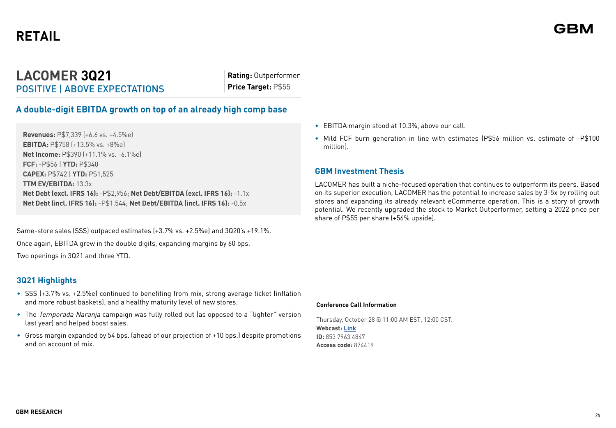## **LACOMER 3Q21** POSITIVE | ABOVE EXPECTATIONS

**Rating:** Outperformer **Price Target:** P\$55

## **A double-digit EBITDA growth on top of an already high comp base**

**Revenues:** P\$7,339 (+6.6 vs. +4.5%e) **EBITDA:** P\$758 (+13.5% vs. +8%e) **Net Income:** P\$390 (+11.1% vs. -6.1%e) **FCF:** -P\$56 | **YTD:** P\$340 **CAPEX:** P\$742 | **YTD:** P\$1,525 **TTM EV/EBITDA:** 13.3x **Net Debt (excl. IFRS 16):** -P\$2,956; **Net Debt/EBITDA (excl. IFRS 16):** -1.1x **Net Debt (incl. IFRS 16):** -P\$1,544; **Net Debt/EBITDA (incl. IFRS 16):** -0.5x

Same-store sales (SSS) outpaced estimates (+3.7% vs. +2.5%e) and 3Q20's +19.1%. Once again, EBITDA grew in the double digits, expanding margins by 60 bps. Two openings in 3Q21 and three YTD.

## **3Q21 Highlights**

- SSS (+3.7% vs. +2.5%e) continued to benefiting from mix, strong average ticket (inflation and more robust baskets), and a healthy maturity level of new stores.
- The Temporada Naranja campaign was fully rolled out (as opposed to a "lighter" version last year) and helped boost sales.
- Gross margin expanded by 54 bps. (ahead of our projection of +10 bps.) despite promotions and on account of mix.
- EBITDA margin stood at 10.3%, above our call.
- Mild FCF burn generation in line with estimates (P\$56 million vs. estimate of -P\$100 million).

## **GBM Investment Thesis**

LACOMER has built a niche-focused operation that continues to outperform its peers. Based on its superior execution, LACOMER has the potential to increase sales by 3-5x by rolling out stores and expanding its already relevant eCommerce operation. This is a story of growth potential. We recently upgraded the stock to Market Outperformer, setting a 2022 price per share of P\$55 per share (+56% upside).

#### **Conference Call Information**

Thursday, October 28 @ 11:00 AM EST, 12:00 CST. **Webcast: [Link](https://lacomer.zoom.us/j/85379634847?pwd=MzZVMzlMVzdWQnpwUzFMZW10U2VEUT09#success) ID:** 853 7963 4847 **Access code:** 874419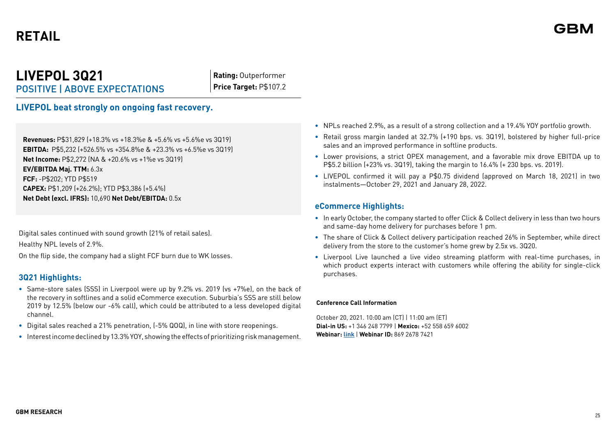## **LIVEPOL 3Q21** POSITIVE | ABOVE EXPECTATIONS

**Rating:** Outperformer **Price Target:** P\$107.2

**LIVEPOL beat strongly on ongoing fast recovery.**

**Revenues:** P\$31,829 (+18.3% vs +18.3%e & +5.6% vs +5.6%e vs 3Q19) **EBITDA:** P\$5,232 (+526.5% vs +354.8%e & +23.3% vs +6.5%e vs 3Q19) **Net Income:** P\$2,272 (NA & +20.6% vs +1%e vs 3Q19) **EV/EBITDA Maj. TTM:** 6.3x **FCF:** -P\$202; YTD P\$519 **CAPEX:** P\$1,209 (+26.2%); YTD P\$3,386 (+5.4%) **Net Debt (excl. IFRS):** 10,690 **Net Debt/EBITDA:** 0.5x

Digital sales continued with sound growth (21% of retail sales). Healthy NPL levels of 2.9%.

On the flip side, the company had a slight FCF burn due to WK losses.

## **3Q21 Highlights:**

- **•** Same-store sales (SSS) in Liverpool were up by 9.2% vs. 2019 (vs +7%e), on the back of the recovery in softlines and a solid eCommerce execution. Suburbia's SSS are still below 2019 by 12.5% (below our -6% call), which could be attributed to a less developed digital channel.
- **•** Digital sales reached a 21% penetration, (-5% QOQ), in line with store reopenings.
- **•** Interest income declined by 13.3% YOY, showing the effects of prioritizing risk management.
- **•** NPLs reached 2.9%, as a result of a strong collection and a 19.4% YOY portfolio growth.
- **•** Retail gross margin landed at 32.7% (+190 bps. vs. 3Q19), bolstered by higher full-price sales and an improved performance in softline products.
- **•** Lower provisions, a strict OPEX management, and a favorable mix drove EBITDA up to P\$5.2 billion (+23% vs. 3Q19), taking the margin to 16.4% (+ 230 bps. vs. 2019).
- **•** LIVEPOL confirmed it will pay a P\$0.75 dividend (approved on March 18, 2021) in two instalments—October 29, 2021 and January 28, 2022.

## **eCommerce Highlights:**

- **•** In early October, the company started to offer Click & Collect delivery in less than two hours and same-day home delivery for purchases before 1 pm.
- **•** The share of Click & Collect delivery participation reached 26% in September, while direct delivery from the store to the customer's home grew by 2.5x vs. 3Q20.
- **•** Liverpool Live launched a live video streaming platform with real-time purchases, in which product experts interact with customers while offering the ability for single-click purchases.

#### **Conference Call Information**

October 20, 2021. 10:00 am (CT) | 11:00 am (ET) **Dial-in US:** +1 346 248 7799 | **Mexico:** +52 558 659 6002 **Webinar: [link](https://us02web.zoom.us/j/86926787421)** | **Webinar ID:** 869 2678 7421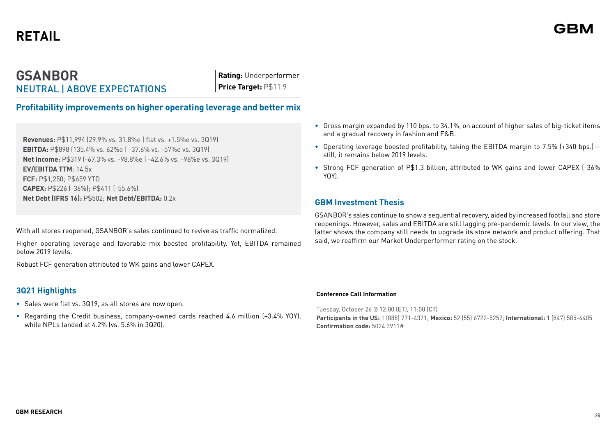## **GSANBOR** NEUTRAL | ABOVE EXPECTATIONS

**Rating:** Underperformer **Price Target:** P\$11.9

## **Profitability improvements on higher operating leverage and better mix**

**Revenues:** P\$11,994 (29.9% vs. 31.8%e | flat vs. +1.5%e vs. 3Q19) **EBITDA:** P\$898 (135.4% vs. 62%e | -37.6% vs. -57%e vs. 3Q19) **Net Income:** P\$319 (-67.3% vs. -98.8%e | -42.6% vs. -98%e vs. 3Q19) **EV/EBITDA TTM**: 14.5x **FCF:** P\$1,250; P\$659 YTD **CAPEX:** P\$226 (-36%); P\$411 (-55.6%) **Net Debt (IFRS 16):** P\$502; **Net Debt/EBITDA:** 0.2x

With all stores reopened, GSANBOR's sales continued to revive as traffic normalized.

Higher operating leverage and favorable mix boosted profitability. Yet, EBITDA remained below 2019 levels.

Robust FCF generation attributed to WK gains and lower CAPEX.

## **3Q21 Highlights**

- **•** Sales were flat vs. 3Q19, as all stores are now open.
- **•** Regarding the Credit business, company-owned cards reached 4.6 million (+3.4% YOY), while NPLs landed at 4.2% (vs. 5.6% in 3Q20).
- **•** Gross margin expanded by 110 bps. to 34.1%, on account of higher sales of big-ticket items and a gradual recovery in fashion and F&B.
- **•** Operating leverage boosted profitability, taking the EBITDA margin to 7.5% (+340 bps.) still, it remains below 2019 levels.
- **•** Strong FCF generation of P\$1.3 billion, attributed to WK gains and lower CAPEX (-36% YOY).

## **GBM Investment Thesis**

GSANBOR's sales continue to show a sequential recovery, aided by increased footfall and store reopenings. However, sales and EBITDA are still lagging pre-pandemic levels. In our view, the latter shows the company still needs to upgrade its store network and product offering. That said, we reaffirm our Market Underperformer rating on the stock.

#### **Conference Call Information**

Tuesday, October 26 @ 12:00 (ET), 11:00 (CT) **Participants in the US:** 1 (888) 771-4371; **Mexico:** 52 (55) 6722-5257; **International:** 1 (847) 585-4405 **Confirmation code:** 5024 3911#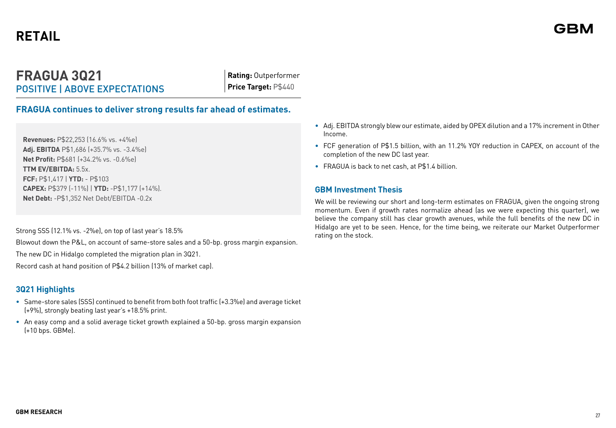## **FRAGUA 3Q21** POSITIVE | ABOVE EXPECTATIONS

**Rating:** Outperformer **Price Target:** P\$440

## **FRAGUA continues to deliver strong results far ahead of estimates.**

**Revenues:** P\$22,253 (16.6% vs. +4%e) **Adj. EBITDA** P\$1,686 (+35.7% vs. -3.4%e) **Net Profit:** P\$681 (+34.2% vs. -0.6%e) **TTM EV/EBITDA:** 5.5x. **FCF:** P\$1,417 | **YTD:** - P\$103 **CAPEX:** P\$379 (-11%) | **YTD:** -P\$1,177 (+14%). **Net Debt:** -P\$1,352 Net Debt/EBITDA -0.2x

Strong SSS (12.1% vs. -2%e), on top of last year's 18.5%

Blowout down the P&L, on account of same-store sales and a 50-bp. gross margin expansion.

The new DC in Hidalgo completed the migration plan in 3Q21.

Record cash at hand position of P\$4.2 billion (13% of market cap).

## **3Q21 Highlights**

- Same-store sales (SSS) continued to benefit from both foot traffic (+3.3%e) and average ticket (+9%), strongly beating last year's +18.5% print.
- An easy comp and a solid average ticket growth explained a 50-bp. gross margin expansion (+10 bps. GBMe).
- Adj. EBITDA strongly blew our estimate, aided by OPEX dilution and a 17% increment in Other Income.
- FCF generation of P\$1.5 billion, with an 11.2% YOY reduction in CAPEX, on account of the completion of the new DC last year.
- FRAGUA is back to net cash, at P\$1.4 billion.

## **GBM Investment Thesis**

We will be reviewing our short and long-term estimates on FRAGUA, given the ongoing strong momentum. Even if growth rates normalize ahead (as we were expecting this quarter), we believe the company still has clear growth avenues, while the full benefits of the new DC in Hidalgo are yet to be seen. Hence, for the time being, we reiterate our Market Outperformer rating on the stock.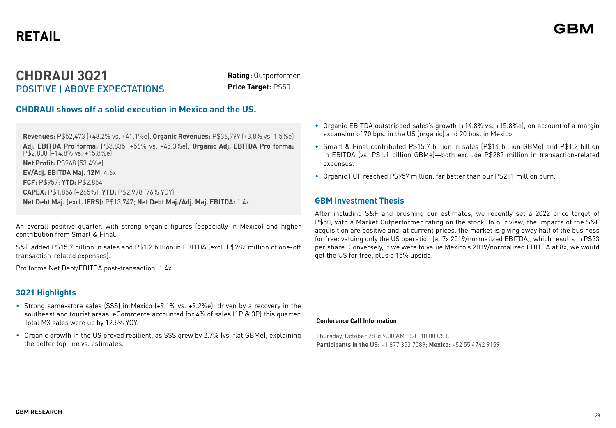## **CHDRAUI 3Q21** POSITIVE | ABOVE EXPECTATIONS

**Rating:** Outperformer **Price Target:** P\$50

## **CHDRAUI shows off a solid execution in Mexico and the US.**

**Revenues:** P\$52,473 (+48.2% vs. +41.1%e). **Organic Revenues:** P\$36,799 (+3.8% vs. 1.5%e) **Adj. EBITDA Pro forma:** P\$3,835 (+56% vs. +45.3%e); **Organic Adj. EBITDA Pro forma:** P\$2,808 (+14.8% vs. +15.8%e) **Net Profit:** P\$968 (53.4%e) **EV/Adj. EBITDA Maj. 12M**: 4.6x **FCF:** P\$957; **YTD:** P\$2,854 **CAPEX:** P\$1,856 (+265%); **YTD:** P\$2,978 (76% YOY). **Net Debt Maj. (excl. IFRS):** P\$13,747; **Net Debt Maj./Adj. Maj. EBITDA:** 1.4x

An overall positive quarter, with strong organic figures (especially in Mexico) and higher contribution from Smart & Final.

S&F added P\$15.7 billion in sales and P\$1.2 billion in EBITDA (excl. P\$282 million of one-off transaction-related expenses).

Pro forma Net Debt/EBITDA post-transaction: 1.4x

## **3Q21 Highlights**

- Strong same-store sales (SSS) in Mexico (+9.1% vs. +9.2%e), driven by a recovery in the southeast and tourist areas. eCommerce accounted for 4% of sales (1P & 3P) this quarter. Total MX sales were up by 12.5% YOY.
- Organic growth in the US proved resilient, as SSS grew by 2.7% (vs. flat GBMe), explaining the better top line vs. estimates.
- Organic EBITDA outstripped sales's growth (+14.8% vs. +15.8%e), on account of a margin expansion of 70 bps. in the US (organic) and 20 bps. in Mexico.
- Smart & Final contributed P\$15.7 billion in sales (P\$14 billion GBMe) and P\$1.2 billion in EBITDA (vs. P\$1.1 billion GBMe)—both exclude P\$282 million in transaction-related expenses.
- Organic FCF reached P\$957 million, far better than our P\$211 million burn.

## **GBM Investment Thesis**

After including S&F and brushing our estimates, we recently set a 2022 price target of P\$50, with a Market Outperformer rating on the stock. In our view, the impacts of the S&F acquisition are positive and, at current prices, the market is giving away half of the business for free: valuing only the US operation (at 7x 2019/normalized EBITDA), which results in P\$33 per share. Conversely, if we were to value Mexico's 2019/normalized EBITDA at 8x, we would get the US for free, plus a 15% upside.

#### **Conference Call Information**

Thursday, October 28 @ 9:00 AM EST, 10:00 CST. **Participants in the US:** +1 877 353 7089; **Mexico:** +52 55 4742 9159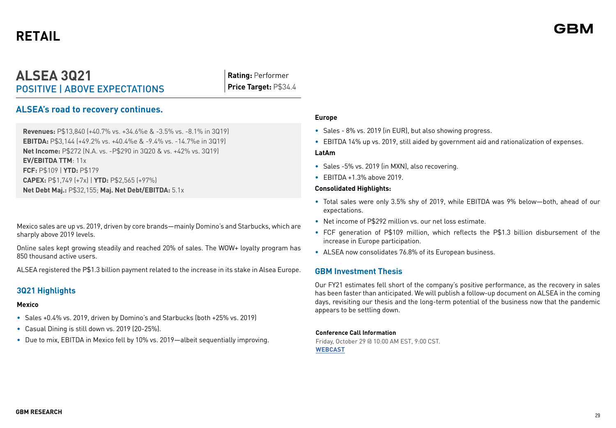## **ALSEA 3Q21** POSITIVE | ABOVE EXPECTATIONS

**Rating:** Performer **Price Target:** P\$34.4

## **ALSEA's road to recovery continues.**

**Revenues:** P\$13,840 (+40.7% vs. +34.6%e & -3.5% vs. -8.1% in 3Q19) **EBITDA:** P\$3,144 (+49.2% vs. +40.4%e & -9.4% vs. -14.7%e in 3Q19) **Net Income:** P\$272 (N.A. vs. -P\$290 in 3Q20 & vs. +42% vs. 3Q19) **EV/EBITDA TTM**: 11x **FCF:** P\$109 | **YTD:** P\$179 **CAPEX:** P\$1,749 (+7x) | **YTD:** P\$2,565 (+97%) **Net Debt Maj.:** P\$32,155; **Maj. Net Debt/EBITDA:** 5.1x

Mexico sales are up vs. 2019, driven by core brands—mainly Domino's and Starbucks, which are sharply above 2019 levels.

Online sales kept growing steadily and reached 20% of sales. The WOW+ loyalty program has 850 thousand active users.

ALSEA registered the P\$1.3 billion payment related to the increase in its stake in Alsea Europe.

## **3Q21 Highlights**

#### **Mexico**

- Sales +0.4% vs. 2019, driven by Domino's and Starbucks (both +25% vs. 2019)
- Casual Dining is still down vs. 2019 (20-25%).
- Due to mix, EBITDA in Mexico fell by 10% vs. 2019—albeit sequentially improving.

#### **Europe**

- Sales 8% vs. 2019 (in EUR), but also showing progress.
- EBITDA 14% up vs. 2019, still aided by government aid and rationalization of expenses.

#### **LatAm**

- Sales -5% vs. 2019 (in MXN), also recovering.
- EBITDA +1.3% above 2019.

#### **Consolidated Highlights:**

- Total sales were only 3.5% shy of 2019, while EBITDA was 9% below—both, ahead of our expectations.
- Net income of P\$292 million vs. our net loss estimate.
- FCF generation of P\$109 million, which reflects the P\$1.3 billion disbursement of the increase in Europe participation.
- ALSEA now consolidates 76.8% of its European business.

### **GBM Investment Thesis**

Our FY21 estimates fell short of the company's positive performance, as the recovery in sales has been faster than anticipated. We will publish a follow-up document on ALSEA in the coming days, revisiting our thesis and the long-term potential of the business now that the pandemic appears to be settling down.

#### **Conference Call Information**

Friday, October 29 @ 10:00 AM EST, 9:00 CST. **[WEBCAST](https://alseareportederesultados.com/)**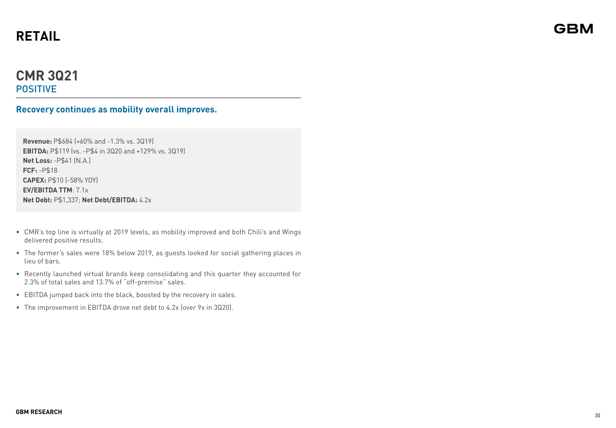## **CMR 3Q21** POSITIVE

## **Recovery continues as mobility overall improves.**

**Revenue:** P\$684 (+60% and -1.3% vs. 3Q19) **EBITDA:** P\$119 (vs. -P\$4 in 3Q20 and +129% vs. 3Q19) **Net Loss:** -P\$41 (N.A.) **FCF:** -P\$18 **CAPEX:** P\$10 (-58% YOY) **EV/EBITDA TTM**: 7.1x **Net Debt:** P\$1,337; **Net Debt/EBITDA:** 4.2x

- CMR's top line is virtually at 2019 levels, as mobility improved and both Chili's and Wings delivered positive results.
- The former's sales were 18% below 2019, as guests looked for social gathering places in lieu of bars.
- Recently launched virtual brands keep consolidating and this quarter they accounted for 2.3% of total sales and 13.7% of "off-premise" sales.
- EBITDA jumped back into the black, boosted by the recovery in sales.
- The improvement in EBITDA drove net debt to 4.2x (over 9x in 3Q20).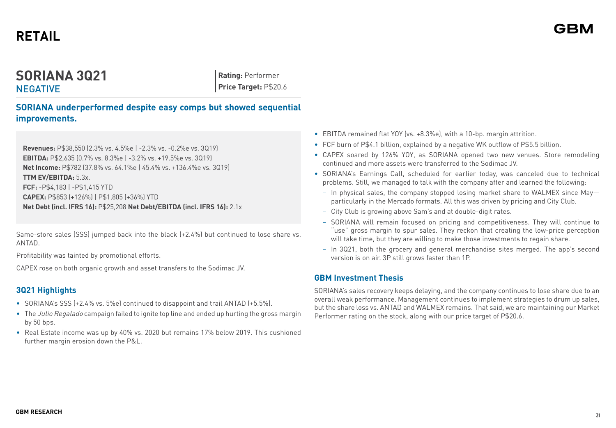## **SORIANA 3Q21 NEGATIVE**

**Rating:** Performer **Price Target:** P\$20.6

**SORIANA underperformed despite easy comps but showed sequential improvements.**

**Revenues:** P\$38,550 (2.3% vs. 4.5%e | -2.3% vs. -0.2%e vs. 3Q19) **EBITDA:** P\$2,635 (0.7% vs. 8.3%e | -3.2% vs. +19.5%e vs. 3Q19) **Net Income:** P\$782 (37.8% vs. 64.1%e | 45.4% vs. +136.4%e vs. 3Q19) **TTM EV/EBITDA:** 5.3x. **FCF:** -P\$4,183 | -P\$1,415 YTD **CAPEX:** P\$853 (+126%) | P\$1,805 (+36%) YTD **Net Debt (incl. IFRS 16):** P\$25,208 **Net Debt/EBITDA (incl. IFRS 16):** 2.1x

Same-store sales (SSS) jumped back into the black (+2.4%) but continued to lose share vs. ANTAD.

Profitability was tainted by promotional efforts.

CAPEX rose on both organic growth and asset transfers to the Sodimac JV.

## **3Q21 Highlights**

- SORIANA's SSS (+2.4% vs. 5%e) continued to disappoint and trail ANTAD (+5.5%).
- The *Julio Regalado* campaign failed to ignite top line and ended up hurting the gross margin by 50 bps.
- Real Estate income was up by 40% vs. 2020 but remains 17% below 2019. This cushioned further margin erosion down the P&L.
- EBITDA remained flat YOY (vs. +8.3%e), with a 10-bp. margin attrition.
- FCF burn of P\$4.1 billion, explained by a negative WK outflow of P\$5.5 billion.
- CAPEX soared by 126% YOY, as SORIANA opened two new venues. Store remodeling continued and more assets were transferred to the Sodimac JV.
- SORIANA's Earnings Call, scheduled for earlier today, was canceled due to technical problems. Still, we managed to talk with the company after and learned the following:
	- In physical sales, the company stopped losing market share to WALMEX since May particularly in the Mercado formats. All this was driven by pricing and City Club.
	- City Club is growing above Sam's and at double-digit rates.
	- SORIANA will remain focused on pricing and competitiveness. They will continue to "use" gross margin to spur sales. They reckon that creating the low-price perception will take time, but they are willing to make those investments to regain share.
	- In 3Q21, both the grocery and general merchandise sites merged. The app's second version is on air. 3P still grows faster than 1P.

## **GBM Investment Thesis**

SORIANA's sales recovery keeps delaying, and the company continues to lose share due to an overall weak performance. Management continues to implement strategies to drum up sales, but the share loss vs. ANTAD and WALMEX remains. That said, we are maintaining our Market Performer rating on the stock, along with our price target of P\$20.6.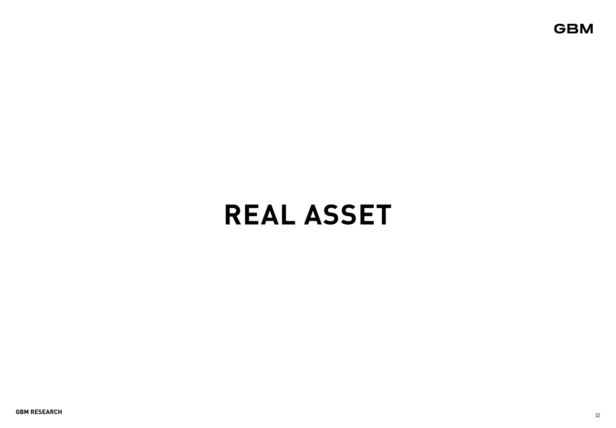# **REAL ASSET**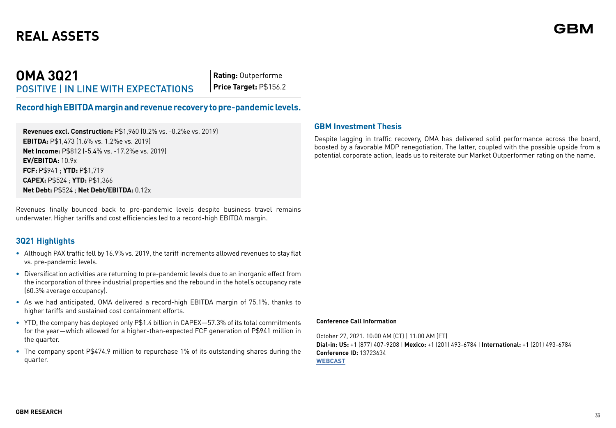## **OMA 3Q21** POSITIVE | IN LINE WITH EXPECTATIONS

**Rating:** Outperforme **Price Target:** P\$156.2

## **Record high EBITDA margin and revenue recovery to pre-pandemic levels.**

**Revenues excl. Construction:** P\$1,960 (0.2% vs. -0.2%e vs. 2019) **EBITDA:** P\$1,473 (1.6% vs. 1.2%e vs. 2019) **Net Income:** P\$812 (-5.4% vs. -17.2%e vs. 2019) **EV/EBITDA:** 10.9x **FCF:** P\$941 ; **YTD:** P\$1,719 **CAPEX:** P\$524 ; **YTD:** P\$1,366 **Net Debt:** P\$524 ; **Net Debt/EBITDA:** 0.12x

Revenues finally bounced back to pre-pandemic levels despite business travel remains underwater. Higher tariffs and cost efficiencies led to a record-high EBITDA margin.

## **3Q21 Highlights**

- **•** Although PAX traffic fell by 16.9% vs. 2019, the tariff increments allowed revenues to stay flat vs. pre-pandemic levels.
- **•** Diversification activities are returning to pre-pandemic levels due to an inorganic effect from the incorporation of three industrial properties and the rebound in the hotel's occupancy rate (60.3% average occupancy).
- **•** As we had anticipated, OMA delivered a record-high EBITDA margin of 75.1%, thanks to higher tariffs and sustained cost containment efforts.
- **•** YTD, the company has deployed only P\$1.4 billion in CAPEX—57.3% of its total commitments for the year—which allowed for a higher-than-expected FCF generation of P\$941 million in the quarter.
- **•** The company spent P\$474.9 million to repurchase 1% of its outstanding shares during the quarter.

## **GBM Investment Thesis**

Despite lagging in traffic recovery, OMA has delivered solid performance across the board, boosted by a favorable MDP renegotiation. The latter, coupled with the possible upside from a potential corporate action, leads us to reiterate our Market Outperformer rating on the name.

#### **Conference Call Information**

October 27, 2021. 10:00 AM (CT) | 11:00 AM (ET) **Dial-in: US:** +1 (877) 407-9208 | **Mexico:** +1 (201) 493-6784 | **International:** +1 (201) 493-6784 **Conference ID:** 13723634 **[WEBCAST](https://ir.oma.aero/events-and-presentations/events)**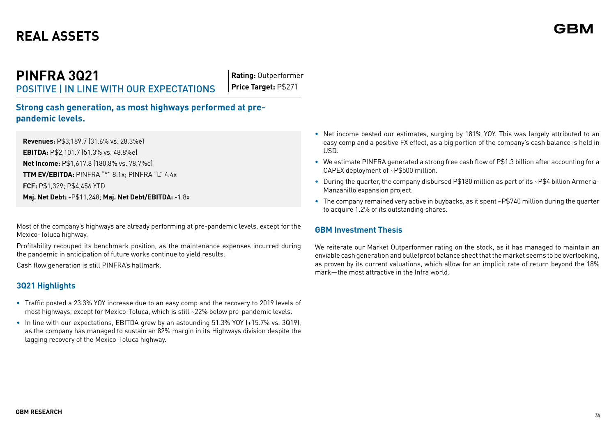## **PINFRA 3Q21** POSITIVE | IN LINE WITH OUR EXPECTATIONS

**Rating:** Outperformer **Price Target:** P\$271

**Strong cash generation, as most highways performed at prepandemic levels.**

**Revenues:** P\$3,189.7 (31.6% vs. 28.3%e) **EBITDA:** P\$2,101.7 (51.3% vs. 48.8%e) **Net Income:** P\$1,617.8 (180.8% vs. 78.7%e) **TTM EV/EBITDA:** PINFRA "\*" 8.1x; PINFRA "L" 4.4x **FCF:** P\$1,329; P\$4,456 YTD **Maj. Net Debt:** -P\$11,248; **Maj. Net Debt/EBITDA:** -1.8x

Most of the company's highways are already performing at pre-pandemic levels, except for the Mexico-Toluca highway.

Profitability recouped its benchmark position, as the maintenance expenses incurred during the pandemic in anticipation of future works continue to yield results.

Cash flow generation is still PINFRA's hallmark.

## **3Q21 Highlights**

- **•** Traffic posted a 23.3% YOY increase due to an easy comp and the recovery to 2019 levels of most highways, except for Mexico-Toluca, which is still ~22% below pre-pandemic levels.
- **•** In line with our expectations, EBITDA grew by an astounding 51.3% YOY (+15.7% vs. 3Q19), as the company has managed to sustain an 82% margin in its Highways division despite the lagging recovery of the Mexico-Toluca highway.
- **•** Net income bested our estimates, surging by 181% YOY. This was largely attributed to an easy comp and a positive FX effect, as a big portion of the company's cash balance is held in USD.
- **•** We estimate PINFRA generated a strong free cash flow of P\$1.3 billion after accounting for a CAPEX deployment of ~P\$500 million.
- **•** During the quarter, the company disbursed P\$180 million as part of its ~P\$4 billion Armeria-Manzanillo expansion project.
- **•** The company remained very active in buybacks, as it spent ~P\$740 million during the quarter to acquire 1.2% of its outstanding shares.

## **GBM Investment Thesis**

We reiterate our Market Outperformer rating on the stock, as it has managed to maintain an enviable cash generation and bulletproof balance sheet that the market seems to be overlooking, as proven by its current valuations, which allow for an implicit rate of return beyond the 18% mark—the most attractive in the Infra world.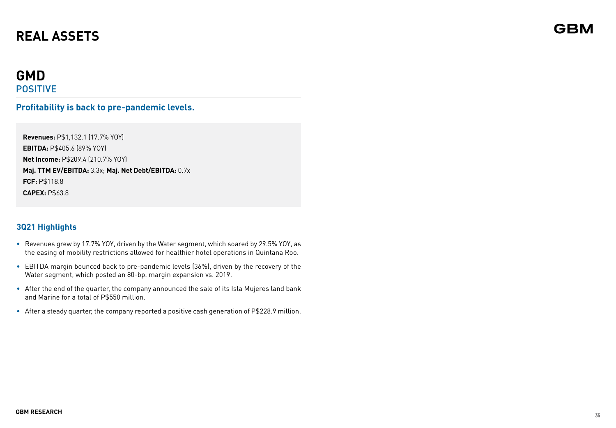## **GMD** POSITIVE

## **Profitability is back to pre-pandemic levels.**

**Revenues:** P\$1,132.1 (17.7% YOY) **EBITDA:** P\$405.6 (89% YOY) **Net Income:** P\$209.4 (210.7% YOY) **Maj. TTM EV/EBITDA:** 3.3x; **Maj. Net Debt/EBITDA:** 0.7x **FCF:** P\$118.8 **CAPEX:** P\$63.8

## **3Q21 Highlights**

- **•** Revenues grew by 17.7% YOY, driven by the Water segment, which soared by 29.5% YOY, as the easing of mobility restrictions allowed for healthier hotel operations in Quintana Roo.
- **•** EBITDA margin bounced back to pre-pandemic levels (36%), driven by the recovery of the Water segment, which posted an 80-bp. margin expansion vs. 2019.
- **•** After the end of the quarter, the company announced the sale of its Isla Mujeres land bank and Marine for a total of P\$550 million.
- **•** After a steady quarter, the company reported a positive cash generation of P\$228.9 million.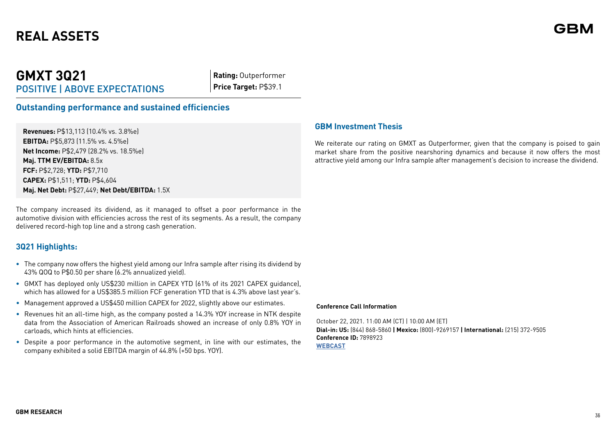## **GMXT 3Q21** POSITIVE | ABOVE EXPECTATIONS

**Rating:** Outperformer **Price Target:** P\$39.1

## **Outstanding performance and sustained efficiencies**

**Revenues:** P\$13,113 (10.4% vs. 3.8%e) **EBITDA:** P\$5,873 (11.5% vs. 4.5%e) **Net Income:** P\$2,479 (28.2% vs. 18.5%e) **Maj. TTM EV/EBITDA:** 8.5x **FCF:** P\$2,728; **YTD:** P\$7,710 **CAPEX:** P\$1,511; **YTD:** P\$4,604 **Maj. Net Debt:** P\$27,449; **Net Debt/EBITDA:** 1.5X

The company increased its dividend, as it managed to offset a poor performance in the automotive division with efficiencies across the rest of its segments. As a result, the company delivered record-high top line and a strong cash generation.

## **3Q21 Highlights:**

- **•** The company now offers the highest yield among our Infra sample after rising its dividend by 43% QOQ to P\$0.50 per share (6.2% annualized yield).
- **•** GMXT has deployed only US\$230 million in CAPEX YTD (61% of its 2021 CAPEX guidance), which has allowed for a US\$385.5 million FCF generation YTD that is 4.3% above last year's.
- Management approved a US\$450 million CAPEX for 2022, slightly above our estimates.
- Revenues hit an all-time high, as the company posted a 14.3% YOY increase in NTK despite data from the Association of American Railroads showed an increase of only 0.8% YOY in carloads, which hints at efficiencies.
- Despite a poor performance in the automotive segment, in line with our estimates, the company exhibited a solid EBITDA margin of 44.8% (+50 bps. YOY).

### **GBM Investment Thesis**

We reiterate our rating on GMXT as Outperformer, given that the company is poised to gain market share from the positive nearshoring dynamics and because it now offers the most attractive yield among our Infra sample after management's decision to increase the dividend.

#### **Conference Call Information**

October 22, 2021. 11:00 AM (CT) | 10:00 AM (ET) **Dial-in: US:** (844) 868-5860 **| Mexico:** (800)-9269157 **| International:** (215) 372-9505 **Conference ID:** 7898923 **[WEBCAST](https://ferromex.webex.com/webappng/sites/ferromex/meeting/download/a8b8a113e7a74700a9c924072b837a18?siteurl=ferromex&MTID=m5d4a6c68cc5fbdfa548f1794d009122a)**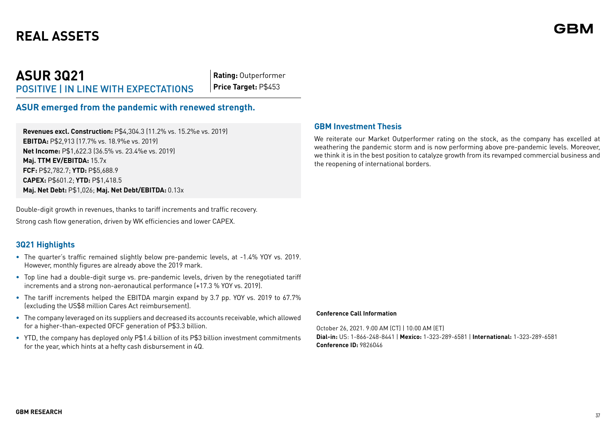# **REAL ASSETS**

## **ASUR 3Q21** POSITIVE | IN LINE WITH EXPECTATIONS

**Rating:** Outperformer **Price Target:** P\$453

## **ASUR emerged from the pandemic with renewed strength.**

**Revenues excl. Construction:** P\$4,304.3 (11.2% vs. 15.2%e vs. 2019) **EBITDA:** P\$2,913 (17.7% vs. 18.9%e vs. 2019) **Net Income:** P\$1,622.3 (36.5% vs. 23.4%e vs. 2019) **Maj. TTM EV/EBITDA:** 15.7x **FCF:** P\$2,782.7; **YTD:** P\$5,688.9 **CAPEX:** P\$601.2; **YTD:** P\$1,418.5 **Maj. Net Debt:** P\$1,026; **Maj. Net Debt/EBITDA:** 0.13x

Double-digit growth in revenues, thanks to tariff increments and traffic recovery.

Strong cash flow generation, driven by WK efficiencies and lower CAPEX.

## **3Q21 Highlights**

- **•** The quarter's traffic remained slightly below pre-pandemic levels, at -1.4% YOY vs. 2019. However, monthly figures are already above the 2019 mark.
- **•** Top line had a double-digit surge vs. pre-pandemic levels, driven by the renegotiated tariff increments and a strong non-aeronautical performance (+17.3 % YOY vs. 2019).
- **•** The tariff increments helped the EBITDA margin expand by 3.7 pp. YOY vs. 2019 to 67.7% (excluding the US\$8 million Cares Act reimbursement).
- **•** The company leveraged on its suppliers and decreased its accounts receivable, which allowed for a higher-than-expected OFCF generation of P\$3.3 billion.
- **•** YTD, the company has deployed only P\$1.4 billion of its P\$3 billion investment commitments for the year, which hints at a hefty cash disbursement in 4Q.

### **GBM Investment Thesis**

We reiterate our Market Outperformer rating on the stock, as the company has excelled at weathering the pandemic storm and is now performing above pre-pandemic levels. Moreover, we think it is in the best position to catalyze growth from its revamped commercial business and the reopening of international borders.

#### **Conference Call Information**

October 26, 2021. 9:00 AM (CT) | 10:00 AM (ET) **Dial-in:** US: 1-866-248-8441 | **Mexico:** 1-323-289-6581 | **International:** 1-323-289-6581 **Conference ID:** 9826046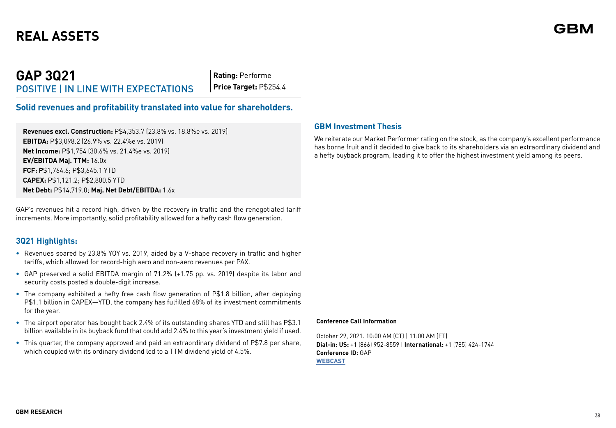# **REAL ASSETS**

## **GAP 3Q21** POSITIVE | IN LINE WITH EXPECTATIONS

**Rating:** Performe **Price Target:** P\$254.4

## **Solid revenues and profitability translated into value for shareholders.**

**Revenues excl. Construction:** P\$4,353.7 (23.8% vs. 18.8%e vs. 2019) **EBITDA:** P\$3,098.2 (26.9% vs. 22.4%e vs. 2019) **Net Income:** P\$1,754 (30.6% vs. 21.4%e vs. 2019) **EV/EBITDA Maj. TTM:** 16.0x **FCF: P**\$1,764.6; P\$3,645.1 YTD **CAPEX:** P\$1,121.2; P\$2,800.5 YTD **Net Debt:** P\$14,719.0; **Maj. Net Debt/EBITDA:** 1.6x

GAP's revenues hit a record high, driven by the recovery in traffic and the renegotiated tariff increments. More importantly, solid profitability allowed for a hefty cash flow generation.

## **3Q21 Highlights:**

- **•** Revenues soared by 23.8% YOY vs. 2019, aided by a V-shape recovery in traffic and higher tariffs, which allowed for record-high aero and non-aero revenues per PAX.
- **•** GAP preserved a solid EBITDA margin of 71.2% (+1.75 pp. vs. 2019) despite its labor and security costs posted a double-digit increase.
- **•** The company exhibited a hefty free cash flow generation of P\$1.8 billion, after deploying P\$1.1 billion in CAPEX—YTD, the company has fulfilled 68% of its investment commitments for the year.
- **•** The airport operator has bought back 2.4% of its outstanding shares YTD and still has P\$3.1 billion available in its buyback fund that could add 2.4% to this year's investment yield if used.
- **•** This quarter, the company approved and paid an extraordinary dividend of P\$7.8 per share, which coupled with its ordinary dividend led to a TTM dividend yield of 4.5%.

## **GBM Investment Thesis**

We reiterate our Market Performer rating on the stock, as the company's excellent performance has borne fruit and it decided to give back to its shareholders via an extraordinary dividend and a hefty buyback program, leading it to offer the highest investment yield among its peers.

#### **Conference Call Information**

October 29, 2021. 10:00 AM (CT) | 11:00 AM (ET) **Dial-in: US:** +1 (866) 952-8559 | **International:** +1 (785) 424-1744 **Conference ID:** GAP **[WEBCAST](https://services.choruscall.com/links/pac211029hLiosFTE.html)**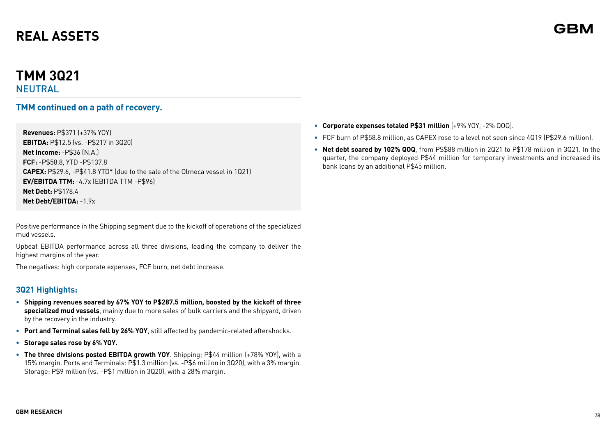# **REAL ASSETS**

# **TMM 3Q21**

NEUTRAL

## **TMM continued on a path of recovery.**

**Revenues:** P\$371 (+37% YOY) **EBITDA:** P\$12.5 (vs. -P\$217 in 3Q20) **Net Income:** -P\$36 (N.A.) **FCF:** -P\$58.8, YTD -P\$137.8 **CAPEX:** P\$29.6, -P\$41.8 YTD\* (due to the sale of the Olmeca vessel in 1Q21) **EV/EBITDA TTM:** -4.7x (EBITDA TTM -P\$96) **Net Debt:** P\$178.4 **Net Debt/EBITDA: -1.9x.** 

Positive performance in the Shipping segment due to the kickoff of operations of the specialized mud vessels.

Upbeat EBITDA performance across all three divisions, leading the company to deliver the highest margins of the year.

The negatives: high corporate expenses, FCF burn, net debt increase.

## **3Q21 Highlights:**

- **• Shipping revenues soared by 67% YOY to P\$287.5 million, boosted by the kickoff of three specialized mud vessels**, mainly due to more sales of bulk carriers and the shipyard, driven by the recovery in the industry.
- **• Port and Terminal sales fell by 26% YOY**, still affected by pandemic-related aftershocks.
- **• Storage sales rose by 6% YOY.**
- **• The three divisions posted EBITDA growth YOY**. Shipping; P\$44 million (+78% YOY), with a 15% margin. Ports and Terminals: P\$1.3 million (vs. -P\$6 million in 3Q20), with a 3% margin. Storage: P\$9 million (vs. –P\$1 million in 3Q20), with a 28% margin.
- **• Corporate expenses totaled P\$31 million** (+9% YOY, -2% QOQ).
- **•** FCF burn of P\$58.8 million, as CAPEX rose to a level not seen since 4Q19 (P\$29.6 million).
- **• Net debt soared by 102% QOQ**, from PS\$88 million in 2Q21 to P\$178 million in 3Q21. In the quarter, the company deployed P\$44 million for temporary investments and increased its bank loans by an additional P\$45 million.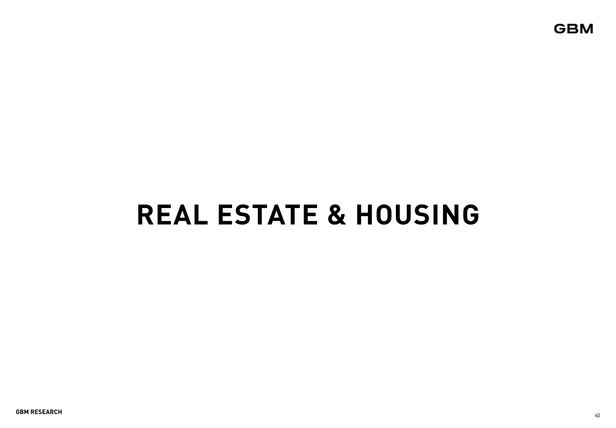**GBM** 

# **REAL ESTATE & HOUSING**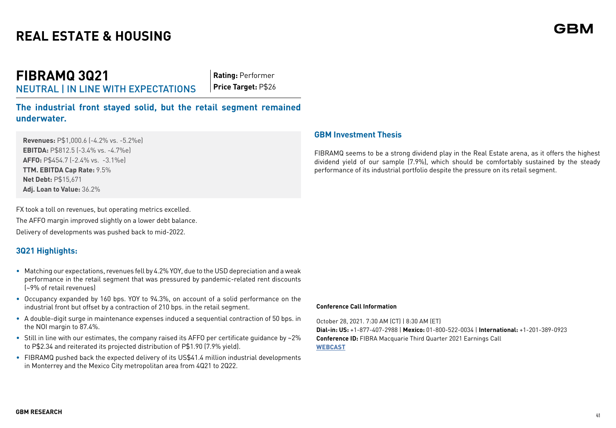**FIBRAMQ 3Q21** NEUTRAL | IN LINE WITH EXPECTATIONS

**Rating:** Performer **Price Target:** P\$26

**The industrial front stayed solid, but the retail segment remained underwater.**

**Revenues:** P\$1,000.6 (-4.2% vs. -5.2%e) **EBITDA:** P\$812.5 (-3.4% vs. -4.7%e) **AFFO:** P\$454.7 (-2.4% vs. -3.1%e) **TTM. EBITDA Cap Rate:** 9.5% **Net Debt:** P\$15,671 **Adj. Loan to Value:** 36.2%

FX took a toll on revenues, but operating metrics excelled. The AFFO margin improved slightly on a lower debt balance. Delivery of developments was pushed back to mid-2022.

## **3Q21 Highlights:**

- Matching our expectations, revenues fell by 4.2% YOY, due to the USD depreciation and a weak performance in the retail segment that was pressured by pandemic-related rent discounts (~9% of retail revenues)
- Occupancy expanded by 160 bps. YOY to 94.3%, on account of a solid performance on the industrial front but offset by a contraction of 210 bps. in the retail segment.
- A double-digit surge in maintenance expenses induced a sequential contraction of 50 bps. in the NOI margin to 87.4%.
- Still in line with our estimates, the company raised its AFFO per certificate guidance by ~2% to P\$2.34 and reiterated its projected distribution of P\$1.90 (7.9% yield).
- FIBRAMQ pushed back the expected delivery of its US\$41.4 million industrial developments in Monterrey and the Mexico City metropolitan area from 4Q21 to 2Q22.

## **GBM Investment Thesis**

FIBRAMQ seems to be a strong dividend play in the Real Estate arena, as it offers the highest dividend yield of our sample (7.9%), which should be comfortably sustained by the steady performance of its industrial portfolio despite the pressure on its retail segment.

#### **Conference Call Information**

October 28, 2021. 7:30 AM (CT) | 8:30 AM (ET)

**Dial-in: US:** +1-877-407-2988 | **Mexico:** 01-800-522-0034 | **International:** +1-201-389-0923 **Conference ID:** FIBRA Macquarie Third Quarter 2021 Earnings Call **[WEBCAST](https://www.fibramacquarie.com/es.html)**

# GRN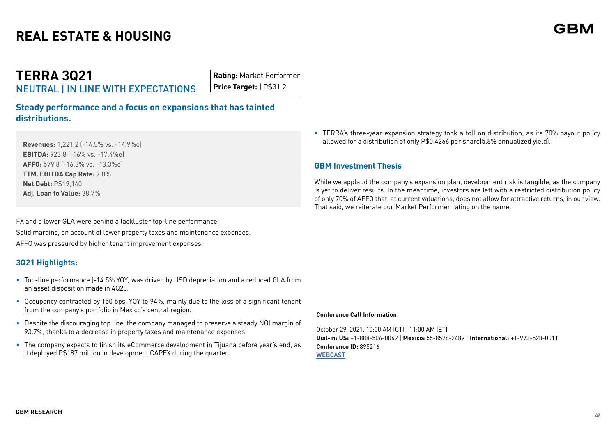**TERRA 3Q21** NEUTRAL | IN LINE WITH EXPECTATIONS **Rating:** Market Performer **Price Target: | P\$31.2** 

**Steady performance and a focus on expansions that has tainted distributions.**

**Revenues:** 1,221.2 (-14.5% vs. -14.9%e) **EBITDA:** 923.8 (-16% vs. -17.4%e) **AFFO:** 579.8 (-16.3% vs. -13.3%e) **TTM. EBITDA Cap Rate:** 7.8% **Net Debt:** P\$19,140 **Adj. Loan to Value:** 38.7%

FX and a lower GLA were behind a lackluster top-line performance. Solid margins, on account of lower property taxes and maintenance expenses. AFFO was pressured by higher tenant improvement expenses.

## **3Q21 Highlights:**

- Top-line performance (-14.5% YOY) was driven by USD depreciation and a reduced GLA from an asset disposition made in 4Q20.
- Occupancy contracted by 150 bps. YOY to 94%, mainly due to the loss of a significant tenant from the company's portfolio in Mexico's central region.
- Despite the discouraging top line, the company managed to preserve a steady NOI margin of 93.7%, thanks to a decrease in property taxes and maintenance expenses.
- The company expects to finish its eCommerce development in Tijuana before year's end, as it deployed P\$187 million in development CAPEX during the quarter.

• TERRA's three-year expansion strategy took a toll on distribution, as its 70% payout policy allowed for a distribution of only P\$0.4266 per share(5.8% annualized yield).

## **GBM Investment Thesis**

While we applaud the company's expansion plan, development risk is tangible, as the company is yet to deliver results. In the meantime, investors are left with a restricted distribution policy of only 70% of AFFO that, at current valuations, does not allow for attractive returns, in our view. That said, we reiterate our Market Performer rating on the name.

#### **Conference Call Information**

October 29, 2021. 10:00 AM (CT) | 11:00 AM (ET) **Dial-in: US:** +1-888-506-0062 | **Mexico:** 55-8526-2489 | **International:** +1-973-528-0011 **Conference ID:** 895216 **[WEBCAST](https://www.webcaster4.com/Webcast/Page/2133/43066)**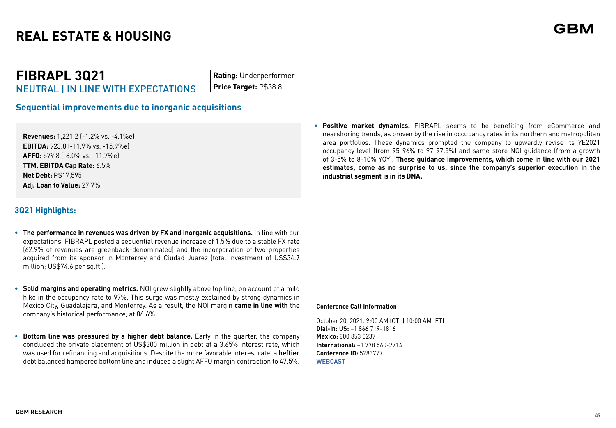# **FIBRAPL 3Q21**

NEUTRAL | IN LINE WITH EXPECTATIONS

**Rating:** Underperformer **Price Target:** P\$38.8

## **Sequential improvements due to inorganic acquisitions**

**Revenues:** 1,221.2 (-1.2% vs. -4.1%e) **EBITDA:** 923.8 (-11.9% vs. -15.9%e) **AFFO:** 579.8 (-8.0% vs. -11.7%e) **TTM. EBITDA Cap Rate:** 6.5% **Net Debt:** P\$17,595 **Adj. Loan to Value:** 27.7%

## **3Q21 Highlights:**

- **• The performance in revenues was driven by FX and inorganic acquisitions.** In line with our expectations, FIBRAPL posted a sequential revenue increase of 1.5% due to a stable FX rate (62.9% of revenues are greenback-denominated) and the incorporation of two properties acquired from its sponsor in Monterrey and Ciudad Juarez (total investment of US\$34.7 million; US\$74.6 per sq.ft.).
- **• Solid margins and operating metrics.** NOI grew slightly above top line, on account of a mild hike in the occupancy rate to 97%. This surge was mostly explained by strong dynamics in Mexico City, Guadalajara, and Monterrey. As a result, the NOI margin **came in line with** the company's historical performance, at 86.6%.
- **Bottom line was pressured by a higher debt balance.** Early in the quarter, the company concluded the private placement of US\$300 million in debt at a 3.65% interest rate, which was used for refinancing and acquisitions. Despite the more favorable interest rate, a **heftier** debt balanced hampered bottom line and induced a slight AFFO margin contraction to 47.5%.

**• Positive market dynamics.** FIBRAPL seems to be benefiting from eCommerce and nearshoring trends, as proven by the rise in occupancy rates in its northern and metropolitan area portfolios. These dynamics prompted the company to upwardly revise its YE2021 occupancy level (from 95-96% to 97-97.5%) and same-store NOI guidance (from a growth of 3-5% to 8-10% YOY). **These guidance improvements, which come in line with our 2021 estimates, come as no surprise to us, since the company's superior execution in the industrial segment is in its DNA.**

#### **Conference Call Information**

October 20, 2021. 9:00 AM (CT) | 10:00 AM (ET) **Dial-in: US:** +1 866 719-1816 **Mexico:** 800 853 0237 **International:** +1 778 560-2714 **Conference ID:** 5283777 **[WEBCAST](https://events.q4inc.com/attendee/816982614)**

## GBN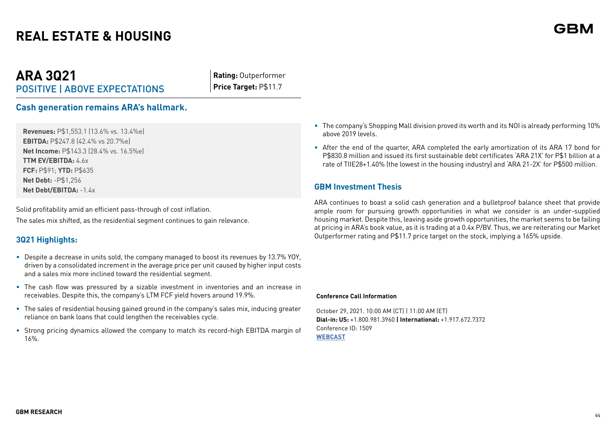## **ARA 3Q21** POSITIVE | ABOVE EXPECTATIONS

**Rating:** Outperformer **Price Target:** P\$11.7

## **Cash generation remains ARA's hallmark.**

**Revenues:** P\$1,553.1 (13.6% vs. 13.4%e) **EBITDA:** P\$247.8 (42.4% vs 20.7%e) **Net Income:** P\$143.3 (28.4% vs. 16.5%e) **TTM EV/EBITDA:** 4.6x **FCF:** P\$91; **YTD:** P\$635 **Net Debt:** -P\$1,256 **Net Debt/EBITDA:** -1.4x

Solid profitability amid an efficient pass-through of cost inflation. The sales mix shifted, as the residential segment continues to gain relevance.

## **3Q21 Highlights:**

- Despite a decrease in units sold, the company managed to boost its revenues by 13.7% YOY, driven by a consolidated increment in the average price per unit caused by higher input costs and a sales mix more inclined toward the residential segment.
- The cash flow was pressured by a sizable investment in inventories and an increase in receivables. Despite this, the company's LTM FCF yield hovers around 19.9%.
- The sales of residential housing gained ground in the company's sales mix, inducing greater reliance on bank loans that could lengthen the receivables cycle.
- Strong pricing dynamics allowed the company to match its record-high EBITDA margin of 16%.
- The company's Shopping Mall division proved its worth and its NOI is already performing 10% above 2019 levels.
- After the end of the quarter, ARA completed the early amortization of its ARA 17 bond for P\$830.8 million and issued its first sustainable debt certificates 'ARA 21X' for P\$1 billion at a rate of TIIE28+1.40% (the lowest in the housing industry) and 'ARA 21-2X' for P\$500 million.

## **GBM Investment Thesis**

ARA continues to boast a solid cash generation and a bulletproof balance sheet that provide ample room for pursuing growth opportunities in what we consider is an under-supplied housing market. Despite this, leaving aside growth opportunities, the market seems to be failing at pricing in ARA's book value, as it is trading at a 0.4x P/BV. Thus, we are reiterating our Market Outperformer rating and P\$11.7 price target on the stock, implying a 165% upside.

#### **Conference Call Information**

October 29, 2021. 10:00 AM (CT) | 11:00 AM (ET) **Dial-in: US:** +1.800.981.3960 **| International:** +1.917.672.7372 Conference ID: 1509 **[WEBCAST](https://consorcioara.transmision.com.mx/)**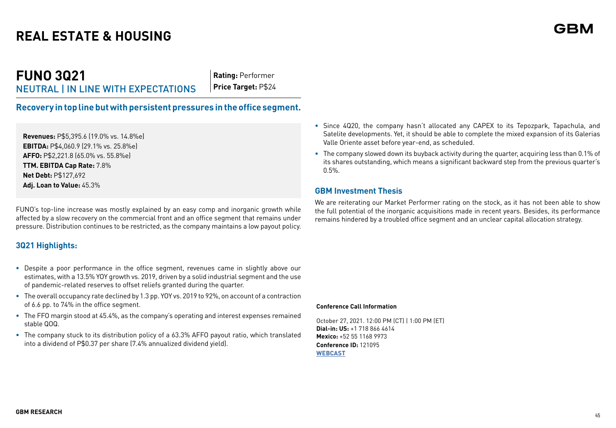**Rating:** Performer **Price Target:** P\$24

**Recovery in top line but with persistent pressures in the office segment.**

**Revenues:** P\$5,395.6 (19.0% vs. 14.8%e) **EBITDA:** P\$4,060.9 (29.1% vs. 25.8%e) **AFFO:** P\$2,221.8 (65.0% vs. 55.8%e) **TTM. EBITDA Cap Rate:** 7.8% **Net Debt:** P\$127,692 **Adj. Loan to Value:** 45.3%

FUNO's top-line increase was mostly explained by an easy comp and inorganic growth while affected by a slow recovery on the commercial front and an office segment that remains under pressure. Distribution continues to be restricted, as the company maintains a low payout policy.

## **3Q21 Highlights:**

- **•** Despite a poor performance in the office segment, revenues came in slightly above our estimates, with a 13.5% YOY growth vs. 2019, driven by a solid industrial segment and the use of pandemic-related reserves to offset reliefs granted during the quarter.
- **•** The overall occupancy rate declined by 1.3 pp. YOY vs. 2019 to 92%, on account of a contraction of 6.6 pp. to 74% in the office segment.
- **•** The FFO margin stood at 45.4%, as the company's operating and interest expenses remained stable QOQ.
- **•** The company stuck to its distribution policy of a 63.3% AFFO payout ratio, which translated into a dividend of P\$0.37 per share (7.4% annualized dividend yield).
- **•** Since 4Q20, the company hasn't allocated any CAPEX to its Tepozpark, Tapachula, and Satelite developments. Yet, it should be able to complete the mixed expansion of its Galerias Valle Oriente asset before year-end, as scheduled.
- **•** The company slowed down its buyback activity during the quarter, acquiring less than 0.1% of its shares outstanding, which means a significant backward step from the previous quarter's 0.5%.

## **GBM Investment Thesis**

We are reiterating our Market Performer rating on the stock, as it has not been able to show the full potential of the inorganic acquisitions made in recent years. Besides, its performance remains hindered by a troubled office segment and an unclear capital allocation strategy.

#### **Conference Call Information**

October 27, 2021. 12:00 PM (CT) | 1:00 PM (ET) **Dial-in: US:** +1 718 866 4614 **Mexico:** +52 55 1168 9973 **Conference ID:** 121095 **[WEBCAST](https://mm.closir.com/slides?id=121095)**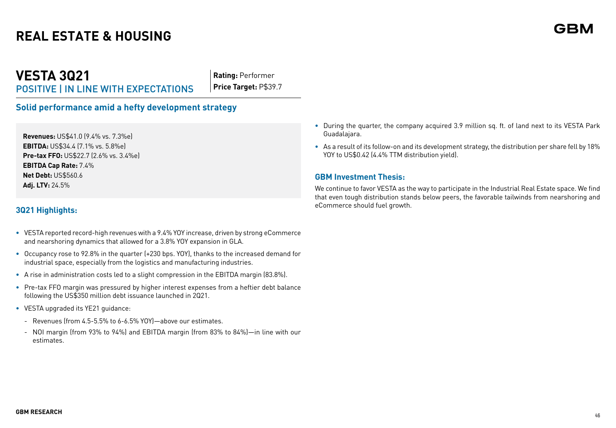**VESTA 3Q21** POSITIVE | IN LINE WITH EXPECTATIONS

**Rating:** Performer **Price Target:** P\$39.7

**Solid performance amid a hefty development strategy**

**Revenues:** US\$41.0 (9.4% vs. 7.3%e) **EBITDA:** US\$34.4 (7.1% vs. 5.8%e) **Pre-tax FFO:** US\$22.7 (2.6% vs. 3.4%e) **EBITDA Cap Rate:** 7.4% **Net Debt:** US\$560.6 **Adj. LTV:** 24.5%

## **3Q21 Highlights:**

- **•** VESTA reported record-high revenues with a 9.4% YOY increase, driven by strong eCommerce and nearshoring dynamics that allowed for a 3.8% YOY expansion in GLA.
- **•** Occupancy rose to 92.8% in the quarter (+230 bps. YOY), thanks to the increased demand for industrial space, especially from the logistics and manufacturing industries.
- **•** A rise in administration costs led to a slight compression in the EBITDA margin (83.8%).
- **•** Pre-tax FFO margin was pressured by higher interest expenses from a heftier debt balance following the US\$350 million debt issuance launched in 2Q21.
- **•** VESTA upgraded its YE21 guidance:
	- Revenues (from 4.5-5.5% to 6-6.5% YOY)—above our estimates.
	- NOI margin (from 93% to 94%) and EBITDA margin (from 83% to 84%)—in line with our estimates.
- **•** During the quarter, the company acquired 3.9 million sq. ft. of land next to its VESTA Park Guadalajara.
- **•** As a result of its follow-on and its development strategy, the distribution per share fell by 18% YOY to US\$0.42 (4.4% TTM distribution yield).

#### **GBM Investment Thesis:**

We continue to favor VESTA as the way to participate in the Industrial Real Estate space. We find that even tough distribution stands below peers, the favorable tailwinds from nearshoring and eCommerce should fuel growth.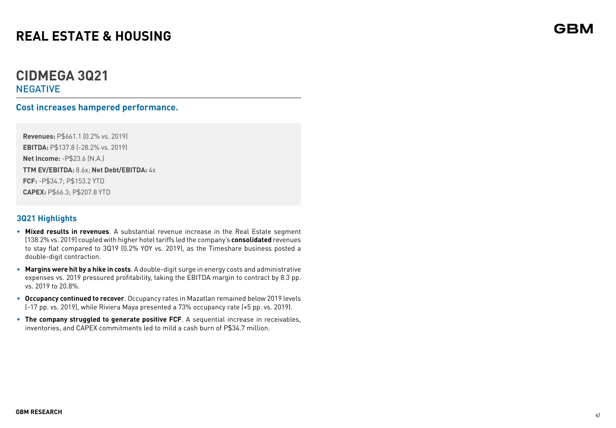## **CIDMEGA 3Q21 NEGATIVE**

## **Cost increases hampered performance.**

**Revenues:** P\$661.1 (0.2% vs. 2019) **EBITDA:** P\$137.8 (-28.2% vs. 2019) **Net Income:** -P\$23.6 (N.A.) **TTM EV/EBITDA:** 8.6x; **Net Debt/EBITDA:** 4x **FCF:** -P\$34.7; P\$153.2 YTD **CAPEX:** P\$66.3; P\$207.8 YTD

## **3Q21 Highlights**

- **• Mixed results in revenues**. A substantial revenue increase in the Real Estate segment (138.2% vs. 2019) coupled with higher hotel tariffs led the company's **consolidated** revenues to stay flat compared to 3Q19 (0.2% YOY vs. 2019), as the Timeshare business posted a double-digit contraction.
- **• Margins were hit by a hike in costs**. A double-digit surge in energy costs and administrative expenses vs. 2019 pressured profitability, taking the EBITDA margin to contract by 8.3 pp. vs. 2019 to 20.8%.
- **• Occupancy continued to recover**. Occupancy rates in Mazatlan remained below 2019 levels (-17 pp. vs. 2019), while Riviera Maya presented a 73% occupancy rate (+5 pp. vs. 2019).
- **• The company struggled to generate positive FCF**. A sequential increase in receivables, inventories, and CAPEX commitments led to mild a cash burn of P\$34.7 million.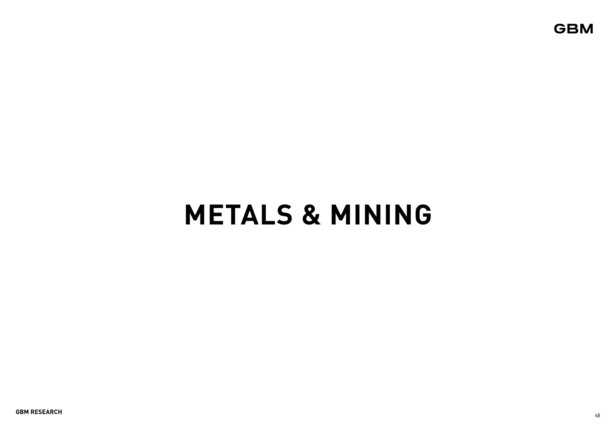**GBM** 

# **METALS & MINING**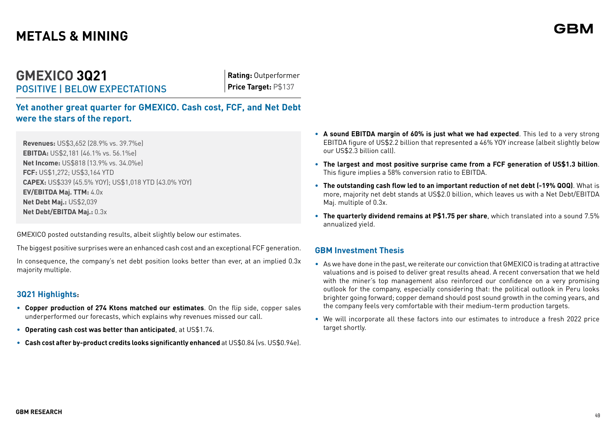## **GMEXICO 3Q21** POSITIVE | BELOW EXPECTATIONS

**Rating:** Outperformer **Price Target:** P\$137

**Yet another great quarter for GMEXICO. Cash cost, FCF, and Net Debt were the stars of the report.**

**Revenues:** US\$3,652 (28.9% vs. 39.7%e) **EBITDA:** US\$2,181 (46.1% vs. 56.1%e) **Net Income:** US\$818 (13.9% vs. 34.0%e) **FCF:** US\$1,272; US\$3,164 YTD **CAPEX:** US\$339 (45.5% YOY); US\$1,018 YTD (43.0% YOY) **EV/EBITDA Maj. TTM:** 4.0x **Net Debt Maj.:** US\$2,039 **Net Debt/EBITDA Maj.:** 0.3x

GMEXICO posted outstanding results, albeit slightly below our estimates.

The biggest positive surprises were an enhanced cash cost and an exceptional FCF generation.

In consequence, the company's net debt position looks better than ever, at an implied 0.3x majority multiple.

## **3Q21 Highlights:**

- **• Copper production of 274 Ktons matched our estimates**. On the flip side, copper sales underperformed our forecasts, which explains why revenues missed our call.
- **• Operating cash cost was better than anticipated**, at US\$1.74.
- **• Cash cost after by-product credits looks significantly enhanced** at US\$0.84 (vs. US\$0.94e).
- **• A sound EBITDA margin of 60% is just what we had expected**. This led to a very strong EBITDA figure of US\$2.2 billion that represented a 46% YOY increase (albeit slightly below our US\$2.3 billion call).
- **• The largest and most positive surprise came from a FCF generation of US\$1.3 billion**. This figure implies a 58% conversion ratio to EBITDA.
- **• The outstanding cash flow led to an important reduction of net debt (-19% QOQ)**. What is more, majority net debt stands at US\$2.0 billion, which leaves us with a Net Debt/EBITDA Maj. multiple of 0.3x.
- **• The quarterly dividend remains at P\$1.75 per share**, which translated into a sound 7.5% annualized yield.

## **GBM Investment Thesis**

- As we have done in the past, we reiterate our conviction that GMEXICO is trading at attractive valuations and is poised to deliver great results ahead. A recent conversation that we held with the miner's top management also reinforced our confidence on a very promising outlook for the company, especially considering that: the political outlook in Peru looks brighter going forward; copper demand should post sound growth in the coming years, and the company feels very comfortable with their medium-term production targets.
- We will incorporate all these factors into our estimates to introduce a fresh 2022 price target shortly.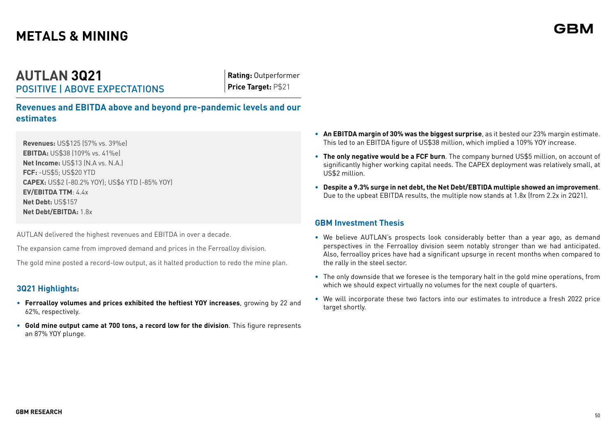## **AUTLAN 3Q21** POSITIVE | ABOVE EXPECTATIONS

**Rating:** Outperformer **Price Target:** P\$21

**Revenues and EBITDA above and beyond pre-pandemic levels and our estimates**

**Revenues:** US\$125 (57% vs. 39%e) **EBITDA:** US\$38 (109% vs. 41%e) **Net Income:** US\$13 (N.A vs. N.A.) **FCF:** -US\$5; US\$20 YTD **CAPEX:** US\$2 (-80.2% YOY); US\$6 YTD (-85% YOY) **EV/EBITDA TTM**: 4.4x **Net Debt:** US\$157 **Net Debt/EBITDA:** 1.8x

AUTLAN delivered the highest revenues and EBITDA in over a decade.

The expansion came from improved demand and prices in the Ferroalloy division.

The gold mine posted a record-low output, as it halted production to redo the mine plan.

## **3Q21 Highlights:**

- **• Ferroalloy volumes and prices exhibited the heftiest YOY increases**, growing by 22 and 62%, respectively.
- **• Gold mine output came at 700 tons, a record low for the division**. This figure represents an 87% YOY plunge.
- **• An EBITDA margin of 30% was the biggest surprise**, as it bested our 23% margin estimate. This led to an EBITDA figure of US\$38 million, which implied a 109% YOY increase.
- **• The only negative would be a FCF burn**. The company burned US\$5 million, on account of significantly higher working capital needs. The CAPEX deployment was relatively small, at US\$2 million.
- **• Despite a 9.3% surge in net debt, the Net Debt/EBTIDA multiple showed an improvement**. Due to the upbeat EBITDA results, the multiple now stands at 1.8x (from 2.2x in 2Q21).

## **GBM Investment Thesis**

- **•** We believe AUTLAN's prospects look considerably better than a year ago, as demand perspectives in the Ferroalloy division seem notably stronger than we had anticipated. Also, ferroalloy prices have had a significant upsurge in recent months when compared to the rally in the steel sector.
- **•** The only downside that we foresee is the temporary halt in the gold mine operations, from which we should expect virtually no volumes for the next couple of quarters.
- **•** We will incorporate these two factors into our estimates to introduce a fresh 2022 price target shortly.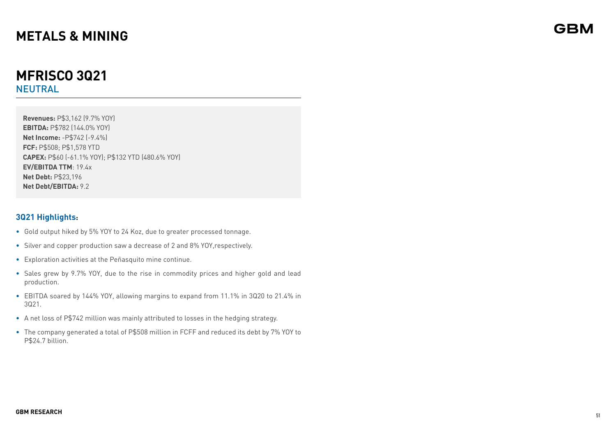## **MFRISCO 3Q21**  NEUTRAL

**Revenues:** P\$3,162 (9.7% YOY) **EBITDA:** P\$782 (144.0% YOY) **Net Income:** -P\$742 (-9.4%) **FCF:** P\$508; P\$1,578 YTD **CAPEX:** P\$60 (-61.1% YOY); P\$132 YTD (480.6% YOY) **EV/EBITDA TTM**: 19.4x **Net Debt:** P\$23,196 **Net Debt/EBITDA:** 9.2

## **3Q21 Highlights:**

- Gold output hiked by 5% YOY to 24 Koz, due to greater processed tonnage.
- Silver and copper production saw a decrease of 2 and 8% YOY,respectively.
- Exploration activities at the Peñasquito mine continue.
- Sales grew by 9.7% YOY, due to the rise in commodity prices and higher gold and lead production.
- EBITDA soared by 144% YOY, allowing margins to expand from 11.1% in 3Q20 to 21.4% in 3Q21.
- A net loss of P\$742 million was mainly attributed to losses in the hedging strategy.
- The company generated a total of P\$508 million in FCFF and reduced its debt by 7% YOY to P\$24.7 billion.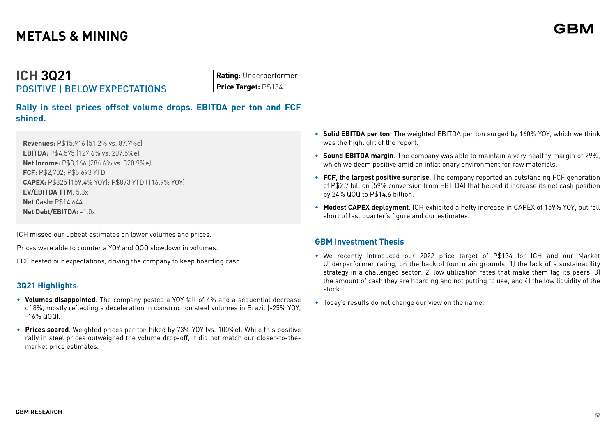## **ICH 3Q21** POSITIVE | BELOW EXPECTATIONS

**Rating:** Underperformer **Price Target: P\$134** 

**Rally in steel prices offset volume drops. EBITDA per ton and FCF shined.**

**Revenues:** P\$15,916 (51.2% vs. 87.7%e) **EBITDA:** P\$4,575 (127.6% vs. 207.5%e) **Net Income:** P\$3,166 (286.6% vs. 320.9%e) **FCF:** P\$2,702; P\$5,693 YTD **CAPEX:** P\$325 (159.4% YOY); P\$873 YTD (116.9% YOY) **EV/EBITDA TTM**: 5.3x **Net Cash:** P\$14,644 **Net Debt/EBITDA:** -1.0x

ICH missed our upbeat estimates on lower volumes and prices.

Prices were able to counter a YOY and QOQ slowdown in volumes.

FCF bested our expectations, driving the company to keep hoarding cash.

## **3Q21 Highlights:**

- **• Volumes disappointed**. The company posted a YOY fall of 4% and a sequential decrease of 8%, mostly reflecting a deceleration in construction steel volumes in Brazil (-25% YOY,  $-16\%$  QOQ)
- **• Prices soared**. Weighted prices per ton hiked by 73% YOY (vs. 100%e). While this positive rally in steel prices outweighed the volume drop-off, it did not match our closer-to-themarket price estimates.
- **• Solid EBITDA per ton**. The weighted EBITDA per ton surged by 160% YOY, which we think was the highlight of the report.
- **• Sound EBITDA margin**. The company was able to maintain a very healthy margin of 29%, which we deem positive amid an inflationary environment for raw materials.
- **• FCF, the largest positive surprise**. The company reported an outstanding FCF generation of P\$2.7 billion (59% conversion from EBITDA) that helped it increase its net cash position by 24% QOQ to P\$14.6 billion.
- **• Modest CAPEX deployment**. ICH exhibited a hefty increase in CAPEX of 159% YOY, but fell short of last quarter's figure and our estimates.

## **GBM Investment Thesis**

- We recently introduced our 2022 price target of P\$134 for ICH and our Market Underperformer rating, on the back of four main grounds: 1) the lack of a sustainability strategy in a challenged sector; 2) low utilization rates that make them lag its peers; 3) the amount of cash they are hoarding and not putting to use, and 4) the low liquidity of the stock.
- Today's results do not change our view on the name.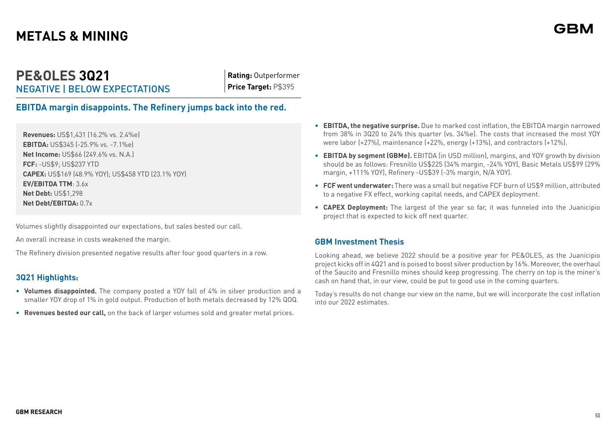## **PE&OLES 3Q21** NEGATIVE | BELOW EXPECTATIONS

**Rating:** Outperformer **Price Target:** P\$395

**EBITDA margin disappoints. The Refinery jumps back into the red.**

**Revenues:** US\$1,431 (16.2% vs. 2.4%e) **EBITDA:** US\$345 (-25.9% vs. -7.1%e) **Net Income:** US\$66 (249.6% vs. N.A.) **FCF:** -US\$9; US\$237 YTD **CAPEX:** US\$169 (48.9% YOY); US\$458 YTD (23.1% YOY) **EV/EBITDA TTM**: 3.6x **Net Debt:** US\$1,298 **Net Debt/EBITDA:** 0.7x

Volumes slightly disappointed our expectations, but sales bested our call.

An overall increase in costs weakened the margin.

The Refinery division presented negative results after four good quarters in a row.

## **3Q21 Highlights:**

- **• Volumes disappointed.** The company posted a YOY fall of 4% in silver production and a smaller YOY drop of 1% in gold output. Production of both metals decreased by 12% QOQ.
- **• Revenues bested our call,** on the back of larger volumes sold and greater metal prices.
- **• EBITDA, the negative surprise.** Due to marked cost inflation, the EBITDA margin narrowed from 38% in 3Q20 to 24% this quarter (vs. 34%e). The costs that increased the most YOY were labor (+27%), maintenance (+22%, energy (+13%), and contractors (+12%).
- **• EBITDA by segment (GBMe).** EBITDA (in USD million), margins, and YOY growth by division should be as follows: Fresnillo US\$225 (34% margin, -24% YOY), Basic Metals US\$99 (29% margin, +111% YOY), Refinery -US\$39 (-3% margin, N/A YOY).
- **• FCF went underwater:** There was a small but negative FCF burn of US\$9 million, attributed to a negative FX effect, working capital needs, and CAPEX deployment.
- **• CAPEX Deployment:** The largest of the year so far, it was funneled into the Juanicipio project that is expected to kick off next quarter.

## **GBM Investment Thesis**

Looking ahead, we believe 2022 should be a positive year for PE&OLES, as the Juanicipio project kicks off in 4Q21 and is poised to boost silver production by 16%. Moreover, the overhaul of the Saucito and Fresnillo mines should keep progressing. The cherry on top is the miner's cash on hand that, in our view, could be put to good use in the coming quarters.

Today's results do not change our view on the name, but we will incorporate the cost inflation into our 2022 estimates.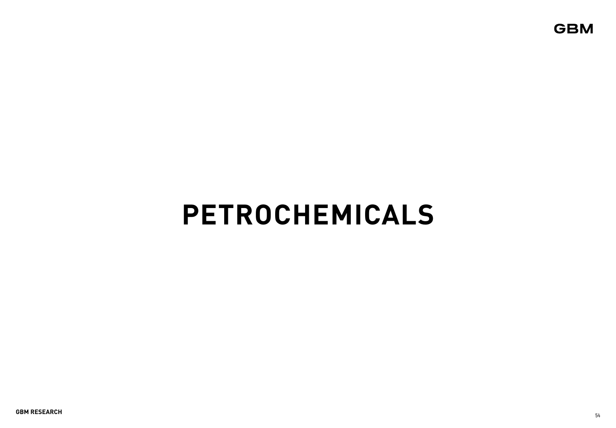**GBM** 

# **PETROCHEMICALS**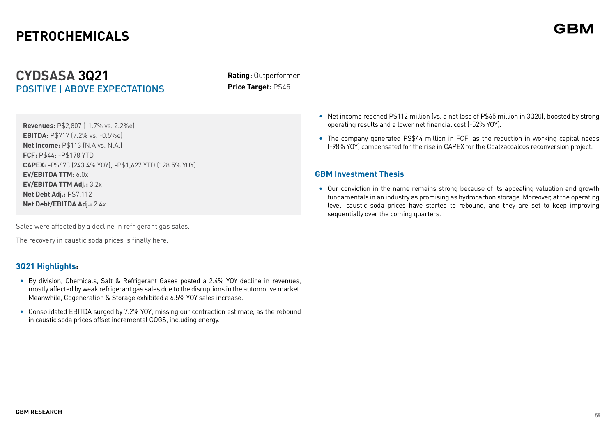# **PETROCHEMICALS**

## **CYDSASA 3Q21** POSITIVE | ABOVE EXPECTATIONS

**Rating:** Outperformer **Price Target:** P\$45

**Revenues:** P\$2,807 (-1.7% vs. 2.2%e) **EBITDA:** P\$717 (7.2% vs. -0.5%e) **Net Income:** P\$113 (N.A vs. N.A.) **FCF:** P\$44; -P\$178 YTD **CAPEX:** -P\$673 (243.4% YOY); -P\$1,627 YTD (128.5% YOY) **EV/EBITDA TTM**: 6.0x **EV/EBITDA TTM Adj.:** 3.2x **Net Debt Adj.:** P\$7,112 **Net Debt/EBITDA Adj.:** 2.4x

Sales were affected by a decline in refrigerant gas sales.

The recovery in caustic soda prices is finally here.

## **3Q21 Highlights:**

- **•** By division, Chemicals, Salt & Refrigerant Gases posted a 2.4% YOY decline in revenues, mostly affected by weak refrigerant gas sales due to the disruptions in the automotive market. Meanwhile, Cogeneration & Storage exhibited a 6.5% YOY sales increase.
- **•** Consolidated EBITDA surged by 7.2% YOY, missing our contraction estimate, as the rebound in caustic soda prices offset incremental COGS, including energy.
- **•** Net income reached P\$112 million (vs. a net loss of P\$65 million in 3Q20), boosted by strong operating results and a lower net financial cost (-52% YOY).
- **•** The company generated PS\$44 million in FCF, as the reduction in working capital needs (-98% YOY) compensated for the rise in CAPEX for the Coatzacoalcos reconversion project.

## **GBM Investment Thesis**

**•** Our conviction in the name remains strong because of its appealing valuation and growth fundamentals in an industry as promising as hydrocarbon storage. Moreover, at the operating level, caustic soda prices have started to rebound, and they are set to keep improving sequentially over the coming quarters.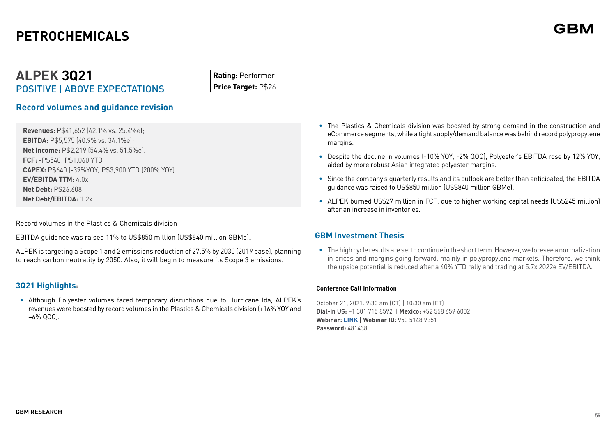# **PETROCHEMICALS**

## **ALPEK 3Q21** POSITIVE | ABOVE EXPECTATIONS

**Rating:** Performer **Price Target:** P\$26

## **Record volumes and guidance revision**

**Revenues:** P\$41,652 (42.1% vs. 25.4%e); **EBITDA:** P\$5,575 (40.9% vs. 34.1%e); **Net Income:** P\$2,219 (54.4% vs. 51.5%e). **FCF:** -P\$540; P\$1,060 YTD **CAPEX:** P\$640 (-39%YOY) P\$3,900 YTD (200% YOY) **EV/EBITDA TTM:** 4.0x **Net Debt:** P\$26,608 **Net Debt/EBITDA:** 1.2x

Record volumes in the Plastics & Chemicals division

EBITDA guidance was raised 11% to US\$850 million (US\$840 million GBMe).

ALPEK is targeting a Scope 1 and 2 emissions reduction of 27.5% by 2030 (2019 base), planning to reach carbon neutrality by 2050. Also, it will begin to measure its Scope 3 emissions.

## **3Q21 Highlights:**

**•** Although Polyester volumes faced temporary disruptions due to Hurricane Ida, ALPEK's revenues were boosted by record volumes in the Plastics & Chemicals division (+16% YOY and +6% QOQ).

- **•** The Plastics & Chemicals division was boosted by strong demand in the construction and eCommerce segments, while a tight supply/demand balance was behind record polypropylene margins.
- **•** Despite the decline in volumes (-10% YOY, -2% QOQ), Polyester's EBITDA rose by 12% YOY, aided by more robust Asian integrated polyester margins.
- **•** Since the company's quarterly results and its outlook are better than anticipated, the EBITDA guidance was raised to US\$850 million (US\$840 million GBMe).
- **•** ALPEK burned US\$27 million in FCF, due to higher working capital needs (US\$245 million) after an increase in inventories.

## **GBM Investment Thesis**

**•** The high cycle results are set to continue in the short term. However, we foresee a normalization in prices and margins going forward, mainly in polypropylene markets. Therefore, we think the upside potential is reduced after a 40% YTD rally and trading at 5.7x 2022e EV/EBITDA.

#### **Conference Call Information**

October 21, 2021. 9:30 am (CT) | 10:30 am (ET) **Dial-in US:** +1 301 715 8592 | **Mexico:** +52 558 659 6002 **Webinar: [LINK](https://alpekpolyester.zoom.us/webinar/register/1516243970168/WN_Y50poLokR1O9tok1d7D6xQ) | Webinar ID:** 950 5148 9351 **Password:** 481438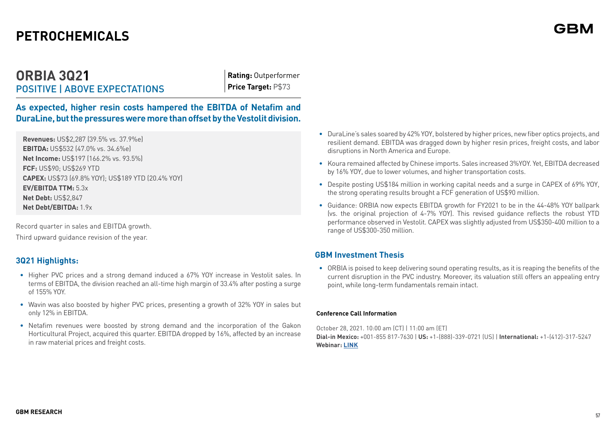# **PETROCHEMICALS**

## **ORBIA 3Q21** POSITIVE | ABOVE EXPECTATIONS

**Rating:** Outperformer **Price Target:** P\$73

**As expected, higher resin costs hampered the EBITDA of Netafim and DuraLine, but the pressures were more than offset by the Vestolit division.**

**Revenues:** US\$2,287 (39.5% vs. 37.9%e) **EBITDA:** US\$532 (47.0% vs. 34.6%e) **Net Income:** US\$197 (166.2% vs. 93.5%) **FCF:** US\$90; US\$269 YTD **CAPEX:** US\$73 (69.8% YOY); US\$189 YTD (20.4% YOY) **EV/EBITDA TTM:** 5.3x **Net Debt:** US\$2,847 **Net Debt/EBITDA:** 1.9x

Record quarter in sales and EBITDA growth.

Third upward guidance revision of the year.

## **3Q21 Highlights:**

- **•** Higher PVC prices and a strong demand induced a 67% YOY increase in Vestolit sales. In terms of EBITDA, the division reached an all-time high margin of 33.4% after posting a surge of 155% YOY.
- **•** Wavin was also boosted by higher PVC prices, presenting a growth of 32% YOY in sales but only 12% in EBITDA.
- **•** Netafim revenues were boosted by strong demand and the incorporation of the Gakon Horticultural Project, acquired this quarter. EBITDA dropped by 16%, affected by an increase in raw material prices and freight costs.
- **•** DuraLine's sales soared by 42% YOY, bolstered by higher prices, new fiber optics projects, and resilient demand. EBITDA was dragged down by higher resin prices, freight costs, and labor disruptions in North America and Europe.
- **•** Koura remained affected by Chinese imports. Sales increased 3%YOY. Yet, EBITDA decreased by 16% YOY, due to lower volumes, and higher transportation costs.
- **•** Despite posting US\$184 million in working capital needs and a surge in CAPEX of 69% YOY, the strong operating results brought a FCF generation of US\$90 million.
- **•** Guidance: ORBIA now expects EBITDA growth for FY2021 to be in the 44-48% YOY ballpark (vs. the original projection of 4-7% YOY). This revised guidance reflects the robust YTD performance observed in Vestolit. CAPEX was slightly adjusted from US\$350-400 million to a range of US\$300-350 million.

## **GBM Investment Thesis**

**•** ORBIA is poised to keep delivering sound operating results, as it is reaping the benefits of the current disruption in the PVC industry. Moreover, its valuation still offers an appealing entry point, while long-term fundamentals remain intact.

#### **Conference Call Information**

October 28, 2021. 10:00 am (CT) | 11:00 am (ET) **Dial-in Mexico:** +001-855 817-7630 | **US:** +1-(888)-339-0721 (US) | **International:** +1-(412)-317-5247 **Webinar: [LINK](https://services.choruscall.com/links/orbia211028.html)**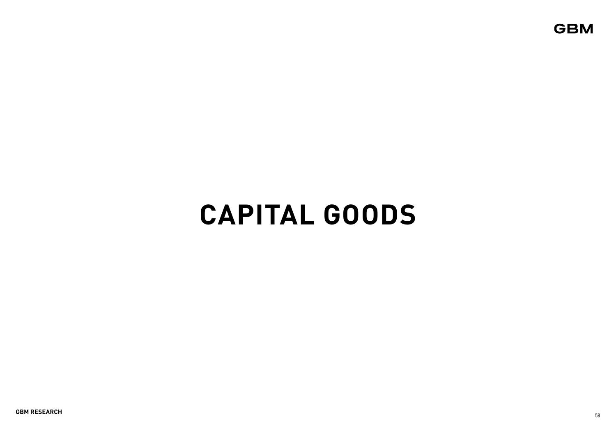**GBM** 

# **CAPITAL GOODS**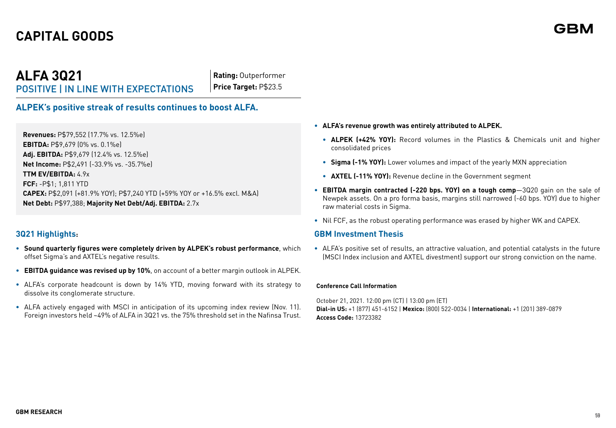## **ALFA 3Q21** POSITIVE | IN LINE WITH EXPECTATIONS

**Rating:** Outperformer **Price Target:** P\$23.5

## **ALPEK's positive streak of results continues to boost ALFA.**

**Revenues:** P\$79,552 (17.7% vs. 12.5%e) **EBITDA:** P\$9,679 (0% vs. 0.1%e) **Adj. EBITDA:** P\$9,679 (12.4% vs. 12.5%e) **Net Income:** P\$2,491 (-33.9% vs. -35.7%e) **TTM EV/EBITDA:** 4.9x **FCF:** -P\$1; 1,811 YTD **CAPEX:** P\$2,091 (+81.9% YOY); P\$7,240 YTD (+59% YOY or +16.5% excl. M&A) **Net Debt:** P\$97,388; **Majority Net Debt/Adj. EBITDA:** 2.7x

## **3Q21 Highlights:**

- **• Sound quarterly figures were completely driven by ALPEK's robust performance**, which offset Sigma's and AXTEL's negative results.
- **• EBITDA guidance was revised up by 10%**, on account of a better margin outlook in ALPEK.
- **•** ALFA's corporate headcount is down by 14% YTD, moving forward with its strategy to dissolve its conglomerate structure.
- **•** ALFA actively engaged with MSCI in anticipation of its upcoming index review (Nov. 11). Foreign investors held ~49% of ALFA in 3Q21 vs. the 75% threshold set in the Nafinsa Trust.
- **• ALFA's revenue growth was entirely attributed to ALPEK.**
	- **• ALPEK (+42% YOY):** Record volumes in the Plastics & Chemicals unit and higher consolidated prices
	- **• Sigma (-1% YOY):** Lower volumes and impact of the yearly MXN appreciation
	- **• AXTEL (-11% YOY):** Revenue decline in the Government segment
- **• EBITDA margin contracted (-220 bps. YOY) on a tough comp**—3Q20 gain on the sale of Newpek assets. On a pro forma basis, margins still narrowed (-60 bps. YOY) due to higher raw material costs in Sigma.
- **•** Nil FCF, as the robust operating performance was erased by higher WK and CAPEX.

#### **GBM Investment Thesis**

**•** ALFA's positive set of results, an attractive valuation, and potential catalysts in the future (MSCI Index inclusion and AXTEL divestment) support our strong conviction on the name.

#### **Conference Call Information**

October 21, 2021. 12:00 pm (CT) | 13:00 pm (ET) **Dial-in US:** +1 (877) 451-6152 | **Mexico:** (800) 522-0034 | **International:** +1 (201) 389-0879 **Access Code:** 13723382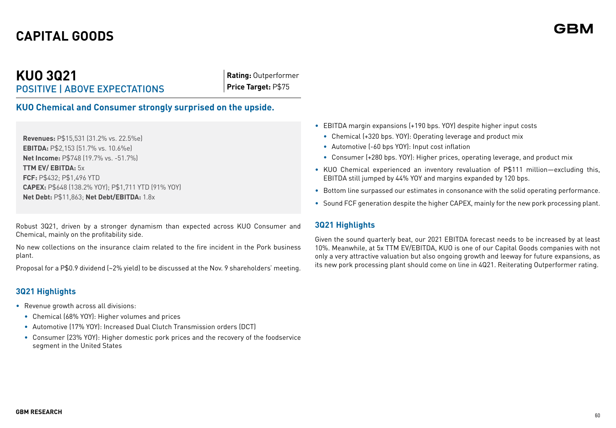## **KUO 3Q21** POSITIVE | ABOVE EXPECTATIONS

**Rating:** Outperformer **Price Target:** P\$75

**KUO Chemical and Consumer strongly surprised on the upside.** 

**Revenues:** P\$15,531 (31.2% vs. 22.5%e) **EBITDA:** P\$2,153 (51.7% vs. 10.6%e) **Net Income:** P\$748 (19.7% vs. -51.7%) **TTM EV/ EBITDA:** 5x **FCF:** P\$432; P\$1,496 YTD **CAPEX:** P\$648 (138.2% YOY); P\$1,711 YTD (91% YOY) **Net Debt:** P\$11,863; **Net Debt/EBITDA:** 1.8x

Robust 3Q21, driven by a stronger dynamism than expected across KUO Consumer and Chemical, mainly on the profitability side.

No new collections on the insurance claim related to the fire incident in the Pork business plant.

Proposal for a P\$0.9 dividend (~2% yield) to be discussed at the Nov. 9 shareholders' meeting.

## **3Q21 Highlights**

- Revenue growth across all divisions:
	- Chemical (68% YOY): Higher volumes and prices
	- Automotive (17% YOY): Increased Dual Clutch Transmission orders (DCT)
	- Consumer (23% YOY): Higher domestic pork prices and the recovery of the foodservice segment in the United States
- EBITDA margin expansions (+190 bps. YOY) despite higher input costs
	- Chemical (+320 bps. YOY): Operating leverage and product mix
	- Automotive (-60 bps YOY): Input cost inflation
	- Consumer (+280 bps. YOY): Higher prices, operating leverage, and product mix
- KUO Chemical experienced an inventory revaluation of P\$111 million—excluding this, EBITDA still jumped by 44% YOY and margins expanded by 120 bps.
- Bottom line surpassed our estimates in consonance with the solid operating performance.
- Sound FCF generation despite the higher CAPEX, mainly for the new pork processing plant.

## **3Q21 Highlights**

Given the sound quarterly beat, our 2021 EBITDA forecast needs to be increased by at least 10%. Meanwhile, at 5x TTM EV/EBITDA, KUO is one of our Capital Goods companies with not only a very attractive valuation but also ongoing growth and leeway for future expansions, as its new pork processing plant should come on line in 4Q21. Reiterating Outperformer rating.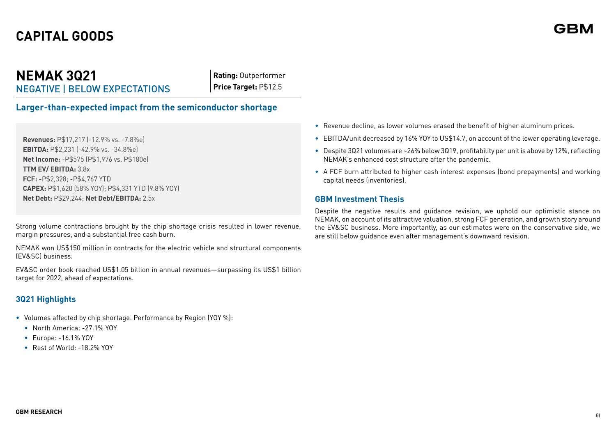## **NEMAK 3Q21** NEGATIVE | BELOW EXPECTATIONS

**Rating:** Outperformer **Price Target:** P\$12.5

**Larger-than-expected impact from the semiconductor shortage**

**Revenues:** P\$17,217 (-12.9% vs. -7.8%e) **EBITDA:** P\$2,231 (-42.9% vs. -34.8%e) **Net Income:** -P\$575 (P\$1,976 vs. P\$180e) **TTM EV/ EBITDA:** 3.8x **FCF:** -P\$2,328; -P\$4,767 YTD **CAPEX:** P\$1,620 (58% YOY); P\$4,331 YTD (9.8% YOY) **Net Debt:** P\$29,244; **Net Debt/EBITDA:** 2.5x

Strong volume contractions brought by the chip shortage crisis resulted in lower revenue, margin pressures, and a substantial free cash burn.

NEMAK won US\$150 million in contracts for the electric vehicle and structural components (EV&SC) business.

EV&SC order book reached US\$1.05 billion in annual revenues—surpassing its US\$1 billion target for 2022, ahead of expectations.

## **3Q21 Highlights**

- Volumes affected by chip shortage. Performance by Region (YOY %):
	- North America: -27.1% YOY
	- Europe: -16.1% YOY
	- Rest of World: -18.2% YOY
- Revenue decline, as lower volumes erased the benefit of higher aluminum prices.
- EBITDA/unit decreased by 16% YOY to US\$14.7, on account of the lower operating leverage.
- Despite 3Q21 volumes are ~26% below 3Q19, profitability per unit is above by 12%, reflecting NEMAK's enhanced cost structure after the pandemic.
- A FCF burn attributed to higher cash interest expenses (bond prepayments) and working capital needs (inventories).

### **GBM Investment Thesis**

Despite the negative results and guidance revision, we uphold our optimistic stance on NEMAK, on account of its attractive valuation, strong FCF generation, and growth story around the EV&SC business. More importantly, as our estimates were on the conservative side, we are still below guidance even after management's downward revision.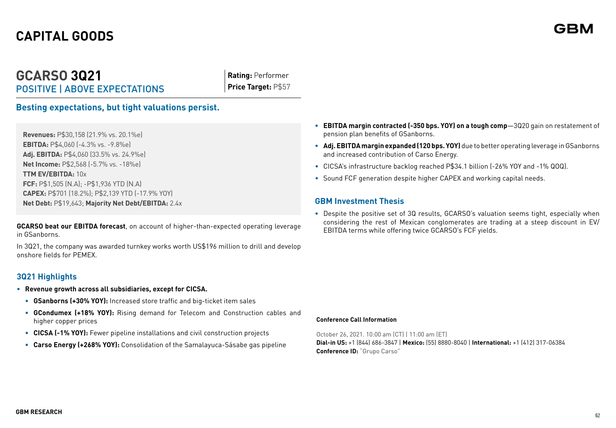## **GCARSO 3Q21** POSITIVE | ABOVE EXPECTATIONS

**Rating:** Performer **Price Target:** P\$57

## **Besting expectations, but tight valuations persist.**

**Revenues:** P\$30,158 (21.9% vs. 20.1%e) **EBITDA:** P\$4,060 (-4.3% vs. -9.8%e) **Adj. EBITDA:** P\$4,060 (33.5% vs. 24.9%e) **Net Income:** P\$2,568 (-5.7% vs. -18%e) **TTM EV/EBITDA:** 10x **FCF:** P\$1,505 (N.A); -P\$1,936 YTD (N.A) **CAPEX:** P\$701 (18.2%); P\$2,139 YTD (-17.9% YOY) **Net Debt:** P\$19,643; **Majority Net Debt/EBITDA:** 2.4x

**GCARSO beat our EBITDA forecast**, on account of higher-than-expected operating leverage in GSanborns.

In 3Q21, the company was awarded turnkey works worth US\$196 million to drill and develop onshore fields for PEMEX.

## **3Q21 Highlights**

- **• Revenue growth across all subsidiaries, except for CICSA.** 
	- **• GSanborns (+30% YOY):** Increased store traffic and big-ticket item sales
	- **• GCondumex (+18% YOY):** Rising demand for Telecom and Construction cables and higher copper prices
	- **• CICSA (-1% YOY):** Fewer pipeline installations and civil construction projects
	- **• Carso Energy (+268% YOY):** Consolidation of the Samalayuca-Sásabe gas pipeline
- **• EBITDA margin contracted (-350 bps. YOY) on a tough comp**—3Q20 gain on restatement of pension plan benefits of GSanborns.
- **• Adj. EBITDA margin expanded (120 bps. YOY)** due to better operating leverage in GSanborns and increased contribution of Carso Energy.
- CICSA's infrastructure backlog reached P\$34.1 billion (-26% YOY and -1% QOQ).
- Sound FCF generation despite higher CAPEX and working capital needs.

#### **GBM Investment Thesis**

**•** Despite the positive set of 3Q results, GCARSO's valuation seems tight, especially when considering the rest of Mexican conglomerates are trading at a steep discount in EV/ EBITDA terms while offering twice GCARSO's FCF yields.

#### **Conference Call Information**

October 26, 2021. 10:00 am (CT) | 11:00 am (ET) **Dial-in US:** +1 (844) 686-3847 | **Mexico:** (55) 8880-8040 | **International:** +1 (412) 317-06384 **Conference ID:** "Grupo Carso"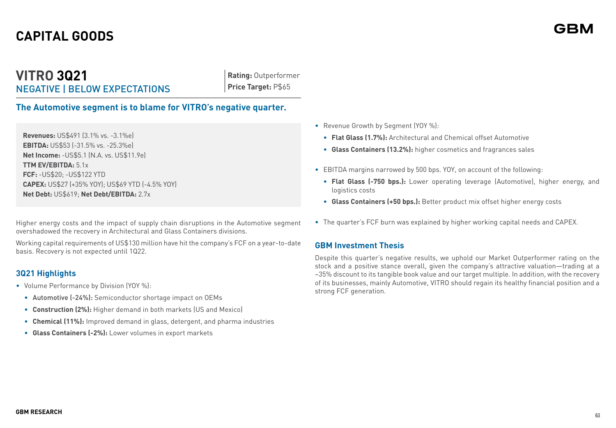## **VITRO 3Q21** NEGATIVE | BELOW EXPECTATIONS

**Rating:** Outperformer **Price Target:** P\$65

**The Automotive segment is to blame for VITRO's negative quarter.**

**Revenues:** US\$491 (3.1% vs. -3.1%e) **EBITDA:** US\$53 (-31.5% vs. -25.3%e) **Net Income:** -US\$5.1 (N.A. vs. US\$11.9e) **TTM EV/EBITDA:** 5.1x **FCF:** -US\$20; -US\$122 YTD **CAPEX:** US\$27 (+35% YOY); US\$69 YTD (-4.5% YOY) **Net Debt:** US\$619; **Net Debt/EBITDA:** 2.7x

Higher energy costs and the impact of supply chain disruptions in the Automotive segment overshadowed the recovery in Architectural and Glass Containers divisions.

Working capital requirements of US\$130 million have hit the company's FCF on a year-to-date basis. Recovery is not expected until 1Q22.

## **3Q21 Highlights**

- Volume Performance by Division (YOY %):
	- Automotive (-24%): Semiconductor shortage impact on OEMs
	- **Construction (2%):** Higher demand in both markets (US and Mexico)
	- **Chemical (11%):** Improved demand in glass, detergent, and pharma industries
	- **Glass Containers (-2%):** Lower volumes in export markets
- Revenue Growth by Segment (YOY %):
	- **Flat Glass (1.7%):** Architectural and Chemical offset Automotive
	- **Glass Containers (13.2%):** higher cosmetics and fragrances sales
- EBITDA margins narrowed by 500 bps. YOY, on account of the following:
	- **Flat Glass (-750 bps.):** Lower operating leverage (Automotive), higher energy, and logistics costs
	- **Glass Containers (+50 bps.):** Better product mix offset higher energy costs
- The quarter's FCF burn was explained by higher working capital needs and CAPEX.

## **GBM Investment Thesis**

Despite this quarter's negative results, we uphold our Market Outperformer rating on the stock and a positive stance overall, given the company's attractive valuation—trading at a ~35% discount to its tangible book value and our target multiple. In addition, with the recovery of its businesses, mainly Automotive, VITRO should regain its healthy financial position and a strong FCF generation.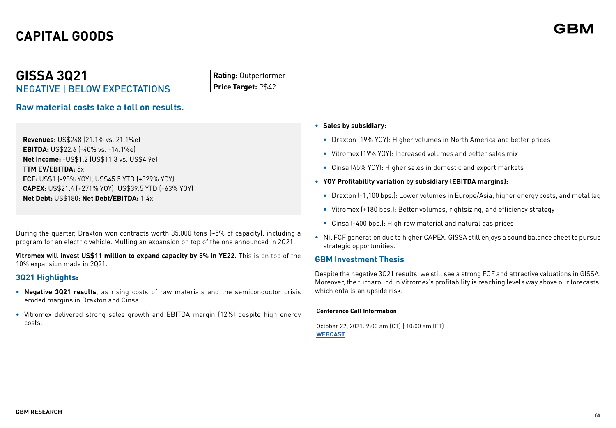**GISSA 3Q21**

## **Rating:** Outperformer **Price Target:** P\$42

## **Raw material costs take a toll on results.**

NEGATIVE | BELOW EXPECTATIONS

**Revenues:** US\$248 (21.1% vs. 21.1%e) **EBITDA:** US\$22.6 (-40% vs. -14.1%e) **Net Income:** -US\$1.2 (US\$11.3 vs. US\$4.9e) **TTM EV/EBITDA:** 5x **FCF:** US\$1 (-98% YOY); US\$45.5 YTD (+329% YOY) **CAPEX:** US\$21.4 (+271% YOY); US\$39.5 YTD (+63% YOY) **Net Debt:** US\$180; **Net Debt/EBITDA:** 1.4x

During the quarter, Draxton won contracts worth 35,000 tons (~5% of capacity), including a program for an electric vehicle. Mulling an expansion on top of the one announced in 2Q21.

**Vitromex will invest US\$11 million to expand capacity by 5% in YE22.** This is on top of the 10% expansion made in 2Q21.

## **3Q21 Highlights:**

- **• Negative 3Q21 results**, as rising costs of raw materials and the semiconductor crisis eroded margins in Draxton and Cinsa.
- **•** Vitromex delivered strong sales growth and EBITDA margin (12%) despite high energy costs.

#### **• Sales by subsidiary:**

- **•** Draxton (19% YOY): Higher volumes in North America and better prices
- **•** Vitromex (19% YOY): Increased volumes and better sales mix
- **•** Cinsa (45% YOY): Higher sales in domestic and export markets
- **• YOY Profitability variation by subsidiary (EBITDA margins):**
	- **•** Draxton (-1,100 bps.): Lower volumes in Europe/Asia, higher energy costs, and metal lag
	- **•** Vitromex (+180 bps.): Better volumes, rightsizing, and efficiency strategy
	- **•** Cinsa (-400 bps.): High raw material and natural gas prices
- **•** Nil FCF generation due to higher CAPEX. GISSA still enjoys a sound balance sheet to pursue strategic opportunities.

#### **GBM Investment Thesis**

Despite the negative 3Q21 results, we still see a strong FCF and attractive valuations in GISSA. Moreover, the turnaround in Vitromex's profitability is reaching levels way above our forecasts, which entails an upside risk.

#### **Conference Call Information**

October 22, 2021. 9:00 am (CT) | 10:00 am (ET) **[WEBCAST](https://us02web.zoom.us/webinar/register/WN_BifwzoRoQbyIDsJ6yTQ_LA)**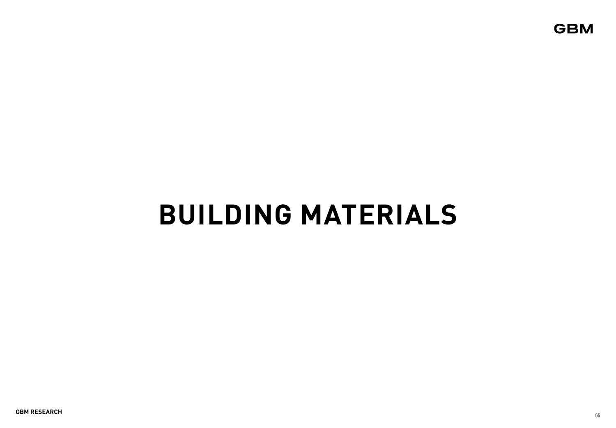**GBM** 

# **BUILDING MATERIALS**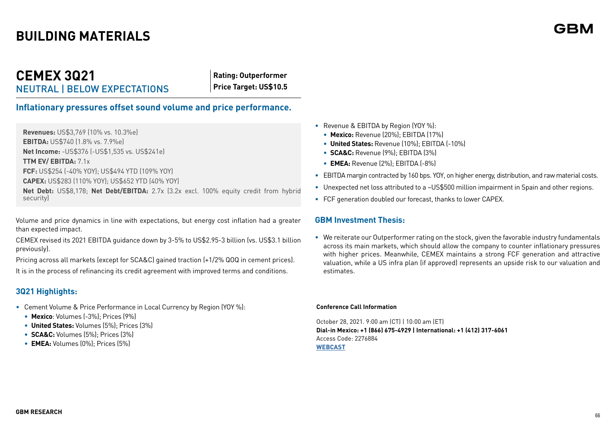## **CEMEX 3Q21**  NEUTRAL | BELOW EXPECTATIONS

**Rating: Outperformer Price Target: US\$10.5**

## **Inflationary pressures offset sound volume and price performance.**

**Revenues:** US\$3,769 (10% vs. 10.3%e) **EBITDA:** US\$740 (1.8% vs. 7.9%e) **Net Income:** -US\$376 (-US\$1,535 vs. US\$241e) **TTM EV/ EBITDA:** 7.1x **FCF:** US\$254 (-40% YOY); US\$494 YTD (109% YOY) **CAPEX:** US\$283 (110% YOY); US\$652 YTD (40% YOY) **Net Debt:** US\$8,178; **Net Debt/EBITDA:** 2.7x (3.2x excl. 100% equity credit from hybrid security)

Volume and price dynamics in line with expectations, but energy cost inflation had a greater than expected impact.

CEMEX revised its 2021 EBITDA guidance down by 3-5% to US\$2.95-3 billion (vs. US\$3.1 billion previously).

Pricing across all markets (except for SCA&C) gained traction (+1/2% QOQ in cement prices). It is in the process of refinancing its credit agreement with improved terms and conditions.

## **3Q21 Highlights:**

- Cement Volume & Price Performance in Local Currency by Region (YOY %):
	- **Mexico**: Volumes (-3%); Prices (9%)
	- **United States:** Volumes (5%); Prices (3%)
	- **SCA&C:** Volumes (5%); Prices (3%)
	- **EMEA:** Volumes (0%); Prices (5%)
- Revenue & EBITDA by Region (YOY %):
	- **Mexico:** Revenue (20%); EBITDA (17%)
	- **United States:** Revenue (10%); EBITDA (-10%)
	- **SCA&C:** Revenue (9%); EBITDA (3%)
	- **EMEA:** Revenue (2%); EBITDA (-8%)
- EBITDA margin contracted by 160 bps. YOY, on higher energy, distribution, and raw material costs.
- Unexpected net loss attributed to a ~US\$500 million impairment in Spain and other regions.
- FCF generation doubled our forecast, thanks to lower CAPEX.

## **GBM Investment Thesis:**

• We reiterate our Outperformer rating on the stock, given the favorable industry fundamentals across its main markets, which should allow the company to counter inflationary pressures with higher prices. Meanwhile, CEMEX maintains a strong FCF generation and attractive valuation, while a US infra plan (if approved) represents an upside risk to our valuation and estimates.

#### **Conference Call Information**

October 28, 2021. 9:00 am (CT) | 10:00 am (ET) **Dial-in Mexico: +1 (866) 675-4929 | International: +1 (412) 317-6061** Access Code: 2276884 **[WEBCAST](https://event.on24.com/wcc/r/3373744/069B5E9D36EBCF74D6C514109A3B69E6)**

#### **66**

GRN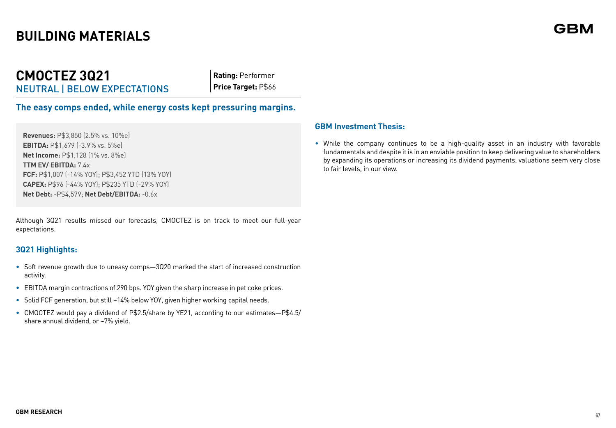## **CMOCTEZ 3Q21** NEUTRAL | BELOW EXPECTATIONS

**Rating:** Performer **Price Target:** P\$66

**The easy comps ended, while energy costs kept pressuring margins.**

**Revenues:** P\$3,850 (2.5% vs. 10%e) **EBITDA:** P\$1,679 (-3.9% vs. 5%e) **Net Income:** P\$1,128 (1% vs. 8%e) **TTM EV/ EBITDA:** 7  $4x$ **FCF:** P\$1,007 (-14% YOY); P\$3,452 YTD (13% YOY) **CAPEX:** P\$96 (-44% YOY); P\$235 YTD (-29% YOY) **Net Debt:** -P\$4,579; **Net Debt/EBITDA:** -0.6x

Although 3Q21 results missed our forecasts, CMOCTEZ is on track to meet our full-year expectations.

## **3Q21 Highlights:**

- Soft revenue growth due to uneasy comps—3Q20 marked the start of increased construction activity.
- EBITDA margin contractions of 290 bps. YOY given the sharp increase in pet coke prices.
- Solid FCF generation, but still ~14% below YOY, given higher working capital needs.
- CMOCTEZ would pay a dividend of P\$2.5/share by YE21, according to our estimates—P\$4.5/ share annual dividend, or ~7% yield.

## **GBM Investment Thesis:**

• While the company continues to be a high-quality asset in an industry with favorable fundamentals and despite it is in an enviable position to keep delivering value to shareholders by expanding its operations or increasing its dividend payments, valuations seem very close to fair levels, in our view.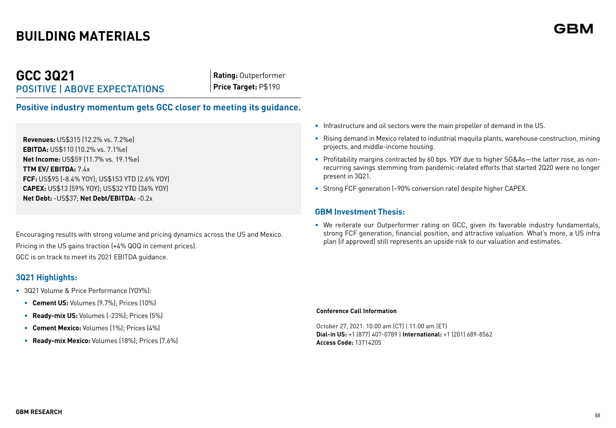## **GCC 3Q21** POSITIVE | ABOVE EXPECTATIONS

**Rating:** Outperformer **Price Target:** P\$190

**Positive industry momentum gets GCC closer to meeting its guidance.**

**Revenues:** US\$315 (12.2% vs. 7.2%e) **EBITDA:** US\$110 (10.2% vs. 7.1%e) **Net Income:** US\$59 (11.7% vs. 19.1%e) **TTM EV/ EBITDA:** 7.4x **FCF:** US\$95 (-8.4% YOY); US\$153 YTD (2.6% YOY) **CAPEX:** US\$13 (59% YOY); US\$32 YTD (36% YOY) **Net Debt:** -US\$37; **Net Debt/EBITDA:** -0.2x

Encouraging results with strong volume and pricing dynamics across the US and Mexico. Pricing in the US gains traction (+4% QOQ in cement prices). GCC is on track to meet its 2021 EBITDA guidance.

## **3Q21 Highlights:**

- **•** 3Q21 Volume & Price Performance (YOY%):
	- **• Cement US:** Volumes (9.7%); Prices (10%)
	- **• Ready-mix US:** Volumes (-23%); Prices (5%)
	- **• Cement Mexico:** Volumes (1%); Prices (4%)
	- **• Ready-mix Mexico:** Volumes (18%); Prices (7.6%)
- **•** Infrastructure and oil sectors were the main propeller of demand in the US.
- **•** Rising demand in Mexico related to industrial maquila plants, warehouse construction, mining projects, and middle-income housing.
- **•** Profitability margins contracted by 60 bps. YOY due to higher SG&As—the latter rose, as nonrecurring savings stemming from pandemic-related efforts that started 2Q20 were no longer present in 3Q21.
- **•** Strong FCF generation (~90% conversion rate) despite higher CAPEX.

## **GBM Investment Thesis:**

• We reiterate our Outperformer rating on GCC, given its favorable industry fundamentals, strong FCF generation, financial position, and attractive valuation. What's more, a US infra plan (if approved) still represents an upside risk to our valuation and estimates.

#### **Conference Call Information**

October 27, 2021. 10:00 am (CT) | 11:00 am (ET) **Dial-in US:** +1 (877) 407-0789 | **International:** +1 (201) 689-8562 **Access Code:** 13714205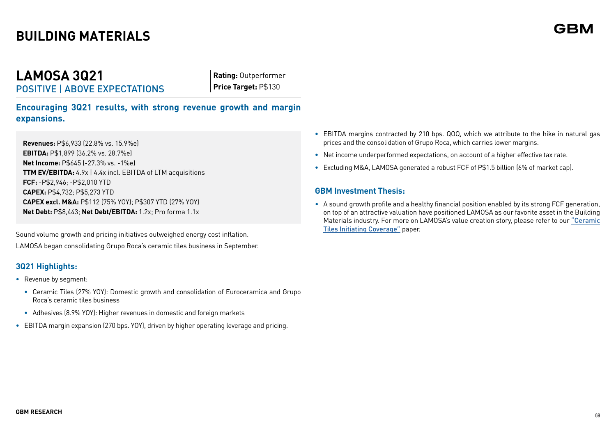## **LAMOSA 3Q21** POSITIVE | ABOVE EXPECTATIONS

**Rating:** Outperformer **Price Target:** P\$130

**Encouraging 3Q21 results, with strong revenue growth and margin expansions.**

**Revenues:** P\$6,933 (22.8% vs. 15.9%e) **EBITDA:** P\$1,899 (36.2% vs. 28.7%e) **Net Income:** P\$645 (-27.3% vs. -1%e) **TTM EV/EBITDA:** 4.9x | 4.4x incl. EBITDA of LTM acquisitions **FCF:** -P\$2,946; -P\$2,010 YTD **CAPEX:** P\$4,732; P\$5,273 YTD **CAPEX excl. M&A:** P\$112 (75% YOY); P\$307 YTD (27% YOY) **Net Debt:** P\$8,443; **Net Debt/EBITDA:** 1.2x; Pro forma 1.1x

Sound volume growth and pricing initiatives outweighed energy cost inflation. LAMOSA began consolidating Grupo Roca's ceramic tiles business in September.

## **3Q21 Highlights:**

- **•** Revenue by segment:
	- **•** Ceramic Tiles (27% YOY): Domestic growth and consolidation of Euroceramica and Grupo Roca's ceramic tiles business
	- **•** Adhesives (8.9% YOY): Higher revenues in domestic and foreign markets
- **•** EBITDA margin expansion (270 bps. YOY), driven by higher operating leverage and pricing.
- **•** EBITDA margins contracted by 210 bps. QOQ, which we attribute to the hike in natural gas prices and the consolidation of Grupo Roca, which carries lower margins.
- **•** Net income underperformed expectations, on account of a higher effective tax rate.
- **•** Excluding M&A, LAMOSA generated a robust FCF of P\$1.5 billion (6% of market cap).

## **GBM Investment Thesis:**

• A sound growth profile and a healthy financial position enabled by its strong FCF generation, on top of an attractive valuation have positioned LAMOSA as our favorite asset in the Building Materials industry. For more on LAMOSA's value creation story, please refer to our ["Ceramic](https://gbmenlinea.gbm.com.mx/Documentosanalisis/LAMOSA_CERAMIC_IC.pdf)  [Tiles Initiating Coverage"](https://gbmenlinea.gbm.com.mx/Documentosanalisis/LAMOSA_CERAMIC_IC.pdf) paper.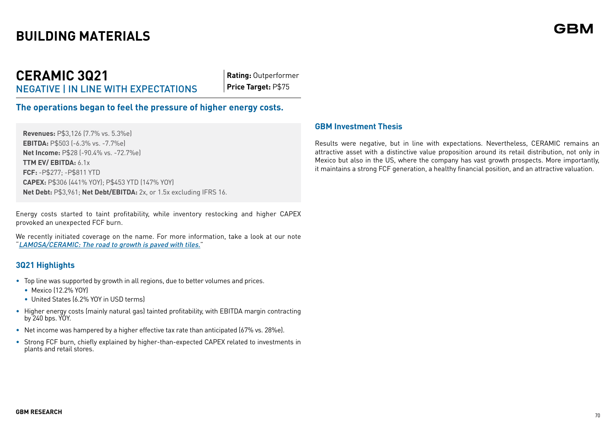## **CERAMIC 3Q21** NEGATIVE | IN LINE WITH EXPECTATIONS

**Rating:** Outperformer **Price Target:** P\$75

**The operations began to feel the pressure of higher energy costs.** 

**Revenues:** P\$3,126 (7.7% vs. 5.3%e) **EBITDA:** P\$503 (-6.3% vs. -7.7%e) **Net Income:** P\$28 (-90.4% vs. -72.7%e) **TTM EV/ EBITDA:** 6.1x **FCF:** -P\$277; -P\$811 YTD **CAPEX:** P\$306 (441% YOY); P\$453 YTD (147% YOY) **Net Debt:** P\$3,961; **Net Debt/EBITDA:** 2x, or 1.5x excluding IFRS 16.

Energy costs started to taint profitability, while inventory restocking and higher CAPEX provoked an unexpected FCF burn.

We recently initiated coverage on the name. For more information, take a look at our note "[LAMOSA/CERAMIC: The road to growth is paved with tiles.](https://gbmenlinea.gbm.com.mx/Documentosanalisis/LAMOSA_CERAMIC_IC.pdf)"

## **3Q21 Highlights**

- Top line was supported by growth in all regions, due to better volumes and prices.
	- Mexico (12.2% YOY)
	- United States (6.2% YOY in USD terms)
- Higher energy costs (mainly natural gas) tainted profitability, with EBITDA margin contracting by 240 bps. YOY.
- Net income was hampered by a higher effective tax rate than anticipated (67% vs. 28%e).
- Strong FCF burn, chiefly explained by higher-than-expected CAPEX related to investments in plants and retail stores.

#### **GBM Investment Thesis**

Results were negative, but in line with expectations. Nevertheless, CERAMIC remains an attractive asset with a distinctive value proposition around its retail distribution, not only in Mexico but also in the US, where the company has vast growth prospects. More importantly, it maintains a strong FCF generation, a healthy financial position, and an attractive valuation.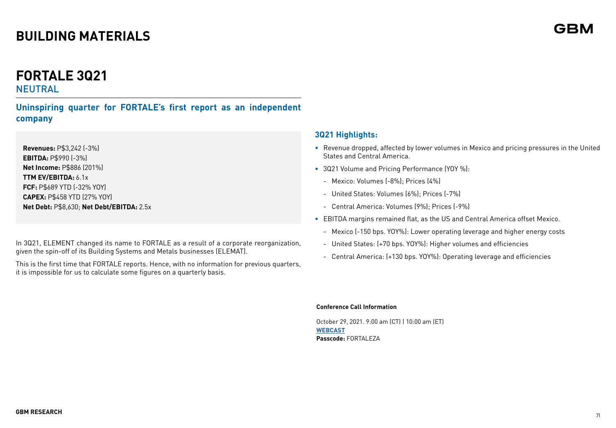# **FORTALE 3Q21**

## **NEUTRAL**

**Uninspiring quarter for FORTALE's first report as an independent company**

**Revenues:** P\$3,242 (-3%) **EBITDA:** P\$990 (-3%) **Net Income:** P\$886 (201%) **TTM EV/EBITDA:** 6.1x **FCF:** P\$689 YTD (-32% YOY) **CAPEX:** P\$458 YTD (27% YOY) **Net Debt:** P\$8,630; **Net Debt/EBITDA:** 2.5x

In 3Q21, ELEMENT changed its name to FORTALE as a result of a corporate reorganization, given the spin-off of its Building Systems and Metals businesses (ELEMAT).

This is the first time that FORTALE reports. Hence, with no information for previous quarters, it is impossible for us to calculate some figures on a quarterly basis.

## **3Q21 Highlights:**

- **•** Revenue dropped, affected by lower volumes in Mexico and pricing pressures in the United States and Central America.
- **•** 3Q21 Volume and Pricing Performance (YOY %):
	- Mexico: Volumes (-8%); Prices (4%)
	- United States: Volumes (6%); Prices (-7%)
	- Central America: Volumes (9%); Prices (-9%)
- **•** EBITDA margins remained flat, as the US and Central America offset Mexico.
	- Mexico (-150 bps. YOY%): Lower operating leverage and higher energy costs
	- United States: (+70 bps. YOY%): Higher volumes and efficiencies
	- Central America: (+130 bps. YOY%): Operating leverage and efficiencies

#### **Conference Call Information**

October 29, 2021. 9:00 am (CT) | 10:00 am (ET) **[WEBCAST](https://irstrat.clickmeeting.com/fortaleza-conference-call/register) Passcode:** FORTALEZA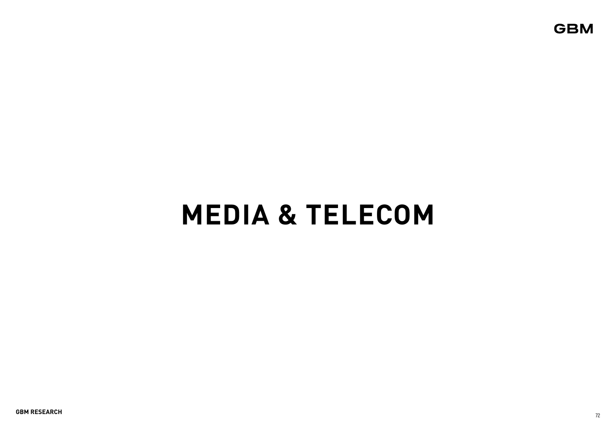**GBM** 

# **MEDIA & TELECOM**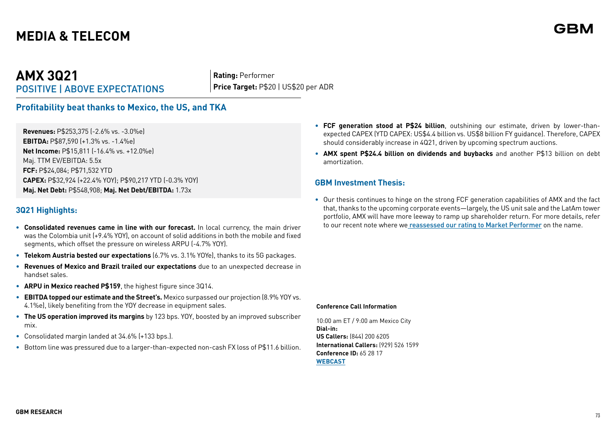# **AMX 3Q21** POSITIVE | ABOVE EXPECTATIONS

**Rating:** Performer **Price Target:** P\$20 | US\$20 per ADR

### **Profitability beat thanks to Mexico, the US, and TKA**

**Revenues:** P\$253,375 (-2.6% vs. -3.0%e) **EBITDA:** P\$87,590 (+1.3% vs. -1.4%e) **Net Income:** P\$15,811 (-16.4% vs. +12.0%e) Maj. TTM EV/EBITDA: 5.5x **FCF:** P\$24,084; P\$71,532 YTD **CAPEX:** P\$32,924 (+22.4% YOY); P\$90,217 YTD (-0.3% YOY) **Maj. Net Debt:** P\$548,908; **Maj. Net Debt/EBITDA:** 1.73x

#### **3Q21 Highlights:**

- **• Consolidated revenues came in line with our forecast.** In local currency, the main driver was the Colombia unit (+9.4% YOY), on account of solid additions in both the mobile and fixed segments, which offset the pressure on wireless ARPU (-4.7% YOY).
- **Telekom Austria bested our expectations** (6.7% vs. 3.1% YOYe), thanks to its 5G packages.
- **Revenues of Mexico and Brazil trailed our expectations** due to an unexpected decrease in handset sales.
- **ARPU in Mexico reached P\$159**, the highest figure since 3Q14.
- **EBITDA topped our estimate and the Street's.** Mexico surpassed our projection (8.9% YOY vs. 4.1%e), likely benefiting from the YOY decrease in equipment sales.
- **The US operation improved its margins** by 123 bps. YOY, boosted by an improved subscriber mix.
- Consolidated margin landed at 34.6% (+133 bps.).
- Bottom line was pressured due to a larger-than-expected non-cash FX loss of P\$11.6 billion.
- **FCF generation stood at P\$24 billion**, outshining our estimate, driven by lower-thanexpected CAPEX (YTD CAPEX: US\$4.4 billion vs. US\$8 billion FY guidance). Therefore, CAPEX should considerably increase in 4Q21, driven by upcoming spectrum auctions.
- **AMX spent P\$24.4 billion on dividends and buybacks** and another P\$13 billion on debt amortization.

#### **GBM Investment Thesis:**

• Our thesis continues to hinge on the strong FCF generation capabilities of AMX and the fact that, thanks to the upcoming corporate events—largely, the US unit sale and the LatAm tower portfolio, AMX will have more leeway to ramp up shareholder return. For more details, refer to our recent note where we [reassessed our rating to Market Performer](https://gbmenlinea.gbm.com.mx/Documentosanalisis/AMXDowngradingtoMktPerformerSep21.pdf) on the name.

#### **Conference Call Information**

10:00 am ET / 9:00 am Mexico City **Dial-in: US Callers:** (844) 200 6205 **International Callers:** (929) 526 1599 **Conference ID:** 65 28 17 **[WEBCAST](https://event.on24.com/wcc/r/3406097/3B9AE8A56BA5A5895B5112005810E498)**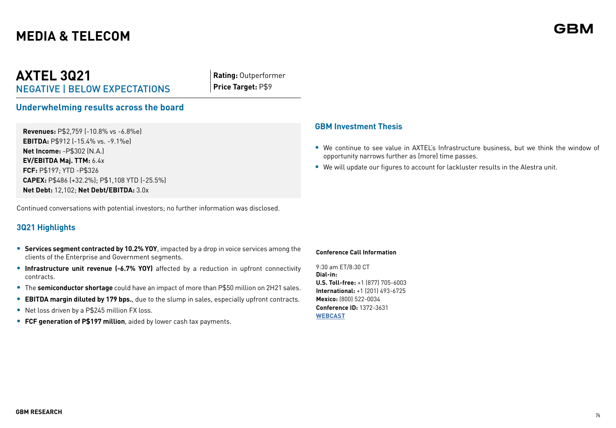# **AXTEL 3Q21** NEGATIVE | BELOW EXPECTATIONS

**Rating:** Outperformer **Price Target:** P\$9

### **Underwhelming results across the board**

**Revenues:** P\$2,759 (-10.8% vs -6.8%e) **EBITDA:** P\$912 (-15.4% vs. -9.1%e) **Net Income:** -P\$302 (N.A.) **EV/EBITDA Maj. TTM:** 6.4x **FCF:** P\$197; YTD -P\$326 **CAPEX:** P\$486 (+32.2%); P\$1,108 YTD (-25.5%) **Net Debt:** 12,102; **Net Debt/EBITDA:** 3.0x

Continued conversations with potential investors; no further information was disclosed.

### **3Q21 Highlights**

- **• Services segment contracted by 10.2% YOY**, impacted by a drop in voice services among the clients of the Enterprise and Government segments.
- **• Infrastructure unit revenue (-6.7% YOY)** affected by a reduction in upfront connectivity contracts.
- **•** The **semiconductor shortage** could have an impact of more than P\$50 million on 2H21 sales.
- **• EBITDA margin diluted by 179 bps.**, due to the slump in sales, especially upfront contracts.
- **•** Net loss driven by a P\$245 million FX loss.
- **• FCF generation of P\$197 million**, aided by lower cash tax payments.

#### **GBM Investment Thesis**

- **•** We continue to see value in AXTEL's Infrastructure business, but we think the window of opportunity narrows further as (more) time passes.
- **•** We will update our figures to account for lackluster results in the Alestra unit.

#### **Conference Call Information**

9:30 am ET/8:30 CT **Dial-in: U.S. Toll-free:** +1 (877) 705-6003 **International:** +1 (201) 493-6725 **Mexico:** (800) 522-0034 **Conference ID:** 1372-3631 **[WEBCAST](https://78449.themediaframe.com/dataconf/productusers/vvdb/mediaframe/46760/indexl.html)**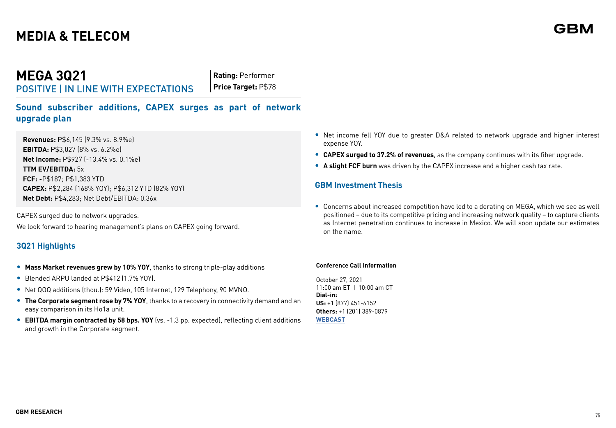# **MEGA 3Q21**

POSITIVE | IN LINE WITH EXPECTATIONS

**Rating:** Performer **Price Target:** P\$78

**Sound subscriber additions, CAPEX surges as part of network upgrade plan**

**Revenues:** P\$6,145 (9.3% vs. 8.9%e) **EBITDA:** P\$3,027 (8% vs. 6.2%e) **Net Income:** P\$927 (-13.4% vs. 0.1%e) **TTM EV/EBITDA:** 5x **FCF:** -P\$187; P\$1,383 YTD **CAPEX:** P\$2,284 (168% YOY); P\$6,312 YTD (82% YOY) **Net Debt:** P\$4,283; Net Debt/EBITDA: 0.36x

CAPEX surged due to network upgrades. We look forward to hearing management's plans on CAPEX going forward.

### **3Q21 Highlights**

- **• Mass Market revenues grew by 10% YOY**, thanks to strong triple-play additions
- **•** Blended ARPU landed at P\$412 (1.7% YOY).
- **•** Net QOQ additions (thou.): 59 Video, 105 Internet, 129 Telephony, 90 MVNO.
- **• The Corporate segment rose by 7% YOY**, thanks to a recovery in connectivity demand and an easy comparison in its Ho1a unit.
- **• EBITDA margin contracted by 58 bps. YOY** (vs. -1.3 pp. expected), reflecting client additions and growth in the Corporate segment.
- **•** Net income fell YOY due to greater D&A related to network upgrade and higher interest expense YOY.
- **• CAPEX surged to 37.2% of revenues**, as the company continues with its fiber upgrade.
- **• A slight FCF burn** was driven by the CAPEX increase and a higher cash tax rate.

#### **GBM Investment Thesis**

**•** Concerns about increased competition have led to a derating on MEGA, which we see as well positioned – due to its competitive pricing and increasing network quality – to capture clients as Internet penetration continues to increase in Mexico. We will soon update our estimates on the name.

#### **Conference Call Information**

October 27, 2021 11:00 am ET | 10:00 am CT **Dial-in: US:** +1 (877) 451-6152 **Others:** +1 (201) 389-0879 **[WEBCAST](https://viavid.webcasts.com/starthere.jsp?ei=1505025&tp_key=f102e30b43)**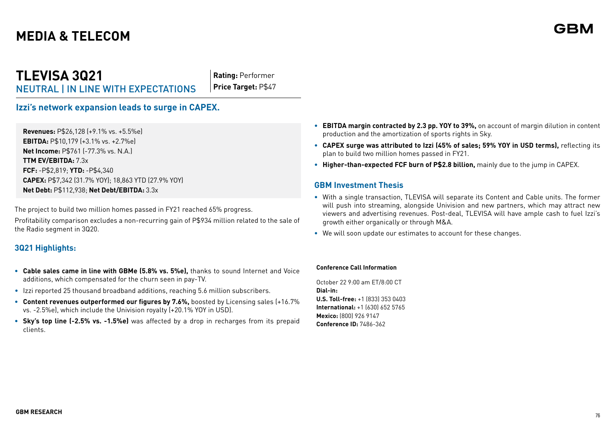# **TLEVISA 3Q21** NEUTRAL | IN LINE WITH EXPECTATIONS

**Rating:** Performer **Price Target:** P\$47

### **Izzi's network expansion leads to surge in CAPEX.**

**Revenues:** P\$26,128 (+9.1% vs. +5.5%e) **EBITDA:** P\$10,179 (+3.1% vs. +2.7%e) **Net Income:** P\$761 (-77.3% vs. N.A.) **TTM EV/EBITDA:** 7.3x **FCF:** -P\$2,819; **YTD:** -P\$4,340 **CAPEX:** P\$7,342 (31.7% YOY); 18,863 YTD (27.9% YOY) **Net Debt:** P\$112,938; **Net Debt/EBITDA:** 3.3x

The project to build two million homes passed in FY21 reached 65% progress.

Profitability comparison excludes a non-recurring gain of P\$934 million related to the sale of the Radio segment in 3Q20.

### **3Q21 Highlights:**

- **• Cable sales came in line with GBMe (5.8% vs. 5%e),** thanks to sound Internet and Voice additions, which compensated for the churn seen in pay-TV.
- Izzi reported 25 thousand broadband additions, reaching 5.6 million subscribers.
- **• Content revenues outperformed our figures by 7.6%,** boosted by Licensing sales (+16.7% vs. -2.5%e), which include the Univision royalty (+20.1% YOY in USD).
- **• Sky's top line (-2.5% vs. -1.5%e)** was affected by a drop in recharges from its prepaid clients.
- **• EBITDA margin contracted by 2.3 pp. YOY to 39%,** on account of margin dilution in content production and the amortization of sports rights in Sky.
- **• CAPEX surge was attributed to Izzi (45% of sales; 59% YOY in USD terms),** reflecting its plan to build two million homes passed in FY21.
- **• Higher-than-expected FCF burn of P\$2.8 billion,** mainly due to the jump in CAPEX.

#### **GBM Investment Thesis**

- **•** With a single transaction, TLEVISA will separate its Content and Cable units. The former will push into streaming, alongside Univision and new partners, which may attract new viewers and advertising revenues. Post-deal, TLEVISA will have ample cash to fuel Izzi's growth either organically or through M&A.
- **•** We will soon update our estimates to account for these changes.

#### **Conference Call Information**

October 22 9:00 am ET/8:00 CT **Dial-in: U.S. Toll-free:** +1 (833) 353 0403 **International:** +1 (630) 652 5765 **Mexico:** (800) 926 9147 **Conference ID:** 7486-362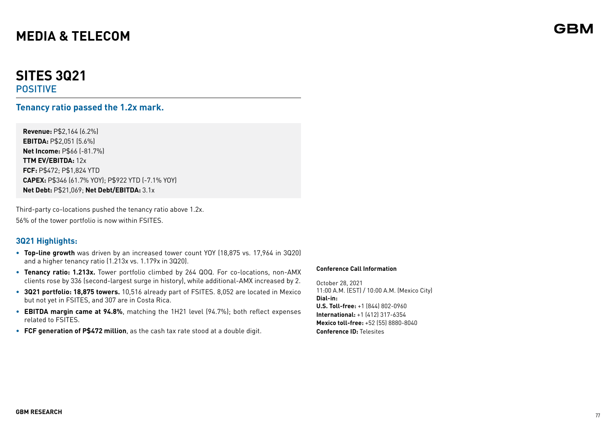# **SITES 3Q21**

POSITIVE

### **Tenancy ratio passed the 1.2x mark.**

**Revenue:** P\$2,164 (6.2%) **EBITDA:** P\$2,051 (5.6%) **Net Income:** P\$66 (-81.7%) **TTM EV/EBITDA:** 12x **FCF:** P\$472; P\$1,824 YTD **CAPEX:** P\$346 (61.7% YOY); P\$922 YTD (-7.1% YOY) **Net Debt:** P\$21,069; **Net Debt/EBITDA:** 3.1x

Third-party co-locations pushed the tenancy ratio above 1.2x. 56% of the tower portfolio is now within FSITES.

### **3Q21 Highlights:**

- **• Top-line growth** was driven by an increased tower count YOY (18,875 vs. 17,964 in 3Q20) and a higher tenancy ratio (1.213x vs. 1.179x in 3Q20).
- **• Tenancy ratio: 1.213x.** Tower portfolio climbed by 264 QOQ. For co-locations, non-AMX clients rose by 336 (second-largest surge in history), while additional-AMX increased by 2.
- **• 3Q21 portfolio: 18,875 towers.** 10,516 already part of FSITES. 8,052 are located in Mexico but not yet in FSITES, and 307 are in Costa Rica.
- **• EBITDA margin came at 94.8%**, matching the 1H21 level (94.7%); both reflect expenses related to FSITES.
- **• FCF generation of P\$472 million**, as the cash tax rate stood at a double digit.

#### **Conference Call Information**

October 28, 2021 11:00 A.M. (EST) / 10:00 A.M. (Mexico City) **Dial-in: U.S. Toll-free:** +1 (844) 802-0960 **International:** +1 (412) 317-6354 **Mexico toll-free:** +52 (55) 8880-8040 **Conference ID:** Telesites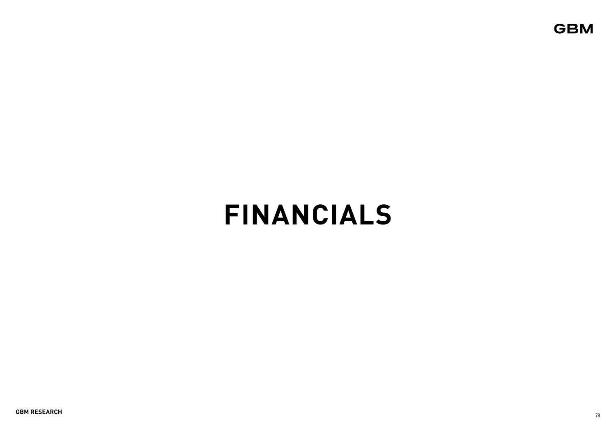**GBM** 

# **FINANCIALS**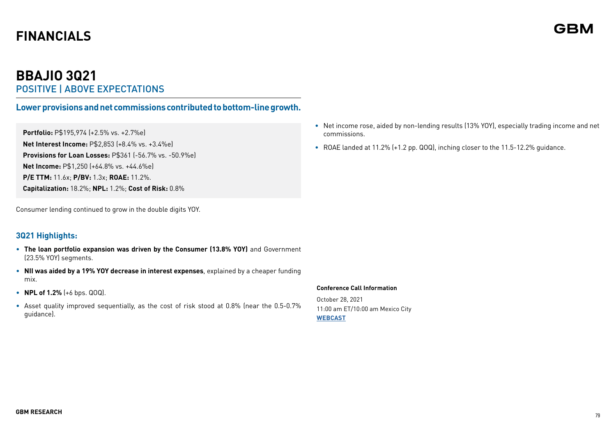# **BBAJIO 3Q21**  POSITIVE | ABOVE EXPECTATIONS

### **Lower provisions and net commissions contributed to bottom-line growth.**

**Portfolio:** P\$195,974 (+2.5% vs. +2.7%e) **Net Interest Income:** P\$2,853 (+8.4% vs. +3.4%e) **Provisions for Loan Losses:** P\$361 (-56.7% vs. -50.9%e) **Net Income:** P\$1,250 (+64.8% vs. +44.6%e) **P/E TTM:** 11.6x; **P/BV:** 1.3x; **ROAE:** 11.2%. **Capitalization:** 18.2%; **NPL:** 1.2%; **Cost of Risk:** 0.8%

Consumer lending continued to grow in the double digits YOY.

### **3Q21 Highlights:**

- **The loan portfolio expansion was driven by the Consumer (13.8% YOY)** and Government (23.5% YOY) segments.
- **NII was aided by a 19% YOY decrease in interest expenses**, explained by a cheaper funding mix.
- **NPL of 1.2%** (+6 bps. QOQ).
- Asset quality improved sequentially, as the cost of risk stood at 0.8% (near the 0.5-0.7% guidance).
- Net income rose, aided by non-lending results (13% YOY), especially trading income and net commissions.
- ROAE landed at 11.2% (+1.2 pp. QOQ), inching closer to the 11.5-12.2% quidance.

#### **Conference Call Information**

October 28, 2021 11:00 am ET/10:00 am Mexico City **[WEBCAST](https://us02web.zoom.us/webinar/register/WN_95ptXblFSVC0aAD7-G1Y7w)**

GBM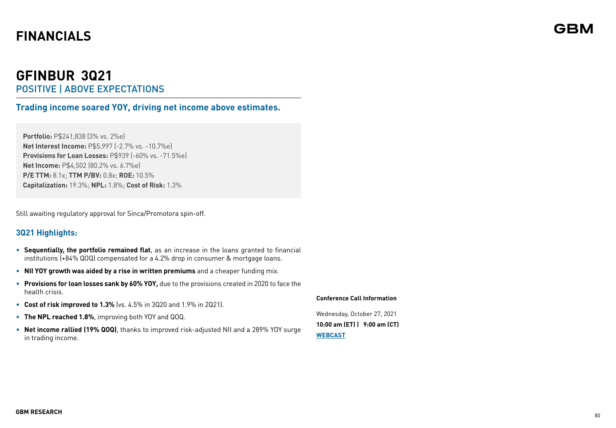# **GFINBUR 3Q21**  POSITIVE | ABOVE EXPECTATIONS

**Trading income soared YOY, driving net income above estimates.**

**Portfolio:** P\$241,838 (3% vs. 2%e) **Net Interest Income:** P\$5,997 (-2.7% vs. -10.7%e) **Provisions for Loan Losses:** P\$939 (-60% vs. -71.5%e) **Net Income:** P\$4,502 (80.2% vs. 6.7%e) **P/E TTM:** 8.1x; **TTM P/BV:** 0.8x; **ROE:** 10.5% **Capitalization:** 19.3%; **NPL:** 1.8%; **Cost of Risk:** 1.3%

Still awaiting regulatory approval for Sinca/Promotora spin-off.

### **3Q21 Highlights:**

- **Sequentially, the portfolio remained flat**, as an increase in the loans granted to financial institutions (+84% QOQ) compensated for a 4.2% drop in consumer & mortgage loans.
- **NII YOY growth was aided by a rise in written premiums** and a cheaper funding mix.
- **Provisions for loan losses sank by 60% YOY,** due to the provisions created in 2020 to face the health crisis.
- **Cost of risk improved to 1.3%** (vs. 4.5% in 3Q20 and 1.9% in 2Q21).
- **The NPL reached 1.8%**, improving both YOY and QOQ.
- **Net income rallied (19% QOQ)**, thanks to improved risk-adjusted NII and a 289% YOY surge in trading income.

**Conference Call Information**

Wednesday, October 27, 2021 **10:00 am (ET) | 9:00 am (CT) [WEBCAST](https://www.directeventreg.com/der/validateConferenceId.action)**

# GBM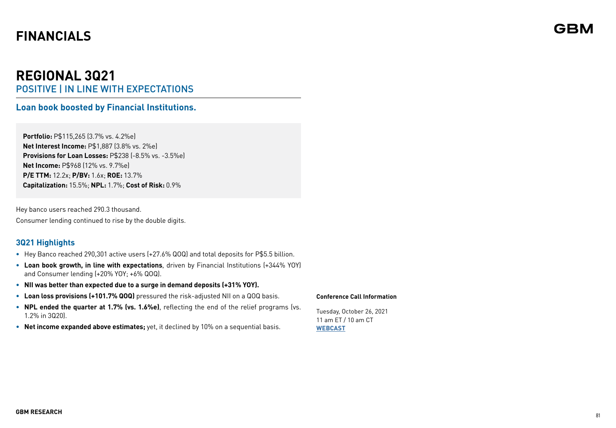# **REGIONAL 3Q21** POSITIVE | IN LINE WITH EXPECTATIONS

### **Loan book boosted by Financial Institutions.**

**Portfolio:** P\$115,265 (3.7% vs. 4.2%e) **Net Interest Income:** P\$1,887 (3.8% vs. 2%e) **Provisions for Loan Losses: P\$238 (-8.5% vs. -3.5%e) Net Income:** P\$968 (12% vs. 9.7%e) **P/E TTM:** 12.2x; **P/BV:** 1.6x; **ROE:** 13.7% **Capitalization:** 15.5%; **NPL:** 1.7%; **Cost of Risk:** 0.9%

Hey banco users reached 290.3 thousand. Consumer lending continued to rise by the double digits.

### **3Q21 Highlights**

- **•** Hey Banco reached 290,301 active users (+27.6% QOQ) and total deposits for P\$5.5 billion.
- **• Loan book growth, in line with expectations**, driven by Financial Institutions (+344% YOY) and Consumer lending (+20% YOY; +6% QOQ).
- **• NII was better than expected due to a surge in demand deposits (+31% YOY).**
- **• Loan loss provisions (+101.7% QOQ)** pressured the risk-adjusted NII on a QOQ basis.
- **• NPL ended the quarter at 1.7% (vs. 1.6%e)**, reflecting the end of the relief programs (vs. 1.2% in 3Q20).
- **• Net income expanded above estimates;** yet, it declined by 10% on a sequential basis.

#### **Conference Call Information**

Tuesday, October 26, 2021 11 am ET / 10 am CT **WEBCAST**

# GBM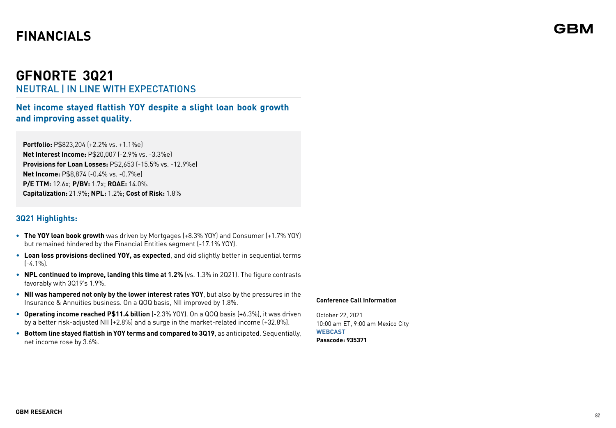# **GFNORTE 3Q21** NEUTRAL | IN LINE WITH EXPECTATIONS

**Net income stayed flattish YOY despite a slight loan book growth and improving asset quality.**

**Portfolio:** P\$823,204 (+2.2% vs. +1.1%e) **Net Interest Income:** P\$20,007 (-2.9% vs. -3.3%e) **Provisions for Loan Losses:** P\$2,653 (-15.5% vs. -12.9%e) **Net Income:** P\$8,874 (-0.4% vs. -0.7%e) **P/E TTM:** 12.6x; **P/BV:** 1.7x; **ROAE:** 14.0%. **Capitalization:** 21.9%; **NPL:** 1.2%; **Cost of Risk:** 1.8%

### **3Q21 Highlights:**

- **• The YOY loan book growth** was driven by Mortgages (+8.3% YOY) and Consumer (+1.7% YOY) but remained hindered by the Financial Entities segment (-17.1% YOY).
- **Loan loss provisions declined YOY, as expected**, and did slightly better in sequential terms (-4.1%).
- **NPL continued to improve, landing this time at 1.2%** (vs. 1.3% in 2Q21). The figure contrasts favorably with 3Q19's 1.9%.
- **NII was hampered not only by the lower interest rates YOY**, but also by the pressures in the Insurance & Annuities business. On a QOQ basis, NII improved by 1.8%.
- **Operating income reached P\$11.4 billion** (-2.3% YOY). On a QOQ basis (+6.3%), it was driven by a better risk-adjusted NII (+2.8%) and a surge in the market-related income (+32.8%).
- **Bottom line stayed flattish in YOY terms and compared to 3Q19**, as anticipated. Sequentially, net income rose by 3.6%.

#### **Conference Call Information**

October 22, 2021 10:00 am ET, 9:00 am Mexico City **[WEBCAST](https://us02web.zoom.us/j/88007363508?pwd=aldlZWRjZ015RXNWNjB0NHlyY2wvZz09#success) Passcode: 935371**

# GBN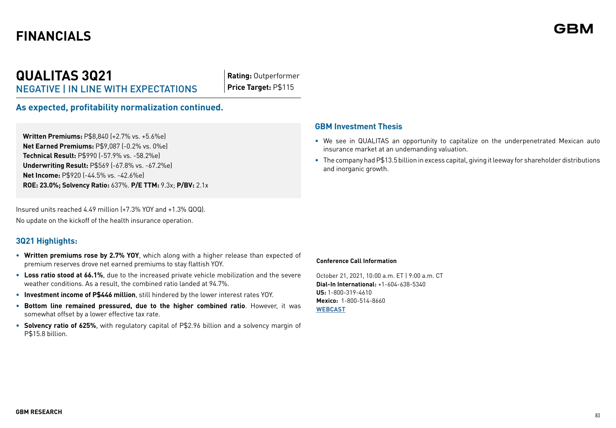# **QUALITAS 3Q21** NEGATIVE | IN LINE WITH EXPECTATIONS

**Rating:** Outperformer **Price Target:** P\$115

**As expected, profitability normalization continued.**

**Written Premiums:** P\$8,840 (+2.7% vs. +5.6%e) **Net Earned Premiums:** P\$9,087 (-0.2% vs. 0%e) **Technical Result:** P\$990 (-57.9% vs. -58.2%e) **Underwriting Result:** P\$569 (-67.8% vs. -67.2%e) **Net Income:** P\$920 (-44.5% vs. -42.6%e) **ROE: 23.0%; Solvency Ratio:** 637%. **P/E TTM:** 9.3x; **P/BV:** 2.1x

Insured units reached 4.49 million (+7.3% YOY and +1.3% QOQ). No update on the kickoff of the health insurance operation.

#### **3Q21 Highlights:**

- **• Written premiums rose by 2.7% YOY**, which along with a higher release than expected of premium reserves drove net earned premiums to stay flattish YOY.
- **• Loss ratio stood at 66.1%**, due to the increased private vehicle mobilization and the severe weather conditions. As a result, the combined ratio landed at 94.7%.
- **• Investment income of P\$446 million**, still hindered by the lower interest rates YOY.
- **• Bottom line remained pressured, due to the higher combined ratio**. However, it was somewhat offset by a lower effective tax rate.
- **• Solvency ratio of 625%**, with regulatory capital of P\$2.96 billion and a solvency margin of P\$15.8 billion.

#### **GBM Investment Thesis**

- We see in QUALITAS an opportunity to capitalize on the underpenetrated Mexican auto insurance market at an undemanding valuation.
- The company had P\$13.5 billion in excess capital, giving it leeway for shareholder distributions and inorganic growth.

#### **Conference Call Information**

October 21, 2021, 10:00 a.m. ET | 9:00 a.m. CT **Dial-In International:** +1-604-638-5340 **US:** 1-800-319-4610 **Mexico:** 1-800-514-8660 **[WEBCAST](https://services.choruscall.com/mediaframe/webcast.html?webcastid=BKSLAzF0)**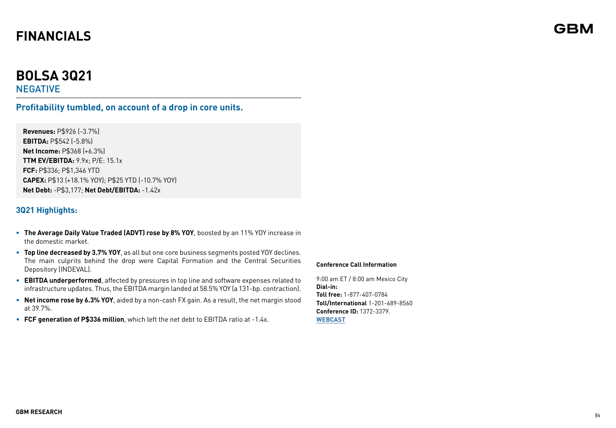# **BOLSA 3Q21**

NEGATIVE

### **Profitability tumbled, on account of a drop in core units.**

**Revenues:** P\$926 (-3.7%) **EBITDA:** P\$542 (-5.8%) **Net Income:** P\$368 (+6.3%) **TTM EV/EBITDA:** 9.9x; P/E: 15.1x **FCF:** P\$336; P\$1,346 YTD **CAPEX:** P\$13 (+18.1% YOY); P\$25 YTD (-10.7% YOY) **Net Debt:** -P\$3,177; **Net Debt/EBITDA:** -1.42x

### **3Q21 Highlights:**

- **• The Average Daily Value Traded (ADVT) rose by 8% YOY**, boosted by an 11% YOY increase in the domestic market.
- **Top line decreased by 3.7% YOY**, as all but one core business segments posted YOY declines. The main culprits behind the drop were Capital Formation and the Central Securities Depository (INDEVAL).
- **EBITDA underperformed**, affected by pressures in top line and software expenses related to infrastructure updates. Thus, the EBITDA margin landed at 58.5% YOY (a 131-bp. contraction).
- **Net income rose by 6.3% YOY**, aided by a non-cash FX gain. As a result, the net margin stood at 39.7%.
- **FCF generation of P\$336 million**, which left the net debt to EBITDA ratio at -1.4x.

#### **Conference Call Information**

9:00 am ET / 8:00 am Mexico City **Dial-in: Toll free:** 1-877-407-0784 **Toll/International** 1-201-689-8560 **Conference ID:** 1372-3379. **[WEBCAST](https://viavid.webcasts.com/starthere.jsp?ei=1498572&tp_key=bc0c314a31)**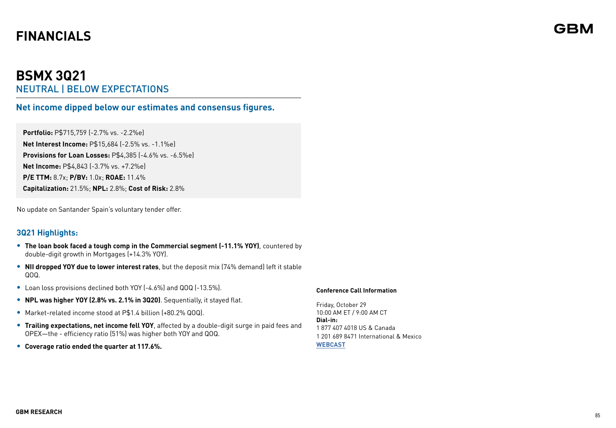# **BSMX 3Q21** NEUTRAL | BELOW EXPECTATIONS

**Net income dipped below our estimates and consensus figures.**

**Portfolio:** P\$715,759 (-2.7% vs. -2.2%e) **Net Interest Income:** P\$15,684 (-2.5% vs. -1.1%e) **Provisions for Loan Losses:** P\$4,385 (-4.6% vs. -6.5%e) **Net Income:** P\$4,843 (-3.7% vs. +7.2%e) **P/E TTM:** 8.7x; **P/BV:** 1.0x; **ROAE:** 11.4% **Capitalization:** 21.5%; **NPL:** 2.8%; **Cost of Risk:** 2.8%

No update on Santander Spain's voluntary tender offer.

### **3Q21 Highlights:**

- **• The loan book faced a tough comp in the Commercial segment (-11.1% YOY)**, countered by double-digit growth in Mortgages (+14.3% YOY).
- **• NII dropped YOY due to lower interest rates**, but the deposit mix (74% demand) left it stable QOQ.
- **•** Loan loss provisions declined both YOY (-4.6%) and QOQ (-13.5%).
- **• NPL was higher YOY (2.8% vs. 2.1% in 3Q20)**. Sequentially, it stayed flat.
- **•** Market-related income stood at P\$1.4 billion (+80.2% QOQ).
- **• Trailing expectations, net income fell YOY**, affected by a double-digit surge in paid fees and OPEX—the - efficiency ratio (51%) was higher both YOY and QOQ.
- **• Coverage ratio ended the quarter at 117.6%.**

#### **Conference Call Information**

Friday, October 29 10:00 AM ET / 9:00 AM CT **Dial-in:** 1 877 407 4018 US & Canada 1 201 689 8471 International & Mexico **[WEBCAST](https://viavid.webcasts.com/starthere.jsp?ei=1504898&tp_key=77ba22d97c)**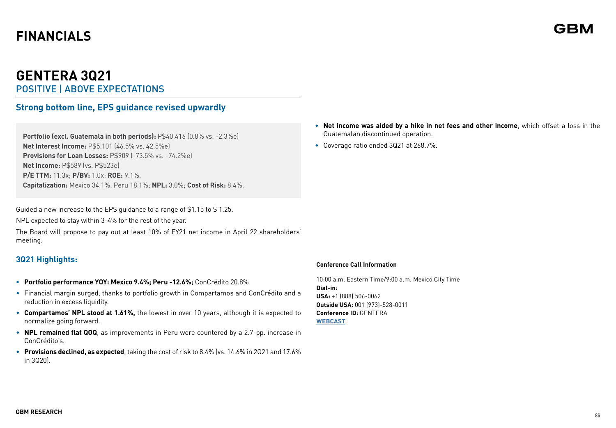# **GENTERA 3Q21**  POSITIVE | ABOVE EXPECTATIONS

## **Strong bottom line, EPS guidance revised upwardly**

**Portfolio (excl. Guatemala in both periods):** P\$40,416 (0.8% vs. -2.3%e) **Net Interest Income:** P\$5,101 (46.5% vs. 42.5%e) **Provisions for Loan Losses: P\$909 (-73.5% vs. -74.2%e) Net Income:** P\$589 (vs. P\$523e) **P/E TTM:** 11.3x; **P/BV:** 1.0x; **ROE:** 9.1%. **Capitalization:** Mexico 34.1%, Peru 18.1%; **NPL:** 3.0%; **Cost of Risk:** 8.4%.

Guided a new increase to the EPS guidance to a range of \$1.15 to \$ 1.25.

NPL expected to stay within 3-4% for the rest of the year.

The Board will propose to pay out at least 10% of FY21 net income in April 22 shareholders' meeting.

### **3Q21 Highlights:**

- **• Portfolio performance YOY: Mexico 9.4%; Peru -12.6%;** ConCrédito 20.8%
- Financial margin surged, thanks to portfolio growth in Compartamos and ConCrédito and a reduction in excess liquidity.
- **Compartamos' NPL stood at 1.61%,** the lowest in over 10 years, although it is expected to normalize going forward.
- **NPL remained flat QOQ**, as improvements in Peru were countered by a 2.7-pp. increase in ConCrédito's.
- **Provisions declined, as expected**, taking the cost of risk to 8.4% (vs. 14.6% in 2Q21 and 17.6% in 3Q20).
- **Net income was aided by a hike in net fees and other income**, which offset a loss in the Guatemalan discontinued operation.
- Coverage ratio ended 3Q21 at 268.7%.

#### **Conference Call Information**

10:00 a.m. Eastern Time/9:00 a.m. Mexico City Time **Dial-in: USA:** +1 (888) 506-0062 **Outside USA:** 001 (973)-528-0011 **Conference ID:** GENTERA **[WEBCAST](https://irstrat.clickmeeting.com/661152153/register)**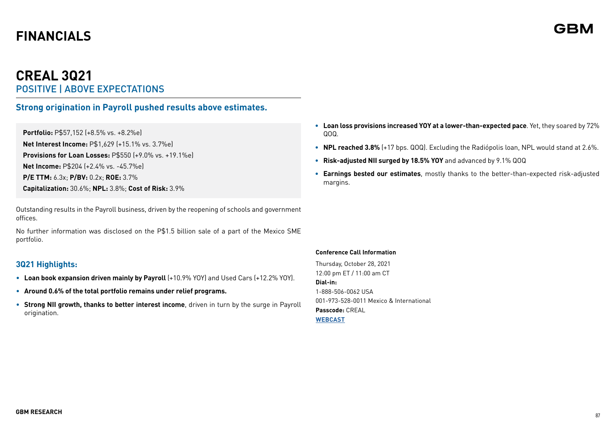# **CREAL 3Q21** POSITIVE | ABOVE EXPECTATIONS

### **Strong origination in Payroll pushed results above estimates.**

**Portfolio:** P\$57,152 (+8.5% vs. +8.2%e) **Net Interest Income:** P\$1,629 (+15.1% vs. 3.7%e) **Provisions for Loan Losses:** P\$550 (+9.0% vs. +19.1%e) **Net Income:** P\$204 (+2.4% vs. -45.7%e) **P/E TTM:** 6.3x; **P/BV:** 0.2x; **ROE:** 3.7% **Capitalization:** 30.6%; **NPL:** 3.8%; **Cost of Risk:** 3.9%

Outstanding results in the Payroll business, driven by the reopening of schools and government offices.

No further information was disclosed on the P\$1.5 billion sale of a part of the Mexico SME portfolio.

### **3Q21 Highlights:**

- **Loan book expansion driven mainly by Payroll** (+10.9% YOY) and Used Cars (+12.2% YOY).
- **Around 0.6% of the total portfolio remains under relief programs.**
- **Strong NII growth, thanks to better interest income**, driven in turn by the surge in Payroll origination.
- **Loan loss provisions increased YOY at a lower-than-expected pace**. Yet, they soared by 72% QOQ.
- **NPL reached 3.8%** (+17 bps. QOQ). Excluding the Radiópolis loan, NPL would stand at 2.6%.
- **Risk-adjusted NII surged by 18.5% YOY** and advanced by 9.1% QOQ
- **Earnings bested our estimates**, mostly thanks to the better-than-expected risk-adjusted margins.

#### **Conference Call Information**

Thursday, October 28, 2021 12:00 pm ET / 11:00 am CT **Dial-in:** 1-888-506-0062 USA 001-973-528-0011 Mexico & International **Passcode:** CREAL **[WEBCAST](https://irstrat.clickmeeting.com/creal-conference-call/register)**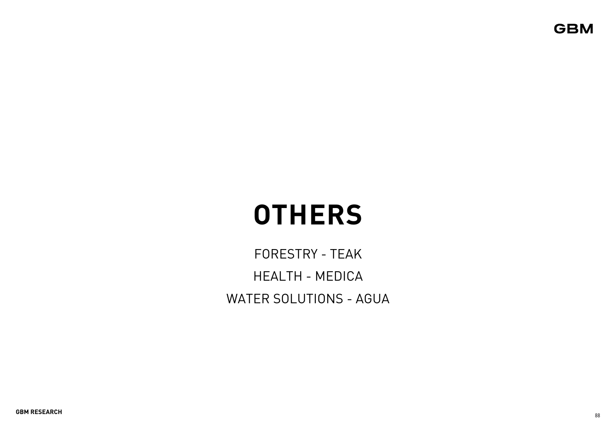**GBM** 

# **OTHERS**

FORESTRY - TEAK HEALTH - MEDICA WATER SOLUTIONS - AGUA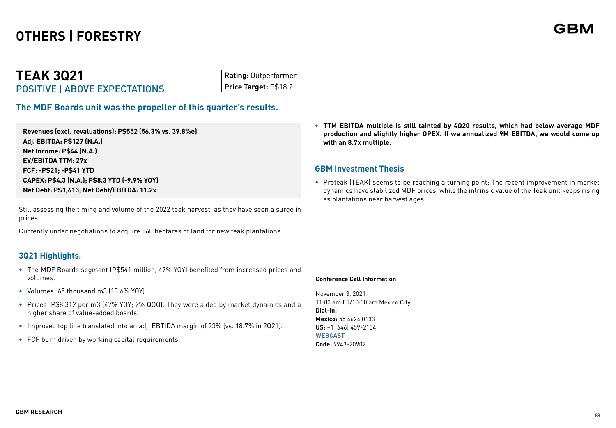# **OTHERS | FORESTRY**

# **TEAK 3Q21** POSITIVE | ABOVE EXPECTATIONS

**Rating:** Outperformer **Price Target:** P\$18.2

## **The MDF Boards unit was the propeller of this quarter's results.**

**Revenues (excl. revaluations): P\$552 (56.3% vs. 39.8%e) Adj. EBITDA: P\$127 (N.A.) Net Income: P\$44 (N.A.) EV/EBITDA TTM: 27x FCF: -P\$21; -P\$41 YTD CAPEX: P\$4.3 (N.A.); P\$8.3 YTD (-9.9% YOY) Net Debt: P\$1,613; Net Debt/EBITDA: 11.2x**

Still assessing the timing and volume of the 2022 teak harvest, as they have seen a surge in prices.

Currently under negotiations to acquire 160 hectares of land for new teak plantations.

### **3Q21 Highlights:**

- **•** The MDF Boards segment (P\$541 million, 47% YOY) benefited from increased prices and volumes.
- **•** Volumes: 65 thousand m3 (13.6% YOY)
- **•** Prices: P\$8,312 per m3 (47% YOY; 2% QOQ). They were aided by market dynamics and a higher share of value-added boards.
- **•** Improved top line translated into an adj. EBTIDA margin of 23% (vs. 18.7% in 2Q21).
- **•** FCF burn driven by working capital requirements.

**• TTM EBITDA multiple is still tainted by 4Q20 results, which had below-average MDF production and slightly higher OPEX. If we annualized 9M EBITDA, we would come up with an 8.7x multiple.** 

#### **GBM Investment Thesis**

• Proteak (TEAK) seems to be reaching a turning point: The recent improvement in market dynamics have stabilized MDF prices, while the intrinsic value of the Teak unit keeps rising as plantations near harvest ages.

**Conference Call Information**

November 3, 2021 11:00 am ET/10:00 am Mexico City **Dial-in: Mexico:** 55 4624 0133 **US:** +1 (646) 459-2134 **[WEBCAST](https://www.anywhereconference.com/) Code:** 9943-20902

GBN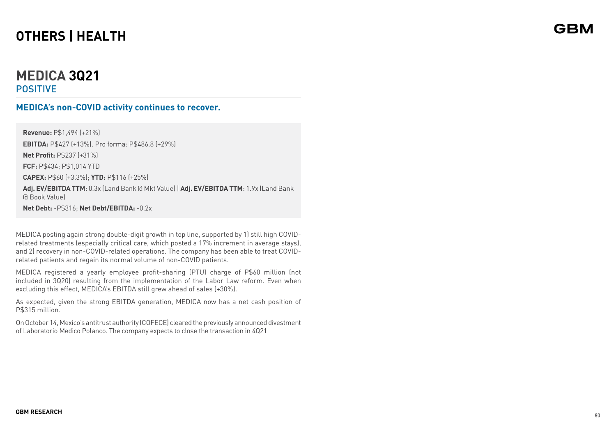# **OTHERS | HEALTH**

# **MEDICA 3Q21** POSITIVE

### **MEDICA's non-COVID activity continues to recover.**

**Revenue:** P\$1,494 (+21%) **EBITDA:** P\$427 (+13%). Pro forma: P\$486.8 (+29%) **Net Profit:** P\$237 (+31%) **FCF:** P\$434; P\$1,014 YTD **CAPEX:** P\$60 (+3.3%); **YTD:** P\$116 (+25%) **Adj. EV/EBITDA TTM**: 0.3x (Land Bank @ Mkt Value) | **Adj. EV/EBITDA TTM**: 1.9x (Land Bank @ Book Value)

**Net Debt:** -P\$316; **Net Debt/EBITDA:** -0.2x

MEDICA posting again strong double-digit growth in top line, supported by 1) still high COVIDrelated treatments (especially critical care, which posted a 17% increment in average stays), and 2) recovery in non-COVID-related operations. The company has been able to treat COVIDrelated patients and regain its normal volume of non-COVID patients.

MEDICA registered a yearly employee profit-sharing (PTU) charge of P\$60 million (not included in 3Q20) resulting from the implementation of the Labor Law reform. Even when excluding this effect, MEDICA's EBITDA still grew ahead of sales (+30%).

As expected, given the strong EBITDA generation, MEDICA now has a net cash position of P\$315 million.

On October 14, Mexico's antitrust authority (COFECE) cleared the previously announced divestment of Laboratorio Medico Polanco. The company expects to close the transaction in 4Q21